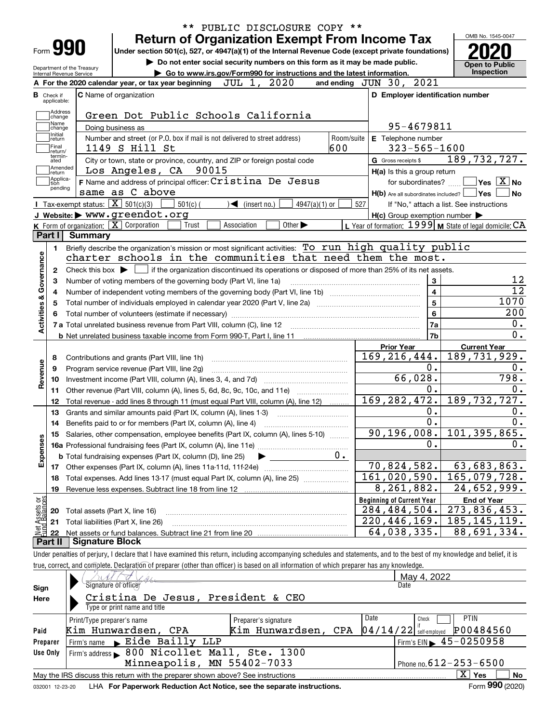|                                   |                                                        | PUBLIC DISCLOSURE COPY **<br><b>Return of Organization Exempt From Income Tax</b>                                                                                                                                             |                                                             | OMB No. 1545-0047                                    |
|-----------------------------------|--------------------------------------------------------|-------------------------------------------------------------------------------------------------------------------------------------------------------------------------------------------------------------------------------|-------------------------------------------------------------|------------------------------------------------------|
| Form 990                          |                                                        | Under section 501(c), 527, or 4947(a)(1) of the Internal Revenue Code (except private foundations)                                                                                                                            |                                                             |                                                      |
|                                   |                                                        | Do not enter social security numbers on this form as it may be made public.                                                                                                                                                   |                                                             |                                                      |
|                                   | Department of the Treasury<br>Internal Revenue Service | Go to www.irs.gov/Form990 for instructions and the latest information.                                                                                                                                                        |                                                             | <b>Open to Public</b><br>Inspection                  |
|                                   |                                                        | JUL 1, 2020<br>A For the 2020 calendar year, or tax year beginning                                                                                                                                                            | and ending JUN 30, 2021                                     |                                                      |
| в<br>Check if                     |                                                        | C Name of organization                                                                                                                                                                                                        | D Employer identification number                            |                                                      |
| applicable:                       |                                                        |                                                                                                                                                                                                                               |                                                             |                                                      |
| Address<br>change                 |                                                        | Green Dot Public Schools California                                                                                                                                                                                           |                                                             |                                                      |
| Name<br>change                    |                                                        | Doing business as                                                                                                                                                                                                             | 95-4679811                                                  |                                                      |
| Initial<br>return                 |                                                        | Number and street (or P.O. box if mail is not delivered to street address)<br>Room/suite                                                                                                                                      | E Telephone number                                          |                                                      |
| Final<br>return/                  |                                                        | 600<br>1149 S Hill St                                                                                                                                                                                                         | $323 - 565 - 1600$                                          |                                                      |
| termin-<br>ated                   |                                                        | City or town, state or province, country, and ZIP or foreign postal code                                                                                                                                                      | G Gross receipts \$                                         | 189, 732, 727.                                       |
| Amended<br> return                |                                                        | Los Angeles, CA 90015                                                                                                                                                                                                         | H(a) Is this a group return                                 |                                                      |
| Applica-<br>tion<br>pending       |                                                        | F Name and address of principal officer: Cristina De Jesus                                                                                                                                                                    | for subordinates?                                           | $\overline{\mathsf{Yes}}$ $\overline{\mathsf{X}}$ No |
|                                   |                                                        | same as C above                                                                                                                                                                                                               | $H(b)$ Are all subordinates included? $\Box$ Yes            |                                                      |
|                                   | Tax-exempt status: $\boxed{\mathbf{X}}$ 501(c)(3)      | $501(c)$ (<br>$\sqrt{\phantom{a}}$ (insert no.)<br>4947(a)(1) or                                                                                                                                                              | 527                                                         | If "No," attach a list. See instructions             |
|                                   |                                                        | J Website: > www.greendot.org                                                                                                                                                                                                 | $H(c)$ Group exemption number $\blacktriangleright$         |                                                      |
|                                   |                                                        | K Form of organization: $\boxed{\mathbf{X}}$ Corporation<br>Trust<br>Association<br>Other $\blacktriangleright$                                                                                                               | L Year of formation: $1999$ M State of legal domicile: $CA$ |                                                      |
| Part I                            | Summary                                                | Briefly describe the organization's mission or most significant activities: To run high quality public                                                                                                                        |                                                             |                                                      |
| Activities & Governance<br>3<br>4 |                                                        | Number of voting members of the governing body (Part VI, line 1a)<br>Total number of individuals employed in calendar year 2020 (Part V, line 2a) manufacture of individuals employed in calendar year 2020 (Part V, line 2a) | $\mathbf{3}$<br>$\overline{4}$<br>$\overline{5}$            | 1070                                                 |
|                                   |                                                        |                                                                                                                                                                                                                               | $6\phantom{a}$                                              | 200                                                  |
|                                   |                                                        |                                                                                                                                                                                                                               | 7a                                                          |                                                      |
|                                   |                                                        |                                                                                                                                                                                                                               | 7b                                                          |                                                      |
|                                   |                                                        |                                                                                                                                                                                                                               | <b>Prior Year</b><br>169, 216, 444.                         | <b>Current Year</b><br>189,731,929.                  |
| 8                                 |                                                        | Contributions and grants (Part VIII, line 1h)                                                                                                                                                                                 | 0.                                                          |                                                      |
| Revenue<br>9                      |                                                        | Program service revenue (Part VIII, line 2g)                                                                                                                                                                                  | 66,028.                                                     | 798.                                                 |
| 10<br>11                          |                                                        | Other revenue (Part VIII, column (A), lines 5, 6d, 8c, 9c, 10c, and 11e)                                                                                                                                                      | $\overline{0}$ .                                            |                                                      |
| 12                                |                                                        | Total revenue - add lines 8 through 11 (must equal Part VIII, column (A), line 12)                                                                                                                                            | 169, 282, 472.                                              | 189, 732, 727.                                       |
| 13                                |                                                        | Grants and similar amounts paid (Part IX, column (A), lines 1-3)                                                                                                                                                              | 0.                                                          |                                                      |
| 14                                |                                                        | Benefits paid to or for members (Part IX, column (A), line 4)                                                                                                                                                                 | $\overline{0}$ .                                            |                                                      |
|                                   |                                                        | 15 Salaries, other compensation, employee benefits (Part IX, column (A), lines 5-10)                                                                                                                                          | 90, 196, 008.                                               | 101, 395, 865.                                       |
|                                   |                                                        |                                                                                                                                                                                                                               | 0.                                                          |                                                      |
| Expenses                          |                                                        | 0.<br><b>b</b> Total fundraising expenses (Part IX, column (D), line 25)                                                                                                                                                      |                                                             |                                                      |
|                                   |                                                        |                                                                                                                                                                                                                               | 70,824,582.                                                 | 63,683,863.                                          |
|                                   |                                                        | Total expenses. Add lines 13-17 (must equal Part IX, column (A), line 25)                                                                                                                                                     | 161,020,590.                                                | 165,079,728.                                         |
| 18                                |                                                        |                                                                                                                                                                                                                               |                                                             |                                                      |
| 19                                |                                                        | Revenue less expenses. Subtract line 18 from line 12                                                                                                                                                                          | 8,261,882.                                                  |                                                      |
|                                   |                                                        |                                                                                                                                                                                                                               | <b>Beginning of Current Year</b>                            | <b>End of Year</b>                                   |
| 20                                | Total assets (Part X, line 16)                         |                                                                                                                                                                                                                               | 284,484,504.                                                | $\overline{24}$ , 652, 999.<br>273,836,453.          |
| : Assets or<br>d Balances<br>21   |                                                        | Total liabilities (Part X, line 26)                                                                                                                                                                                           | 220, 446, 169.                                              | 185, 145, 119.                                       |
| 鲳<br>22<br>Part II                | <b>Signature Block</b>                                 |                                                                                                                                                                                                                               | 64,038,335.                                                 | 88,691,334.                                          |

|          |                                                                                 |                      |      | May 4, 2022                                  |
|----------|---------------------------------------------------------------------------------|----------------------|------|----------------------------------------------|
| Sign     | Signature of officer                                                            |                      |      | Date                                         |
| Here     | Cristina De Jesus, President & CEO                                              |                      |      |                                              |
|          | Type or print name and title                                                    |                      |      |                                              |
|          | Print/Type preparer's name                                                      | Preparer's signature | Date | <b>PTIN</b><br>Check                         |
| Paid     | Kim Hunwardsen, CPA                                                             | Kim Hunwardsen, CPA  |      | P00484560<br>$04/14/22$ self-employed        |
| Preparer | Firm's name Eide Bailly LLP                                                     |                      |      | $I$ Firm's EIN $\triangleright$ 45 - 0250958 |
| Use Only | Firm's address > 800 Nicollet Mall, Ste. 1300                                   |                      |      |                                              |
|          | Minneapolis, MN 55402-7033                                                      |                      |      | Phone no. $612 - 253 - 6500$                 |
|          | May the IRS discuss this return with the preparer shown above? See instructions |                      |      | $X \mid$<br><b>No</b><br>Yes                 |
|          |                                                                                 |                      |      | $000 \div 200$                               |

032001 12-23-20 LHA **For Paperwork Reduction Act Notice, see the separate instructions.** Form 990 (2020)

**990**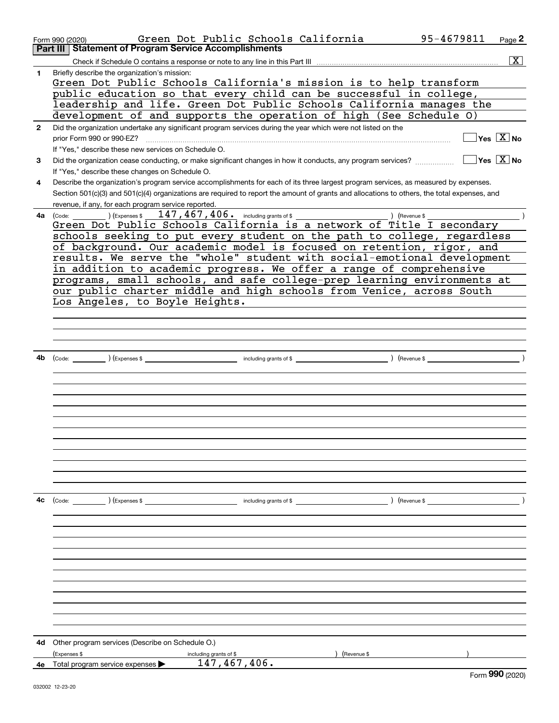|              | Green Dot Public Schools California<br>Form 990 (2020)                                                                                       | 95-4679811                                       | Page 2                                  |
|--------------|----------------------------------------------------------------------------------------------------------------------------------------------|--------------------------------------------------|-----------------------------------------|
|              | <b>Statement of Program Service Accomplishments</b><br>Part III                                                                              |                                                  |                                         |
|              |                                                                                                                                              |                                                  | $\overline{\mathbf{x}}$                 |
| 1            | Briefly describe the organization's mission:                                                                                                 |                                                  |                                         |
|              | Green Dot Public Schools California's mission is to help transform                                                                           |                                                  |                                         |
|              | public education so that every child can be successful in college,                                                                           |                                                  |                                         |
|              | leadership and life. Green Dot Public Schools California manages the                                                                         |                                                  |                                         |
|              | development of and supports the operation of high (See Schedule O)                                                                           |                                                  |                                         |
| $\mathbf{2}$ | Did the organization undertake any significant program services during the year which were not listed on the                                 |                                                  |                                         |
|              | prior Form 990 or 990-EZ?                                                                                                                    |                                                  | $\Box$ Yes $[\overline{\mathrm{X}}]$ No |
|              | If "Yes," describe these new services on Schedule O.                                                                                         | $\sqrt{\phantom{a}}$ Yes $\sqrt{\phantom{a}}$ No |                                         |
| 3            | Did the organization cease conducting, or make significant changes in how it conducts, any program services?                                 |                                                  |                                         |
|              | If "Yes," describe these changes on Schedule O.                                                                                              |                                                  |                                         |
| 4            | Describe the organization's program service accomplishments for each of its three largest program services, as measured by expenses.         |                                                  |                                         |
|              | Section 501(c)(3) and 501(c)(4) organizations are required to report the amount of grants and allocations to others, the total expenses, and |                                                  |                                         |
|              | revenue, if any, for each program service reported.                                                                                          |                                                  |                                         |
| 4a           | $\left(\text{Code:}\right)$ $\left(\text{Expenses $}\right)$<br>Green Dot Public Schools California is a network of Title I secondary        |                                                  |                                         |
|              | schools seeking to put every student on the path to college, regardless                                                                      |                                                  |                                         |
|              | of background. Our academic model is focused on retention, rigor, and                                                                        |                                                  |                                         |
|              | results. We serve the "whole" student with social-emotional development                                                                      |                                                  |                                         |
|              | in addition to academic progress. We offer a range of comprehensive                                                                          |                                                  |                                         |
|              | programs, small schools, and safe college-prep learning environments at                                                                      |                                                  |                                         |
|              | our public charter middle and high schools from Venice, across South                                                                         |                                                  |                                         |
|              | Los Angeles, to Boyle Heights.                                                                                                               |                                                  |                                         |
|              |                                                                                                                                              |                                                  |                                         |
|              |                                                                                                                                              |                                                  |                                         |
|              |                                                                                                                                              |                                                  |                                         |
|              |                                                                                                                                              |                                                  |                                         |
| 4b           |                                                                                                                                              |                                                  |                                         |
|              |                                                                                                                                              |                                                  |                                         |
|              |                                                                                                                                              |                                                  |                                         |
|              |                                                                                                                                              |                                                  |                                         |
|              |                                                                                                                                              |                                                  |                                         |
|              |                                                                                                                                              |                                                  |                                         |
|              |                                                                                                                                              |                                                  |                                         |
|              |                                                                                                                                              |                                                  |                                         |
|              |                                                                                                                                              |                                                  |                                         |
|              |                                                                                                                                              |                                                  |                                         |
|              |                                                                                                                                              |                                                  |                                         |
|              |                                                                                                                                              |                                                  |                                         |
|              |                                                                                                                                              |                                                  |                                         |
| 4с           | ) (Revenue \$<br>$(\text{Code:})$ $(\text{Expenses $})$ $(\text{Expenses $})$                                                                |                                                  |                                         |
|              |                                                                                                                                              |                                                  |                                         |
|              |                                                                                                                                              |                                                  |                                         |
|              |                                                                                                                                              |                                                  |                                         |
|              |                                                                                                                                              |                                                  |                                         |
|              |                                                                                                                                              |                                                  |                                         |
|              |                                                                                                                                              |                                                  |                                         |
|              |                                                                                                                                              |                                                  |                                         |
|              |                                                                                                                                              |                                                  |                                         |
|              |                                                                                                                                              |                                                  |                                         |
|              |                                                                                                                                              |                                                  |                                         |
|              |                                                                                                                                              |                                                  |                                         |
|              |                                                                                                                                              |                                                  |                                         |
| 4d           | Other program services (Describe on Schedule O.)                                                                                             |                                                  |                                         |
|              | (Expenses \$<br>(Revenue \$<br>including grants of \$<br>147,467,406.                                                                        |                                                  |                                         |
| 4е           | Total program service expenses                                                                                                               |                                                  | $F_{\text{orm}}$ 990 (2020)             |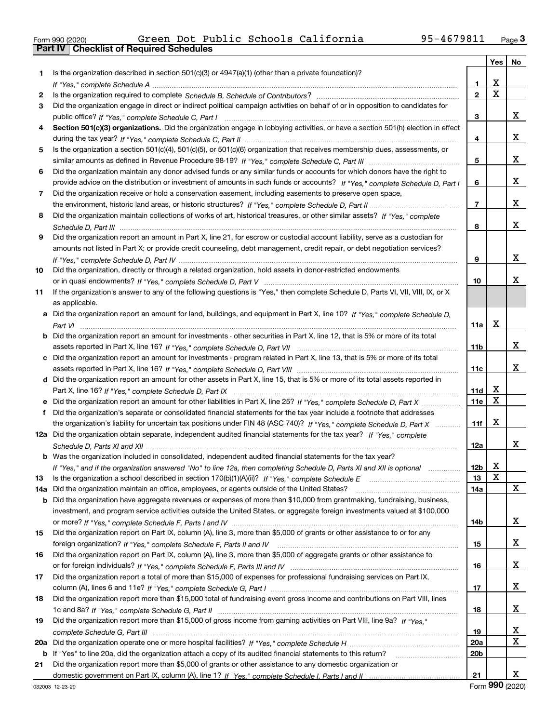|  | Form 990 (2020) |
|--|-----------------|

|     |                                                                                                                                                                                                                                          |                 | Yes                     | No          |
|-----|------------------------------------------------------------------------------------------------------------------------------------------------------------------------------------------------------------------------------------------|-----------------|-------------------------|-------------|
| 1.  | Is the organization described in section $501(c)(3)$ or $4947(a)(1)$ (other than a private foundation)?                                                                                                                                  |                 |                         |             |
|     |                                                                                                                                                                                                                                          | 1               | X                       |             |
| 2   |                                                                                                                                                                                                                                          | $\overline{2}$  | $\overline{\mathtt{x}}$ |             |
| 3   | Did the organization engage in direct or indirect political campaign activities on behalf of or in opposition to candidates for                                                                                                          |                 |                         |             |
|     |                                                                                                                                                                                                                                          | 3               |                         | x           |
| 4   | Section 501(c)(3) organizations. Did the organization engage in lobbying activities, or have a section 501(h) election in effect                                                                                                         |                 |                         |             |
|     |                                                                                                                                                                                                                                          | 4               |                         | х           |
| 5   | Is the organization a section 501(c)(4), 501(c)(5), or 501(c)(6) organization that receives membership dues, assessments, or                                                                                                             |                 |                         |             |
|     |                                                                                                                                                                                                                                          | 5               |                         | х           |
| 6   | Did the organization maintain any donor advised funds or any similar funds or accounts for which donors have the right to                                                                                                                |                 |                         |             |
|     | provide advice on the distribution or investment of amounts in such funds or accounts? If "Yes," complete Schedule D, Part I                                                                                                             | 6               |                         | х           |
| 7   | Did the organization receive or hold a conservation easement, including easements to preserve open space,                                                                                                                                |                 |                         |             |
|     |                                                                                                                                                                                                                                          | 7               |                         | х           |
| 8   | Did the organization maintain collections of works of art, historical treasures, or other similar assets? If "Yes," complete                                                                                                             |                 |                         |             |
|     |                                                                                                                                                                                                                                          | 8               |                         | x           |
| 9   | Did the organization report an amount in Part X, line 21, for escrow or custodial account liability, serve as a custodian for                                                                                                            |                 |                         |             |
|     | amounts not listed in Part X; or provide credit counseling, debt management, credit repair, or debt negotiation services?                                                                                                                |                 |                         |             |
|     |                                                                                                                                                                                                                                          | 9               |                         | х           |
| 10  | Did the organization, directly or through a related organization, hold assets in donor-restricted endowments                                                                                                                             |                 |                         |             |
|     |                                                                                                                                                                                                                                          | 10              |                         | х           |
| 11  | If the organization's answer to any of the following questions is "Yes," then complete Schedule D, Parts VI, VIII, VIII, IX, or X                                                                                                        |                 |                         |             |
|     | as applicable.                                                                                                                                                                                                                           |                 |                         |             |
|     | a Did the organization report an amount for land, buildings, and equipment in Part X, line 10? If "Yes," complete Schedule D,                                                                                                            |                 |                         |             |
|     |                                                                                                                                                                                                                                          | 11a             | X                       |             |
|     | <b>b</b> Did the organization report an amount for investments - other securities in Part X, line 12, that is 5% or more of its total                                                                                                    |                 |                         |             |
|     |                                                                                                                                                                                                                                          | 11b             |                         | x           |
|     | c Did the organization report an amount for investments - program related in Part X, line 13, that is 5% or more of its total                                                                                                            |                 |                         | х           |
|     |                                                                                                                                                                                                                                          | 11c             |                         |             |
|     | d Did the organization report an amount for other assets in Part X, line 15, that is 5% or more of its total assets reported in                                                                                                          |                 | х                       |             |
|     |                                                                                                                                                                                                                                          | 11d             | $\mathbf X$             |             |
|     | Did the organization's separate or consolidated financial statements for the tax year include a footnote that addresses                                                                                                                  | <b>11e</b>      |                         |             |
| f   | the organization's liability for uncertain tax positions under FIN 48 (ASC 740)? If "Yes," complete Schedule D, Part X                                                                                                                   | 11f             | X                       |             |
|     | 12a Did the organization obtain separate, independent audited financial statements for the tax year? If "Yes," complete                                                                                                                  |                 |                         |             |
|     |                                                                                                                                                                                                                                          | 12a             |                         | x           |
|     | <b>b</b> Was the organization included in consolidated, independent audited financial statements for the tax year?                                                                                                                       |                 |                         |             |
|     |                                                                                                                                                                                                                                          | 12 <sub>b</sub> | х                       |             |
| 13  | If "Yes," and if the organization answered "No" to line 12a, then completing Schedule D, Parts XI and XII is optional metalliming<br>Is the organization a school described in section $170(b)(1)(A)(ii)?$ If "Yes," complete Schedule E | 13              | X                       |             |
| 14a | Did the organization maintain an office, employees, or agents outside of the United States?                                                                                                                                              | 14a             |                         | x           |
|     | <b>b</b> Did the organization have aggregate revenues or expenses of more than \$10,000 from grantmaking, fundraising, business,                                                                                                         |                 |                         |             |
|     | investment, and program service activities outside the United States, or aggregate foreign investments valued at \$100,000                                                                                                               |                 |                         |             |
|     |                                                                                                                                                                                                                                          | 14b             |                         | x           |
| 15  | Did the organization report on Part IX, column (A), line 3, more than \$5,000 of grants or other assistance to or for any                                                                                                                |                 |                         |             |
|     |                                                                                                                                                                                                                                          | 15              |                         | x           |
| 16  | Did the organization report on Part IX, column (A), line 3, more than \$5,000 of aggregate grants or other assistance to                                                                                                                 |                 |                         |             |
|     |                                                                                                                                                                                                                                          | 16              |                         | x           |
| 17  | Did the organization report a total of more than \$15,000 of expenses for professional fundraising services on Part IX,                                                                                                                  |                 |                         |             |
|     |                                                                                                                                                                                                                                          | 17              |                         | x           |
| 18  | Did the organization report more than \$15,000 total of fundraising event gross income and contributions on Part VIII, lines                                                                                                             |                 |                         |             |
|     |                                                                                                                                                                                                                                          | 18              |                         | x           |
| 19  | Did the organization report more than \$15,000 of gross income from gaming activities on Part VIII, line 9a? If "Yes."                                                                                                                   |                 |                         |             |
|     |                                                                                                                                                                                                                                          | 19              |                         | x           |
| 20a |                                                                                                                                                                                                                                          | 20a             |                         | $\mathbf X$ |
|     | b If "Yes" to line 20a, did the organization attach a copy of its audited financial statements to this return?                                                                                                                           | 20b             |                         |             |
| 21  | Did the organization report more than \$5,000 of grants or other assistance to any domestic organization or                                                                                                                              |                 |                         |             |
|     |                                                                                                                                                                                                                                          | 21              |                         | X           |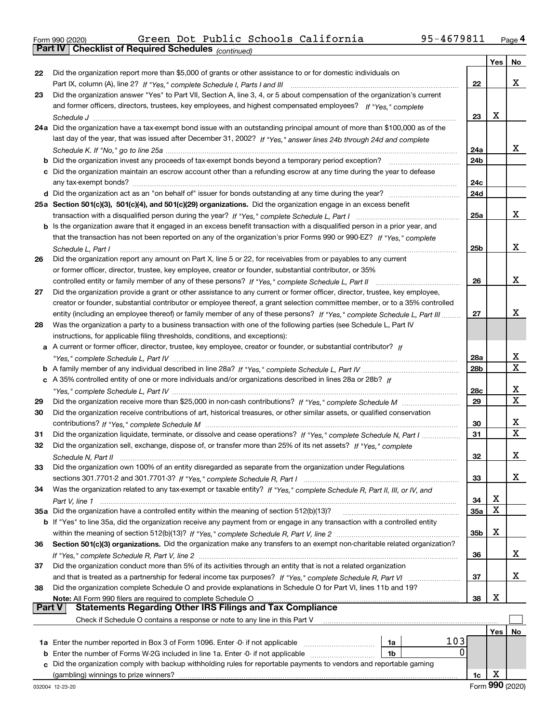|  | Form 990 (2020) |
|--|-----------------|
|  |                 |

*(continued)*

|               |                                                                                                                              |                 | Yes | No          |
|---------------|------------------------------------------------------------------------------------------------------------------------------|-----------------|-----|-------------|
| 22            | Did the organization report more than \$5,000 of grants or other assistance to or for domestic individuals on                |                 |     |             |
|               |                                                                                                                              | 22              |     | x           |
| 23            | Did the organization answer "Yes" to Part VII, Section A, line 3, 4, or 5 about compensation of the organization's current   |                 |     |             |
|               | and former officers, directors, trustees, key employees, and highest compensated employees? If "Yes," complete               |                 |     |             |
|               |                                                                                                                              | 23              | х   |             |
|               | 24a Did the organization have a tax-exempt bond issue with an outstanding principal amount of more than \$100,000 as of the  |                 |     |             |
|               | last day of the year, that was issued after December 31, 2002? If "Yes," answer lines 24b through 24d and complete           |                 |     |             |
|               |                                                                                                                              | 24a             |     | X.          |
|               | <b>b</b> Did the organization invest any proceeds of tax-exempt bonds beyond a temporary period exception?                   | 24 <sub>b</sub> |     |             |
|               | c Did the organization maintain an escrow account other than a refunding escrow at any time during the year to defease       |                 |     |             |
|               | any tax-exempt bonds?                                                                                                        | 24c             |     |             |
|               |                                                                                                                              | 24d             |     |             |
|               | 25a Section 501(c)(3), 501(c)(4), and 501(c)(29) organizations. Did the organization engage in an excess benefit             |                 |     |             |
|               |                                                                                                                              | 25a             |     | х           |
|               | b Is the organization aware that it engaged in an excess benefit transaction with a disqualified person in a prior year, and |                 |     |             |
|               | that the transaction has not been reported on any of the organization's prior Forms 990 or 990-EZ? If "Yes," complete        |                 |     |             |
|               | Schedule L, Part I                                                                                                           | 25b             |     | х           |
| 26            | Did the organization report any amount on Part X, line 5 or 22, for receivables from or payables to any current              |                 |     |             |
|               | or former officer, director, trustee, key employee, creator or founder, substantial contributor, or 35%                      |                 |     |             |
|               | controlled entity or family member of any of these persons? If "Yes," complete Schedule L, Part II                           | 26              |     | х           |
| 27            | Did the organization provide a grant or other assistance to any current or former officer, director, trustee, key employee,  |                 |     |             |
|               | creator or founder, substantial contributor or employee thereof, a grant selection committee member, or to a 35% controlled  |                 |     |             |
|               | entity (including an employee thereof) or family member of any of these persons? If "Yes," complete Schedule L, Part III     | 27              |     | x           |
| 28            | Was the organization a party to a business transaction with one of the following parties (see Schedule L, Part IV            |                 |     |             |
|               | instructions, for applicable filing thresholds, conditions, and exceptions):                                                 |                 |     |             |
|               | a A current or former officer, director, trustee, key employee, creator or founder, or substantial contributor? If           |                 |     |             |
|               |                                                                                                                              | 28a             |     | X           |
|               |                                                                                                                              | 28 <sub>b</sub> |     | X           |
|               | c A 35% controlled entity of one or more individuals and/or organizations described in lines 28a or 28b? If                  |                 |     |             |
|               |                                                                                                                              | 28c             |     | х           |
| 29            |                                                                                                                              | 29              |     | $\mathbf X$ |
| 30            | Did the organization receive contributions of art, historical treasures, or other similar assets, or qualified conservation  |                 |     |             |
|               |                                                                                                                              | 30              |     | х           |
| 31            | Did the organization liquidate, terminate, or dissolve and cease operations? If "Yes," complete Schedule N, Part I           | 31              |     | $\mathbf X$ |
| 32            | Did the organization sell, exchange, dispose of, or transfer more than 25% of its net assets? If "Yes," complete             |                 |     |             |
|               |                                                                                                                              | 32              |     | x           |
| 33            | Did the organization own 100% of an entity disregarded as separate from the organization under Regulations                   |                 |     |             |
|               |                                                                                                                              | 33              |     | x           |
| 34            | Was the organization related to any tax-exempt or taxable entity? If "Yes," complete Schedule R, Part II, III, or IV, and    |                 |     |             |
|               |                                                                                                                              | 34              | х   |             |
|               | 35a Did the organization have a controlled entity within the meaning of section 512(b)(13)?                                  | <b>35a</b>      | X   |             |
|               | b If "Yes" to line 35a, did the organization receive any payment from or engage in any transaction with a controlled entity  |                 |     |             |
|               |                                                                                                                              | 35b             | х   |             |
| 36            | Section 501(c)(3) organizations. Did the organization make any transfers to an exempt non-charitable related organization?   |                 |     |             |
|               |                                                                                                                              | 36              |     | X           |
| 37            | Did the organization conduct more than 5% of its activities through an entity that is not a related organization             |                 |     |             |
|               |                                                                                                                              | 37              |     | x           |
| 38            | Did the organization complete Schedule O and provide explanations in Schedule O for Part VI, lines 11b and 19?               |                 |     |             |
|               | Note: All Form 990 filers are required to complete Schedule O                                                                | 38              | х   |             |
| <b>Part V</b> | <b>Statements Regarding Other IRS Filings and Tax Compliance</b>                                                             |                 |     |             |
|               | Check if Schedule O contains a response or note to any line in this Part V                                                   |                 |     |             |
|               |                                                                                                                              |                 | Yes | No          |
|               | 103<br>1a                                                                                                                    |                 |     |             |
| b             | 0<br>Enter the number of Forms W-2G included in line 1a. Enter -0- if not applicable<br>1b                                   |                 |     |             |
|               | Did the organization comply with backup withholding rules for reportable payments to vendors and reportable gaming           |                 |     |             |
|               |                                                                                                                              | 1c              | X   |             |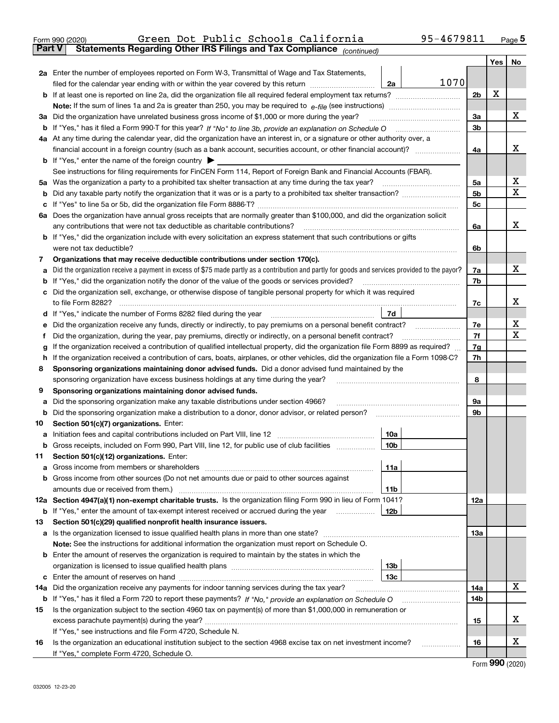|               | 95-4679811<br>Green Dot Public Schools California<br>Form 990 (2020)                                                                                                                                                                                       |                |     | Page $5$         |
|---------------|------------------------------------------------------------------------------------------------------------------------------------------------------------------------------------------------------------------------------------------------------------|----------------|-----|------------------|
| <b>Part V</b> | Statements Regarding Other IRS Filings and Tax Compliance (continued)                                                                                                                                                                                      |                |     |                  |
|               |                                                                                                                                                                                                                                                            |                | Yes | No               |
|               | 2a Enter the number of employees reported on Form W-3, Transmittal of Wage and Tax Statements,                                                                                                                                                             |                |     |                  |
|               | 1070<br>filed for the calendar year ending with or within the year covered by this return<br>2a                                                                                                                                                            |                |     |                  |
|               |                                                                                                                                                                                                                                                            | 2b             | X   |                  |
|               |                                                                                                                                                                                                                                                            |                |     |                  |
|               | 3a Did the organization have unrelated business gross income of \$1,000 or more during the year?                                                                                                                                                           | 3a             |     | х                |
|               |                                                                                                                                                                                                                                                            | 3b             |     |                  |
|               | 4a At any time during the calendar year, did the organization have an interest in, or a signature or other authority over, a                                                                                                                               |                |     |                  |
|               |                                                                                                                                                                                                                                                            | 4a             |     | х                |
|               | <b>b</b> If "Yes," enter the name of the foreign country $\triangleright$                                                                                                                                                                                  |                |     |                  |
|               |                                                                                                                                                                                                                                                            |                |     |                  |
|               | See instructions for filing requirements for FinCEN Form 114, Report of Foreign Bank and Financial Accounts (FBAR).                                                                                                                                        |                |     | X                |
|               |                                                                                                                                                                                                                                                            | 5a             |     | х                |
| b             |                                                                                                                                                                                                                                                            | 5 <sub>b</sub> |     |                  |
| c             |                                                                                                                                                                                                                                                            | 5c             |     |                  |
|               | 6a Does the organization have annual gross receipts that are normally greater than \$100,000, and did the organization solicit                                                                                                                             |                |     |                  |
|               |                                                                                                                                                                                                                                                            | 6a             |     | x                |
|               | <b>b</b> If "Yes," did the organization include with every solicitation an express statement that such contributions or gifts                                                                                                                              |                |     |                  |
|               | were not tax deductible?                                                                                                                                                                                                                                   | 6b             |     |                  |
| 7             | Organizations that may receive deductible contributions under section 170(c).                                                                                                                                                                              |                |     |                  |
| а             | Did the organization receive a payment in excess of \$75 made partly as a contribution and partly for goods and services provided to the payor?                                                                                                            | 7a             |     | х                |
| b             | If "Yes," did the organization notify the donor of the value of the goods or services provided?                                                                                                                                                            | 7b             |     |                  |
|               | c Did the organization sell, exchange, or otherwise dispose of tangible personal property for which it was required                                                                                                                                        |                |     |                  |
|               |                                                                                                                                                                                                                                                            | 7c             |     | х                |
|               |                                                                                                                                                                                                                                                            |                |     |                  |
| е             | Did the organization receive any funds, directly or indirectly, to pay premiums on a personal benefit contract?                                                                                                                                            | 7e             |     | X                |
| f             | Did the organization, during the year, pay premiums, directly or indirectly, on a personal benefit contract?                                                                                                                                               | 7f             |     | х                |
| g             | If the organization received a contribution of qualified intellectual property, did the organization file Form 8899 as required?                                                                                                                           | 7g             |     |                  |
| h             | If the organization received a contribution of cars, boats, airplanes, or other vehicles, did the organization file a Form 1098-C?                                                                                                                         | 7h             |     |                  |
| 8             | Sponsoring organizations maintaining donor advised funds. Did a donor advised fund maintained by the                                                                                                                                                       |                |     |                  |
|               | sponsoring organization have excess business holdings at any time during the year?                                                                                                                                                                         | 8              |     |                  |
| 9             | Sponsoring organizations maintaining donor advised funds.                                                                                                                                                                                                  |                |     |                  |
| а             | Did the sponsoring organization make any taxable distributions under section 4966?                                                                                                                                                                         | 9а             |     |                  |
| b             |                                                                                                                                                                                                                                                            | 9b             |     |                  |
|               |                                                                                                                                                                                                                                                            |                |     |                  |
| 10            | Section 501(c)(7) organizations. Enter:                                                                                                                                                                                                                    |                |     |                  |
|               | 10a<br> 10b                                                                                                                                                                                                                                                |                |     |                  |
|               | Gross receipts, included on Form 990, Part VIII, line 12, for public use of club facilities                                                                                                                                                                |                |     |                  |
| 11            | Section 501(c)(12) organizations. Enter:                                                                                                                                                                                                                   |                |     |                  |
|               | 11a                                                                                                                                                                                                                                                        |                |     |                  |
|               | b Gross income from other sources (Do not net amounts due or paid to other sources against                                                                                                                                                                 |                |     |                  |
|               | <b>11b</b>                                                                                                                                                                                                                                                 |                |     |                  |
|               | 12a Section 4947(a)(1) non-exempt charitable trusts. Is the organization filing Form 990 in lieu of Form 1041?                                                                                                                                             | 12a            |     |                  |
|               | 12 <sub>b</sub><br><b>b</b> If "Yes," enter the amount of tax-exempt interest received or accrued during the year <i>manument</i> of the set of the set of the set of the set of the set of the set of the set of the set of the set of the set of the set |                |     |                  |
| 13            | Section 501(c)(29) qualified nonprofit health insurance issuers.                                                                                                                                                                                           |                |     |                  |
|               | a Is the organization licensed to issue qualified health plans in more than one state?                                                                                                                                                                     | 13a            |     |                  |
|               | Note: See the instructions for additional information the organization must report on Schedule O.                                                                                                                                                          |                |     |                  |
|               | <b>b</b> Enter the amount of reserves the organization is required to maintain by the states in which the                                                                                                                                                  |                |     |                  |
|               | 13b                                                                                                                                                                                                                                                        |                |     |                  |
|               | 13с                                                                                                                                                                                                                                                        |                |     |                  |
| 14a           | Did the organization receive any payments for indoor tanning services during the tax year?                                                                                                                                                                 | 14a            |     | X                |
| b             | If "Yes," has it filed a Form 720 to report these payments? If "No," provide an explanation on Schedule O                                                                                                                                                  | 14b            |     |                  |
| 15            | Is the organization subject to the section 4960 tax on payment(s) of more than \$1,000,000 in remuneration or                                                                                                                                              |                |     |                  |
|               |                                                                                                                                                                                                                                                            | 15             |     | х                |
|               | If "Yes," see instructions and file Form 4720, Schedule N.                                                                                                                                                                                                 |                |     |                  |
|               |                                                                                                                                                                                                                                                            |                |     | х                |
| 16            | Is the organization an educational institution subject to the section 4968 excise tax on net investment income?                                                                                                                                            | 16             |     |                  |
|               | If "Yes," complete Form 4720, Schedule O.                                                                                                                                                                                                                  |                |     | Egrm $990(2020)$ |

Form (2020) **990**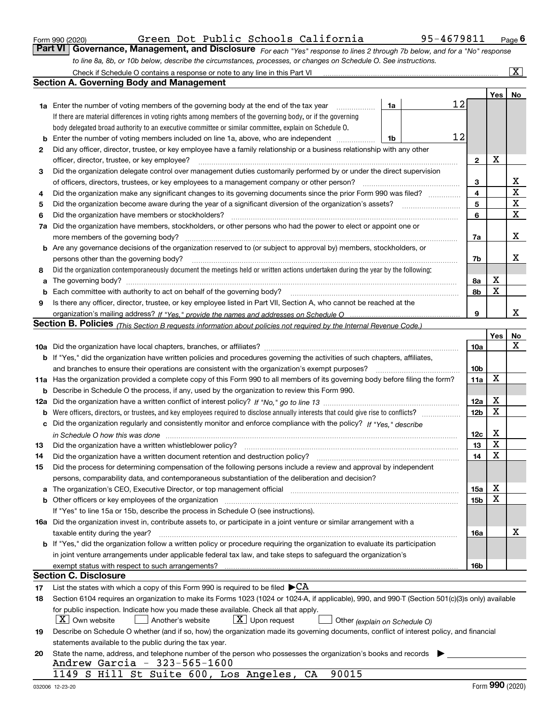|  | Form 990 (2020) |
|--|-----------------|
|  |                 |

|  | Green Dot Public Schools California |  |
|--|-------------------------------------|--|
|  |                                     |  |

*For each "Yes" response to lines 2 through 7b below, and for a "No" response to line 8a, 8b, or 10b below, describe the circumstances, processes, or changes on Schedule O. See instructions.* Form 990 (2020) Green Dot Public Schools California 95-4679811 <sub>Page</sub> 6<br>**Part VI** | Governance, Management, and Disclosure <sub>For each "Yes" response to lines 2 through 7b below, and for a "No" response</sub>

|     | Check if Schedule O contains a response or note to any line in this Part VI                                                                                           |                 |             | $\boxed{\text{X}}$ |
|-----|-----------------------------------------------------------------------------------------------------------------------------------------------------------------------|-----------------|-------------|--------------------|
|     | <b>Section A. Governing Body and Management</b>                                                                                                                       |                 |             |                    |
|     |                                                                                                                                                                       |                 | Yes         | No                 |
|     | 12<br><b>1a</b> Enter the number of voting members of the governing body at the end of the tax year<br>1a<br>.                                                        |                 |             |                    |
|     | If there are material differences in voting rights among members of the governing body, or if the governing                                                           |                 |             |                    |
|     | body delegated broad authority to an executive committee or similar committee, explain on Schedule O.                                                                 |                 |             |                    |
|     | 12<br>Enter the number of voting members included on line 1a, above, who are independent<br>1b                                                                        |                 |             |                    |
| 2   | Did any officer, director, trustee, or key employee have a family relationship or a business relationship with any other                                              |                 |             |                    |
|     | officer, director, trustee, or key employee?                                                                                                                          | $\mathbf{2}$    | X           |                    |
| 3   | Did the organization delegate control over management duties customarily performed by or under the direct supervision                                                 |                 |             |                    |
|     | of officers, directors, trustees, or key employees to a management company or other person?                                                                           | 3               |             | х                  |
| 4   | Did the organization make any significant changes to its governing documents since the prior Form 990 was filed?                                                      | 4               |             | $\mathbf X$        |
| 5   |                                                                                                                                                                       | 5               |             | X                  |
| 6   | Did the organization have members or stockholders?                                                                                                                    | 6               |             | X                  |
| 7a  | Did the organization have members, stockholders, or other persons who had the power to elect or appoint one or                                                        |                 |             |                    |
|     |                                                                                                                                                                       | 7a              |             | х                  |
| b   | Are any governance decisions of the organization reserved to (or subject to approval by) members, stockholders, or                                                    |                 |             |                    |
|     | persons other than the governing body?                                                                                                                                | 7b              |             | х                  |
| 8   | Did the organization contemporaneously document the meetings held or written actions undertaken during the year by the following:                                     |                 |             |                    |
| a   |                                                                                                                                                                       | 8а              | х           |                    |
|     |                                                                                                                                                                       | 8b              | $\mathbf X$ |                    |
| 9   | Is there any officer, director, trustee, or key employee listed in Part VII, Section A, who cannot be reached at the                                                  |                 |             |                    |
|     |                                                                                                                                                                       | 9               |             | x                  |
|     | Section B. Policies <sub>(This Section B requests information about policies not required by the Internal Revenue Code.)</sub>                                        |                 |             |                    |
|     |                                                                                                                                                                       |                 | Yes         | No                 |
|     |                                                                                                                                                                       | <b>10a</b>      |             | х                  |
|     | <b>b</b> If "Yes," did the organization have written policies and procedures governing the activities of such chapters, affiliates,                                   |                 |             |                    |
|     | and branches to ensure their operations are consistent with the organization's exempt purposes?                                                                       | 10 <sub>b</sub> |             |                    |
|     | 11a Has the organization provided a complete copy of this Form 990 to all members of its governing body before filing the form?                                       | 11a             | X           |                    |
| b   | Describe in Schedule O the process, if any, used by the organization to review this Form 990.                                                                         |                 |             |                    |
| 12a |                                                                                                                                                                       | 12a             | х           |                    |
| b   | Were officers, directors, or trustees, and key employees required to disclose annually interests that could give rise to conflicts?                                   | 12 <sub>b</sub> | X           |                    |
| с   | Did the organization regularly and consistently monitor and enforce compliance with the policy? If "Yes," describe                                                    |                 |             |                    |
|     | in Schedule O how this was done www.communication.com/www.communication.com/www.communication.com/www.communic                                                        | 12c             | х           |                    |
| 13  | Did the organization have a written whistleblower policy?                                                                                                             | 13              | X           |                    |
| 14  | Did the organization have a written document retention and destruction policy?                                                                                        | 14              | X           |                    |
| 15  | Did the process for determining compensation of the following persons include a review and approval by independent                                                    |                 |             |                    |
|     | persons, comparability data, and contemporaneous substantiation of the deliberation and decision?                                                                     |                 |             |                    |
|     | The organization's CEO, Executive Director, or top management official manufactured content of the organization's CEO, Executive Director, or top management official | 15a             | х           |                    |
|     | Other officers or key employees of the organization                                                                                                                   | 15 <sub>b</sub> | X           |                    |
|     | If "Yes" to line 15a or 15b, describe the process in Schedule O (see instructions).                                                                                   |                 |             |                    |
|     | 16a Did the organization invest in, contribute assets to, or participate in a joint venture or similar arrangement with a                                             |                 |             |                    |
|     | taxable entity during the year?                                                                                                                                       | 16a             |             | х                  |
|     | <b>b</b> If "Yes," did the organization follow a written policy or procedure requiring the organization to evaluate its participation                                 |                 |             |                    |
|     | in joint venture arrangements under applicable federal tax law, and take steps to safeguard the organization's                                                        |                 |             |                    |
|     | exempt status with respect to such arrangements?                                                                                                                      | 16b             |             |                    |
|     | <b>Section C. Disclosure</b>                                                                                                                                          |                 |             |                    |
| 17  | List the states with which a copy of this Form 990 is required to be filed $\blacktriangleright$ CA                                                                   |                 |             |                    |
| 18  | Section 6104 requires an organization to make its Forms 1023 (1024 or 1024-A, if applicable), 990, and 990-T (Section 501(c)(3)s only) available                      |                 |             |                    |
|     | for public inspection. Indicate how you made these available. Check all that apply.                                                                                   |                 |             |                    |
|     | $X$ Own website<br>$X$ Upon request<br>Another's website<br>Other (explain on Schedule O)                                                                             |                 |             |                    |
| 19  | Describe on Schedule O whether (and if so, how) the organization made its governing documents, conflict of interest policy, and financial                             |                 |             |                    |
|     | statements available to the public during the tax year.                                                                                                               |                 |             |                    |
| 20  | State the name, address, and telephone number of the person who possesses the organization's books and records                                                        |                 |             |                    |
|     | Andrew Garcia - 323-565-1600                                                                                                                                          |                 |             |                    |
|     | 90015<br>1149 S Hill St Suite 600, Los Angeles, CA                                                                                                                    |                 |             |                    |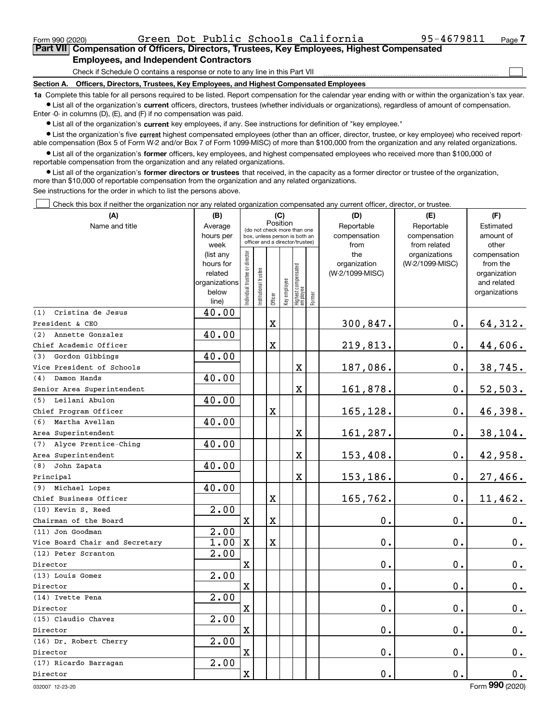$\mathcal{L}^{\text{max}}$ 

## **7Part VII Compensation of Officers, Directors, Trustees, Key Employees, Highest Compensated Employees, and Independent Contractors**

Check if Schedule O contains a response or note to any line in this Part VII

**Section A. Officers, Directors, Trustees, Key Employees, and Highest Compensated Employees**

**1a**  Complete this table for all persons required to be listed. Report compensation for the calendar year ending with or within the organization's tax year. **•** List all of the organization's current officers, directors, trustees (whether individuals or organizations), regardless of amount of compensation.

Enter -0- in columns (D), (E), and (F) if no compensation was paid.

 $\bullet$  List all of the organization's  $\,$ current key employees, if any. See instructions for definition of "key employee."

**•** List the organization's five current highest compensated employees (other than an officer, director, trustee, or key employee) who received reportable compensation (Box 5 of Form W-2 and/or Box 7 of Form 1099-MISC) of more than \$100,000 from the organization and any related organizations.

**•** List all of the organization's former officers, key employees, and highest compensated employees who received more than \$100,000 of reportable compensation from the organization and any related organizations.

**former directors or trustees**  ¥ List all of the organization's that received, in the capacity as a former director or trustee of the organization, more than \$10,000 of reportable compensation from the organization and any related organizations.

See instructions for the order in which to list the persons above.

Check this box if neither the organization nor any related organization compensated any current officer, director, or trustee.  $\mathcal{L}^{\text{max}}$ 

| (A)                            | (B)<br>(C)        |                                         |                                                                  |             |              |                                 |        | (D)             | (E)                           | (F)                   |
|--------------------------------|-------------------|-----------------------------------------|------------------------------------------------------------------|-------------|--------------|---------------------------------|--------|-----------------|-------------------------------|-----------------------|
| Name and title                 | Average           | Position<br>(do not check more than one |                                                                  |             |              |                                 |        | Reportable      | Reportable                    | Estimated             |
|                                | hours per         |                                         | box, unless person is both an<br>officer and a director/trustee) |             |              |                                 |        | compensation    | compensation                  | amount of             |
|                                | week<br>(list any |                                         |                                                                  |             |              |                                 |        | from<br>the     | from related<br>organizations | other<br>compensation |
|                                | hours for         |                                         |                                                                  |             |              |                                 |        | organization    | (W-2/1099-MISC)               | from the              |
|                                | related           |                                         |                                                                  |             |              |                                 |        | (W-2/1099-MISC) |                               | organization          |
|                                | organizations     |                                         |                                                                  |             |              |                                 |        |                 |                               | and related           |
|                                | below             | ndividual trustee or director           | nstitutional trustee                                             |             | key employee | Highest compensated<br>employee | Former |                 |                               | organizations         |
|                                | line)             |                                         |                                                                  | Officer     |              |                                 |        |                 |                               |                       |
| (1)<br>Cristina de Jesus       | 40.00             |                                         |                                                                  |             |              |                                 |        |                 |                               |                       |
| President & CEO                |                   |                                         |                                                                  | $\mathbf X$ |              |                                 |        | 300,847.        | 0.                            | 64,312.               |
| (2)<br>Annette Gonzalez        | 40.00             |                                         |                                                                  |             |              |                                 |        |                 |                               |                       |
| Chief Academic Officer         |                   |                                         |                                                                  | $\mathbf X$ |              |                                 |        | 219,813.        | $\mathbf 0$ .                 | 44,606.               |
| (3)<br>Gordon Gibbings         | 40.00             |                                         |                                                                  |             |              |                                 |        |                 |                               |                       |
| Vice President of Schools      |                   |                                         |                                                                  |             |              | X                               |        | 187,086.        | 0.                            | 38,745.               |
| Damon Hands<br>(4)             | 40.00             |                                         |                                                                  |             |              |                                 |        |                 |                               |                       |
| Senior Area Superintendent     |                   |                                         |                                                                  |             |              | $\mathbf x$                     |        | 161,878.        | $\mathbf 0$ .                 | 52,503.               |
| Leilani Abulon<br>(5)          | 40.00             |                                         |                                                                  |             |              |                                 |        |                 |                               |                       |
| Chief Program Officer          |                   |                                         |                                                                  | $\mathbf X$ |              |                                 |        | 165,128.        | $\mathbf 0$ .                 | 46,398.               |
| Martha Avellan<br>(6)          | 40.00             |                                         |                                                                  |             |              |                                 |        |                 |                               |                       |
| Area Superintendent            |                   |                                         |                                                                  |             |              | X                               |        | 161,287.        | $\mathbf 0$ .                 | 38, 104.              |
| Alyce Prentice-Ching<br>(7)    | 40.00             |                                         |                                                                  |             |              |                                 |        |                 |                               |                       |
| Area Superintendent            |                   |                                         |                                                                  |             |              | X                               |        | 153,408.        | 0.                            | 42,958.               |
| John Zapata<br>(8)             | 40.00             |                                         |                                                                  |             |              |                                 |        |                 |                               |                       |
| Principal                      |                   |                                         |                                                                  |             |              | X                               |        | 153,186.        | 0.                            | 27,466.               |
| (9) Michael Lopez              | 40.00             |                                         |                                                                  |             |              |                                 |        |                 |                               |                       |
| Chief Business Officer         |                   |                                         |                                                                  | X           |              |                                 |        | 165,762.        | $\mathbf{0}$ .                | 11,462.               |
| (10) Kevin S. Reed             | 2.00              |                                         |                                                                  |             |              |                                 |        |                 |                               |                       |
| Chairman of the Board          |                   | $\mathbf X$                             |                                                                  | $\mathbf X$ |              |                                 |        | 0.              | 0.                            | 0.                    |
| (11) Jon Goodman               | 2.00              |                                         |                                                                  |             |              |                                 |        |                 |                               |                       |
| Vice Board Chair and Secretary | 1.00              | $\mathbf X$                             |                                                                  | $\mathbf X$ |              |                                 |        | 0.              | $\mathbf 0$ .                 | 0.                    |
| (12) Peter Scranton            | 2.00              |                                         |                                                                  |             |              |                                 |        |                 |                               |                       |
| Director                       |                   | $\mathbf X$                             |                                                                  |             |              |                                 |        | 0.              | $\mathbf 0$ .                 | 0.                    |
| (13) Louis Gomez               | 2.00              |                                         |                                                                  |             |              |                                 |        |                 |                               |                       |
| Director                       |                   | $\mathbf X$                             |                                                                  |             |              |                                 |        | 0.              | $\mathbf 0$ .                 | $0_{.}$               |
| (14) Ivette Pena               | 2.00              |                                         |                                                                  |             |              |                                 |        |                 |                               |                       |
| Director                       |                   | $\mathbf X$                             |                                                                  |             |              |                                 |        | 0.              | $\mathbf{0}$ .                | 0.                    |
| (15) Claudio Chavez            | 2.00              |                                         |                                                                  |             |              |                                 |        |                 |                               |                       |
| Director                       |                   | $\mathbf X$                             |                                                                  |             |              |                                 |        | 0.              | $\mathbf{0}$ .                | $\mathbf 0$ .         |
| (16) Dr. Robert Cherry         | 2.00              |                                         |                                                                  |             |              |                                 |        |                 |                               |                       |
| Director                       |                   | $\overline{\mathbf{X}}$                 |                                                                  |             |              |                                 |        | 0.              | $\mathbf{0}$ .                | $\mathbf 0$ .         |
| (17) Ricardo Barragan          | 2.00              |                                         |                                                                  |             |              |                                 |        |                 |                               |                       |
| Director                       |                   | $\mathbf X$                             |                                                                  |             |              |                                 |        | 0.              | $\mathbf 0$ .                 | 0.                    |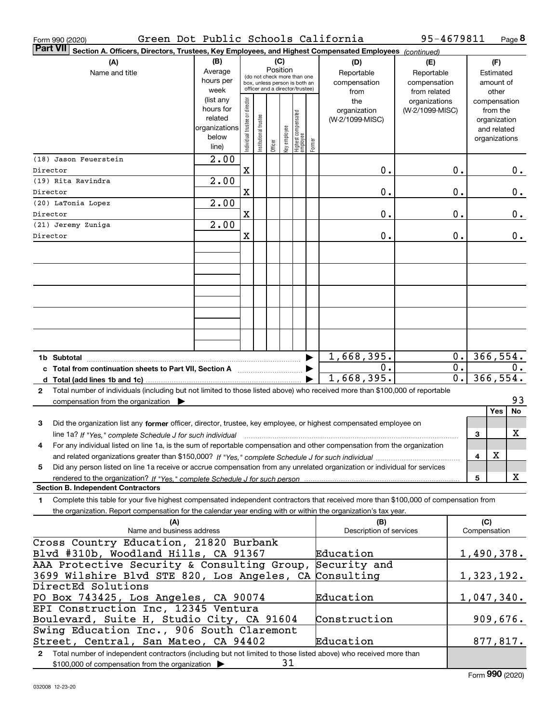| Form 990 (2020)                                                                                                                                      | Green Dot Public Schools California                                  |                                |                       |         |                 |                                                                                                 |        |                                           | 95-4679811                                        |                  |                                                                          | Page 8    |
|------------------------------------------------------------------------------------------------------------------------------------------------------|----------------------------------------------------------------------|--------------------------------|-----------------------|---------|-----------------|-------------------------------------------------------------------------------------------------|--------|-------------------------------------------|---------------------------------------------------|------------------|--------------------------------------------------------------------------|-----------|
| <b>Part VII</b><br>Section A. Officers, Directors, Trustees, Key Employees, and Highest Compensated Employees (continued)                            |                                                                      |                                |                       |         |                 |                                                                                                 |        |                                           |                                                   |                  |                                                                          |           |
| (A)<br>Name and title                                                                                                                                | (B)<br>Average<br>hours per<br>week                                  |                                |                       |         | (C)<br>Position | (do not check more than one<br>box, unless person is both an<br>officer and a director/trustee) |        | (D)<br>Reportable<br>compensation<br>from | (E)<br>Reportable<br>compensation<br>from related |                  | (F)<br>Estimated<br>amount of<br>other                                   |           |
|                                                                                                                                                      | (list any<br>hours for<br>related<br>organizations<br>below<br>line) | Individual trustee or director | Institutional trustee | Officer | Key employee    | Highest compensated<br> employee                                                                | Former | the<br>organization<br>(W-2/1099-MISC)    | organizations<br>(W-2/1099-MISC)                  |                  | compensation<br>from the<br>organization<br>and related<br>organizations |           |
| (18) Jason Feuerstein                                                                                                                                | 2.00                                                                 |                                |                       |         |                 |                                                                                                 |        |                                           |                                                   |                  |                                                                          |           |
| Director                                                                                                                                             | $\overline{2.00}$                                                    | $\mathbf X$                    |                       |         |                 |                                                                                                 |        | 0.                                        |                                                   | 0.               |                                                                          | 0.        |
| (19) Rita Ravindra<br>Director                                                                                                                       |                                                                      | X                              |                       |         |                 |                                                                                                 |        | 0.                                        |                                                   | 0.               |                                                                          | 0.        |
| (20) LaTonia Lopez                                                                                                                                   | $\overline{2.00}$                                                    |                                |                       |         |                 |                                                                                                 |        |                                           |                                                   |                  |                                                                          |           |
| Director                                                                                                                                             |                                                                      | $\mathbf X$                    |                       |         |                 |                                                                                                 |        | 0.                                        |                                                   | 0.               |                                                                          | $0$ .     |
| (21) Jeremy Zuniga                                                                                                                                   | $\overline{2.00}$                                                    |                                |                       |         |                 |                                                                                                 |        |                                           |                                                   |                  |                                                                          |           |
| Director                                                                                                                                             |                                                                      | X                              |                       |         |                 |                                                                                                 |        | 0.                                        |                                                   | 0.               |                                                                          | $0$ .     |
|                                                                                                                                                      |                                                                      |                                |                       |         |                 |                                                                                                 |        |                                           |                                                   |                  |                                                                          |           |
|                                                                                                                                                      |                                                                      |                                |                       |         |                 |                                                                                                 |        |                                           |                                                   |                  |                                                                          |           |
|                                                                                                                                                      |                                                                      |                                |                       |         |                 |                                                                                                 |        |                                           |                                                   |                  |                                                                          |           |
|                                                                                                                                                      |                                                                      |                                |                       |         |                 |                                                                                                 |        |                                           |                                                   |                  |                                                                          |           |
|                                                                                                                                                      |                                                                      |                                |                       |         |                 |                                                                                                 |        |                                           |                                                   |                  |                                                                          |           |
|                                                                                                                                                      |                                                                      |                                |                       |         |                 |                                                                                                 |        |                                           |                                                   |                  |                                                                          |           |
|                                                                                                                                                      |                                                                      |                                |                       |         |                 |                                                                                                 |        |                                           |                                                   |                  |                                                                          |           |
|                                                                                                                                                      |                                                                      |                                |                       |         |                 |                                                                                                 |        |                                           |                                                   |                  |                                                                          |           |
|                                                                                                                                                      |                                                                      |                                |                       |         |                 |                                                                                                 |        |                                           |                                                   |                  |                                                                          |           |
|                                                                                                                                                      |                                                                      |                                |                       |         |                 |                                                                                                 |        | 1,668,395.                                |                                                   | 0.               |                                                                          | 366, 554. |
| c Total from continuation sheets to Part VII, Section A <b>manual</b> Testion Structure 1                                                            |                                                                      |                                |                       |         |                 |                                                                                                 |        | 0.                                        |                                                   | $\overline{0}$ . |                                                                          | 0.        |
|                                                                                                                                                      |                                                                      |                                |                       |         |                 |                                                                                                 |        | 1,668,395.                                |                                                   | $\overline{0}$ . |                                                                          | 366, 554. |
| Total number of individuals (including but not limited to those listed above) who received more than \$100,000 of reportable<br>$\mathbf{2}$         |                                                                      |                                |                       |         |                 |                                                                                                 |        |                                           |                                                   |                  |                                                                          |           |
| compensation from the organization $\blacktriangleright$                                                                                             |                                                                      |                                |                       |         |                 |                                                                                                 |        |                                           |                                                   |                  | Yes                                                                      | 93<br>No  |
| 3<br>Did the organization list any former officer, director, trustee, key employee, or highest compensated employee on                               |                                                                      |                                |                       |         |                 |                                                                                                 |        |                                           |                                                   |                  |                                                                          |           |
| line 1a? If "Yes," complete Schedule J for such individual manufactured contained and the line 1a? If "Yes," complete Schedule J for such individual |                                                                      |                                |                       |         |                 |                                                                                                 |        |                                           |                                                   |                  | З                                                                        | X         |
| For any individual listed on line 1a, is the sum of reportable compensation and other compensation from the organization                             |                                                                      |                                |                       |         |                 |                                                                                                 |        |                                           |                                                   |                  |                                                                          |           |
|                                                                                                                                                      |                                                                      |                                |                       |         |                 |                                                                                                 |        |                                           |                                                   |                  | X<br>4                                                                   |           |
| Did any person listed on line 1a receive or accrue compensation from any unrelated organization or individual for services<br>5                      |                                                                      |                                |                       |         |                 |                                                                                                 |        |                                           |                                                   |                  |                                                                          |           |
| rendered to the organization? If "Yes." complete Schedule J for such person                                                                          |                                                                      |                                |                       |         |                 |                                                                                                 |        |                                           |                                                   |                  | 5                                                                        | X         |
| <b>Section B. Independent Contractors</b>                                                                                                            |                                                                      |                                |                       |         |                 |                                                                                                 |        |                                           |                                                   |                  |                                                                          |           |
| Complete this table for your five highest compensated independent contractors that received more than \$100,000 of compensation from<br>1.           |                                                                      |                                |                       |         |                 |                                                                                                 |        |                                           |                                                   |                  |                                                                          |           |
| the organization. Report compensation for the calendar year ending with or within the organization's tax year.                                       |                                                                      |                                |                       |         |                 |                                                                                                 |        |                                           |                                                   |                  |                                                                          |           |
| (A)<br>Name and business address                                                                                                                     |                                                                      |                                |                       |         |                 |                                                                                                 |        | (B)<br>Description of services            |                                                   |                  | (C)<br>Compensation                                                      |           |
| Cross Country Education, 21820 Burbank                                                                                                               |                                                                      |                                |                       |         |                 |                                                                                                 |        |                                           |                                                   |                  |                                                                          |           |
| Blvd #310b, Woodland Hills, CA 91367                                                                                                                 |                                                                      |                                |                       |         |                 |                                                                                                 |        | Education                                 |                                                   |                  | <u>1,490,378.</u>                                                        |           |
| AAA Protective Security & Consulting Group,                                                                                                          |                                                                      |                                |                       |         |                 |                                                                                                 |        | Security and                              |                                                   |                  |                                                                          |           |
| 3699 Wilshire Blvd STE 820, Los Angeles, CA                                                                                                          |                                                                      |                                |                       |         |                 |                                                                                                 |        | Consulting                                |                                                   |                  | 1,323,192.                                                               |           |
| DirectEd Solutions                                                                                                                                   |                                                                      |                                |                       |         |                 |                                                                                                 |        |                                           |                                                   |                  |                                                                          |           |
| PO Box 743425, Los Angeles, CA 90074                                                                                                                 |                                                                      |                                |                       |         |                 |                                                                                                 |        | Education                                 |                                                   |                  | 1,047,340.                                                               |           |
| EPI Construction Inc, 12345 Ventura<br>Boulevard, Suite H, Studio City, CA 91604                                                                     |                                                                      |                                |                       |         |                 |                                                                                                 |        |                                           |                                                   |                  |                                                                          |           |
| Swing Education Inc., 906 South Claremont                                                                                                            |                                                                      |                                |                       |         |                 |                                                                                                 |        | Construction                              |                                                   |                  |                                                                          | 909,676.  |
| Street, Central, San Mateo, CA 94402                                                                                                                 |                                                                      |                                |                       |         |                 |                                                                                                 |        | Education                                 |                                                   |                  |                                                                          | 877,817.  |
| 2 Total number of independent contractors (including but not limited to those listed above) who received more than                                   |                                                                      |                                |                       |         |                 |                                                                                                 |        |                                           |                                                   |                  |                                                                          |           |
| \$100,000 of compensation from the organization >                                                                                                    |                                                                      |                                |                       |         | 31              |                                                                                                 |        |                                           |                                                   |                  |                                                                          |           |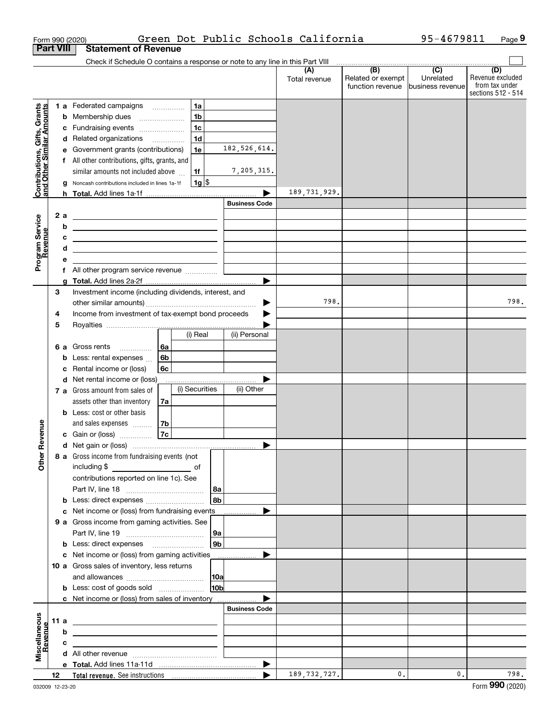|                                                           | Form 990 (2020)  |                                                                               |                |                |                      | Green Dot Public Schools California |                   | 95-4679811       | Page 9                               |
|-----------------------------------------------------------|------------------|-------------------------------------------------------------------------------|----------------|----------------|----------------------|-------------------------------------|-------------------|------------------|--------------------------------------|
|                                                           | <b>Part VIII</b> | <b>Statement of Revenue</b>                                                   |                |                |                      |                                     |                   |                  |                                      |
|                                                           |                  | Check if Schedule O contains a response or note to any line in this Part VIII |                |                |                      | (A)                                 | (B)               | $\overline{C}$   | (D)                                  |
|                                                           |                  |                                                                               |                |                |                      | Total revenue                       | Related or exempt | Unrelated        | Revenue excluded                     |
|                                                           |                  |                                                                               |                |                |                      |                                     | function revenue  | business revenue | from tax under<br>sections 512 - 514 |
|                                                           |                  | 1 a Federated campaigns                                                       |                | 1a             |                      |                                     |                   |                  |                                      |
| Contributions, Gifts, Grants<br>and Other Similar Amounts |                  | <b>b</b> Membership dues                                                      |                | 1 <sub>b</sub> |                      |                                     |                   |                  |                                      |
|                                                           | c                | Fundraising events                                                            |                | 1c             |                      |                                     |                   |                  |                                      |
|                                                           |                  | d Related organizations                                                       | 1 <sub>d</sub> |                |                      |                                     |                   |                  |                                      |
|                                                           |                  | e Government grants (contributions)                                           |                | 1e             | 182, 526, 614.       |                                     |                   |                  |                                      |
|                                                           |                  | f All other contributions, gifts, grants, and                                 |                |                |                      |                                     |                   |                  |                                      |
|                                                           |                  | similar amounts not included above                                            | 1f             |                | 7,205,315.           |                                     |                   |                  |                                      |
|                                                           | a                | Noncash contributions included in lines 1a-1f                                 |                | $1g$ \$        |                      |                                     |                   |                  |                                      |
|                                                           |                  |                                                                               |                |                | <b>Business Code</b> | 189, 731, 929.                      |                   |                  |                                      |
|                                                           | 2a               |                                                                               |                |                |                      |                                     |                   |                  |                                      |
|                                                           | b                |                                                                               |                |                |                      |                                     |                   |                  |                                      |
|                                                           | с                |                                                                               |                |                |                      |                                     |                   |                  |                                      |
|                                                           | d                | <u> 1989 - Johann Barbara, martxa alemaniar arg</u>                           |                |                |                      |                                     |                   |                  |                                      |
| Program Service<br>Revenue                                | е                |                                                                               |                |                |                      |                                     |                   |                  |                                      |
|                                                           | f                | All other program service revenue                                             |                |                |                      |                                     |                   |                  |                                      |
|                                                           | a                |                                                                               |                |                | ▶                    |                                     |                   |                  |                                      |
|                                                           | 3                | Investment income (including dividends, interest, and                         |                |                |                      |                                     |                   |                  |                                      |
|                                                           |                  |                                                                               |                |                | ▶                    | 798.                                |                   |                  | 798.                                 |
|                                                           | 4                | Income from investment of tax-exempt bond proceeds                            |                |                |                      |                                     |                   |                  |                                      |
|                                                           | 5                |                                                                               | (i) Real       |                | (ii) Personal        |                                     |                   |                  |                                      |
|                                                           |                  | 6 a Gross rents                                                               | 6a             |                |                      |                                     |                   |                  |                                      |
|                                                           | b                | .<br>Less: rental expenses                                                    | 6b             |                |                      |                                     |                   |                  |                                      |
|                                                           | с                | Rental income or (loss)                                                       | 6c             |                |                      |                                     |                   |                  |                                      |
|                                                           |                  | d Net rental income or (loss)                                                 |                |                |                      |                                     |                   |                  |                                      |
|                                                           |                  | 7 a Gross amount from sales of                                                | (i) Securities |                | (ii) Other           |                                     |                   |                  |                                      |
|                                                           |                  | assets other than inventory                                                   | 7a             |                |                      |                                     |                   |                  |                                      |
|                                                           |                  | <b>b</b> Less: cost or other basis                                            |                |                |                      |                                     |                   |                  |                                      |
| venue                                                     |                  | and sales expenses                                                            | 7b             |                |                      |                                     |                   |                  |                                      |
|                                                           |                  | c Gain or (loss)                                                              | 7c             |                |                      |                                     |                   |                  |                                      |
|                                                           |                  |                                                                               |                |                |                      |                                     |                   |                  |                                      |
| Other Re                                                  |                  | 8 a Gross income from fundraising events (not                                 |                |                |                      |                                     |                   |                  |                                      |
|                                                           |                  | including \$<br>contributions reported on line 1c). See                       |                |                |                      |                                     |                   |                  |                                      |
|                                                           |                  |                                                                               |                | 8a             |                      |                                     |                   |                  |                                      |
|                                                           | b                | Less: direct expenses                                                         |                | 8b             |                      |                                     |                   |                  |                                      |
|                                                           |                  | Net income or (loss) from fundraising events                                  |                |                | ▶<br>.               |                                     |                   |                  |                                      |
|                                                           |                  | 9 a Gross income from gaming activities. See                                  |                |                |                      |                                     |                   |                  |                                      |
|                                                           |                  |                                                                               |                | 9a             |                      |                                     |                   |                  |                                      |
|                                                           |                  |                                                                               |                | 9b             |                      |                                     |                   |                  |                                      |
|                                                           |                  | c Net income or (loss) from gaming activities                                 |                |                | ▶                    |                                     |                   |                  |                                      |
|                                                           |                  | 10 a Gross sales of inventory, less returns                                   |                |                |                      |                                     |                   |                  |                                      |
|                                                           |                  |                                                                               |                | 10a            |                      |                                     |                   |                  |                                      |
|                                                           |                  | <b>b</b> Less: cost of goods sold                                             |                | 10b            |                      |                                     |                   |                  |                                      |
|                                                           |                  | c Net income or (loss) from sales of inventory                                |                |                | <b>Business Code</b> |                                     |                   |                  |                                      |
|                                                           | 11 a             |                                                                               |                |                |                      |                                     |                   |                  |                                      |
|                                                           | b                |                                                                               |                |                |                      |                                     |                   |                  |                                      |
| Revenue                                                   | с                |                                                                               |                |                |                      |                                     |                   |                  |                                      |
| Miscellaneous                                             |                  |                                                                               |                |                |                      |                                     |                   |                  |                                      |
|                                                           |                  |                                                                               |                |                | ▶                    |                                     |                   |                  |                                      |
|                                                           | 12               |                                                                               |                |                |                      | 189, 732, 727.                      | 0.                | $\mathfrak{o}$ . | 798.                                 |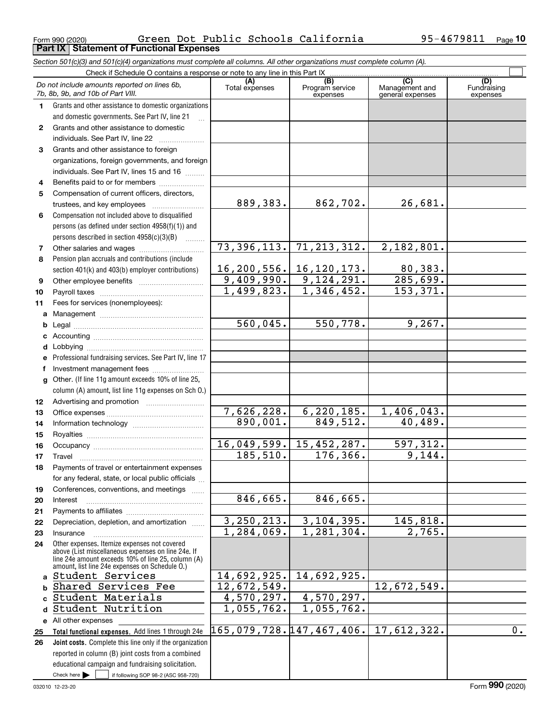Form 990 (2020) Page **Part IX Statement of Functional Expenses** Green Dot Public Schools California 95-4679811

*Section 501(c)(3) and 501(c)(4) organizations must complete all columns. All other organizations must complete column (A).*

|          | Do not include amounts reported on lines 6b,<br>7b, 8b, 9b, and 10b of Part VIII.                    | (A)<br>Total expenses   | (B)<br>Program service<br>expenses | $\overline{C}$<br>Management and<br>general expenses | (D)<br>Fundraising<br>expenses |
|----------|------------------------------------------------------------------------------------------------------|-------------------------|------------------------------------|------------------------------------------------------|--------------------------------|
| 1.       | Grants and other assistance to domestic organizations                                                |                         |                                    |                                                      |                                |
|          | and domestic governments. See Part IV, line 21                                                       |                         |                                    |                                                      |                                |
| 2        | Grants and other assistance to domestic                                                              |                         |                                    |                                                      |                                |
|          | individuals. See Part IV, line 22                                                                    |                         |                                    |                                                      |                                |
| 3        | Grants and other assistance to foreign                                                               |                         |                                    |                                                      |                                |
|          | organizations, foreign governments, and foreign                                                      |                         |                                    |                                                      |                                |
|          | individuals. See Part IV, lines 15 and 16                                                            |                         |                                    |                                                      |                                |
| 4        | Benefits paid to or for members                                                                      |                         |                                    |                                                      |                                |
| 5        | Compensation of current officers, directors,                                                         |                         |                                    |                                                      |                                |
|          |                                                                                                      | 889,383.                | 862, 702.                          | 26,681.                                              |                                |
| 6        | Compensation not included above to disqualified                                                      |                         |                                    |                                                      |                                |
|          | persons (as defined under section 4958(f)(1)) and                                                    |                         |                                    |                                                      |                                |
|          | persons described in section $4958(c)(3)(B)$<br>1.1.1.1.1.1.1                                        |                         |                                    |                                                      |                                |
| 7        |                                                                                                      | 73,396,113.             | 71, 213, 312.                      | 2,182,801.                                           |                                |
| 8        | Pension plan accruals and contributions (include                                                     |                         |                                    |                                                      |                                |
|          | section 401(k) and 403(b) employer contributions)                                                    |                         | 16, 200, 556. 16, 120, 173.        | 80,383.                                              |                                |
| 9        |                                                                                                      | 9,409,990.              | 9,124,291.                         | 285,699.                                             |                                |
| 10       |                                                                                                      | 1,499,823.              | 1,346,452.                         | 153,371.                                             |                                |
| 11       | Fees for services (nonemployees):                                                                    |                         |                                    |                                                      |                                |
| a        |                                                                                                      |                         |                                    |                                                      |                                |
| b        |                                                                                                      | 560,045.                | 550,778.                           | 9,267.                                               |                                |
| c        |                                                                                                      |                         |                                    |                                                      |                                |
| d        |                                                                                                      |                         |                                    |                                                      |                                |
|          | Professional fundraising services. See Part IV, line 17                                              |                         |                                    |                                                      |                                |
| f        | Investment management fees                                                                           |                         |                                    |                                                      |                                |
|          | Other. (If line 11g amount exceeds 10% of line 25,                                                   |                         |                                    |                                                      |                                |
|          | column (A) amount, list line 11g expenses on Sch 0.)                                                 |                         |                                    |                                                      |                                |
| 12       |                                                                                                      |                         |                                    |                                                      |                                |
| 13       |                                                                                                      | 7,626,228.              | 6, 220, 185.                       | 1,406,043.                                           |                                |
| 14       |                                                                                                      | 890,001.                | 849,512.                           | 40,489.                                              |                                |
| 15       |                                                                                                      |                         |                                    |                                                      |                                |
| 16       |                                                                                                      | 16,049,599.<br>185,510. | 15,452,287.<br>176, 366.           | 597,312.<br>9,144.                                   |                                |
| 17       | Travel                                                                                               |                         |                                    |                                                      |                                |
| 18       | Payments of travel or entertainment expenses                                                         |                         |                                    |                                                      |                                |
|          | for any federal, state, or local public officials                                                    |                         |                                    |                                                      |                                |
| 19       | Conferences, conventions, and meetings                                                               | 846,665.                | 846,665.                           |                                                      |                                |
| 20       | Interest                                                                                             |                         |                                    |                                                      |                                |
| 21       | Depreciation, depletion, and amortization                                                            | 3, 250, 213.            | 3, 104, 395.                       | 145,818.                                             |                                |
| 22<br>23 | Insurance                                                                                            | 1,284,069.              | 1,281,304.                         | 2,765.                                               |                                |
| 24       | Other expenses. Itemize expenses not covered                                                         |                         |                                    |                                                      |                                |
|          | above (List miscellaneous expenses on line 24e. If                                                   |                         |                                    |                                                      |                                |
|          | line 24e amount exceeds 10% of line 25, column (A)<br>amount, list line 24e expenses on Schedule O.) |                         |                                    |                                                      |                                |
| a        | Student Services                                                                                     | 14,692,925.             | 14,692,925.                        |                                                      |                                |
| b        | Shared Services Fee                                                                                  | 12,672,549.             |                                    | 12,672,549.                                          |                                |
| C        | Student Materials                                                                                    | 4,570,297.              | 4,570,297.                         |                                                      |                                |
| d        | Student Nutrition                                                                                    | 1,055,762.              | 1,055,762.                         |                                                      |                                |
|          | e All other expenses                                                                                 |                         |                                    |                                                      |                                |
| 25       | Total functional expenses. Add lines 1 through 24e                                                   |                         | 165,079,728.147,467,406.           | 17,612,322.                                          | 0.                             |
| 26       | Joint costs. Complete this line only if the organization                                             |                         |                                    |                                                      |                                |
|          | reported in column (B) joint costs from a combined                                                   |                         |                                    |                                                      |                                |
|          | educational campaign and fundraising solicitation.                                                   |                         |                                    |                                                      |                                |
|          | Check here $\blacktriangleright$<br>if following SOP 98-2 (ASC 958-720)                              |                         |                                    |                                                      |                                |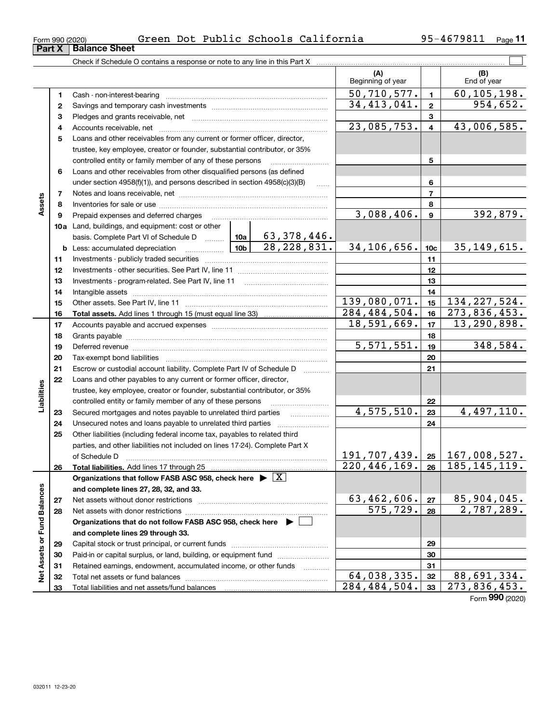| LOIIII AAN (SASA) |                             |
|-------------------|-----------------------------|
|                   | <b>Part X Balance Sheet</b> |

| Form 990 (2020) | Green |  |  | Dot Public Schools California | 95-4679811 | Page |
|-----------------|-------|--|--|-------------------------------|------------|------|
|-----------------|-------|--|--|-------------------------------|------------|------|

|                             |    | Check if Schedule O contains a response or note to any line in this Part X                                                                                                                                                     |                 |               |                               |                         |                                           |
|-----------------------------|----|--------------------------------------------------------------------------------------------------------------------------------------------------------------------------------------------------------------------------------|-----------------|---------------|-------------------------------|-------------------------|-------------------------------------------|
|                             |    |                                                                                                                                                                                                                                |                 |               | (A)<br>Beginning of year      |                         | (B)<br>End of year                        |
|                             | 1. |                                                                                                                                                                                                                                |                 |               | 50,710,577.                   | $\mathbf{1}$            | $\overline{60, 105, 198.}$                |
|                             | 2  |                                                                                                                                                                                                                                | 34, 413, 041.   | $\mathbf{2}$  | 954,652.                      |                         |                                           |
|                             | з  |                                                                                                                                                                                                                                |                 | $\mathbf{3}$  |                               |                         |                                           |
|                             | 4  |                                                                                                                                                                                                                                |                 |               | 23,085,753.                   | $\overline{\mathbf{4}}$ | 43,006,585.                               |
|                             | 5  | Loans and other receivables from any current or former officer, director,                                                                                                                                                      |                 |               |                               |                         |                                           |
|                             |    | trustee, key employee, creator or founder, substantial contributor, or 35%                                                                                                                                                     |                 |               |                               |                         |                                           |
|                             |    | controlled entity or family member of any of these persons                                                                                                                                                                     |                 |               |                               | 5                       |                                           |
|                             | 6  | Loans and other receivables from other disqualified persons (as defined                                                                                                                                                        |                 |               |                               |                         |                                           |
|                             |    | under section $4958(f)(1)$ , and persons described in section $4958(c)(3)(B)$                                                                                                                                                  |                 | $\ldots$      |                               | 6                       |                                           |
|                             | 7  |                                                                                                                                                                                                                                |                 |               |                               | $\overline{7}$          |                                           |
| Assets                      | 8  |                                                                                                                                                                                                                                |                 |               |                               | 8                       |                                           |
|                             | 9  | Prepaid expenses and deferred charges                                                                                                                                                                                          |                 |               | 3,088,406.                    | $\boldsymbol{9}$        | 392,879.                                  |
|                             |    | 10a Land, buildings, and equipment: cost or other                                                                                                                                                                              |                 |               |                               |                         |                                           |
|                             |    | basis. Complete Part VI of Schedule D    10a   63, 378, 446.                                                                                                                                                                   |                 |               |                               |                         |                                           |
|                             |    | <b>b</b> Less: accumulated depreciation<br>. 1                                                                                                                                                                                 | 10 <sub>b</sub> | 28, 228, 831. | 34,106,656.                   | 10 <sub>c</sub>         | 35, 149, 615.                             |
|                             | 11 |                                                                                                                                                                                                                                |                 | 11            |                               |                         |                                           |
|                             | 12 |                                                                                                                                                                                                                                |                 |               |                               | 12                      |                                           |
|                             | 13 |                                                                                                                                                                                                                                |                 | 13            |                               |                         |                                           |
|                             | 14 |                                                                                                                                                                                                                                |                 | 14            |                               |                         |                                           |
|                             | 15 |                                                                                                                                                                                                                                | 139,080,071.    | 15            | 134, 227, 524.                |                         |                                           |
|                             | 16 |                                                                                                                                                                                                                                |                 |               | 284, 484, 504.                | 16                      | 273,836,453.                              |
|                             | 17 |                                                                                                                                                                                                                                |                 |               | 18,591,669.                   | 17                      | 13,290,898.                               |
|                             | 18 |                                                                                                                                                                                                                                |                 | 18            |                               |                         |                                           |
|                             | 19 | Deferred revenue manual contracts and contracts are contracted and contract and contract are contracted and contract are contracted and contract are contracted and contract are contracted and contract are contracted and co |                 |               | 5,571,551.                    | 19                      | 348,584.                                  |
|                             | 20 |                                                                                                                                                                                                                                |                 |               |                               | 20                      |                                           |
|                             | 21 | Escrow or custodial account liability. Complete Part IV of Schedule D                                                                                                                                                          |                 |               |                               | 21                      |                                           |
|                             | 22 | Loans and other payables to any current or former officer, director,                                                                                                                                                           |                 |               |                               |                         |                                           |
| Liabilities                 |    | trustee, key employee, creator or founder, substantial contributor, or 35%                                                                                                                                                     |                 |               |                               |                         |                                           |
|                             |    | controlled entity or family member of any of these persons                                                                                                                                                                     |                 |               |                               | 22                      |                                           |
|                             | 23 | Secured mortgages and notes payable to unrelated third parties                                                                                                                                                                 |                 |               | 4,575,510.                    | 23                      | $\overline{4, 497}, 110.$                 |
|                             | 24 | Unsecured notes and loans payable to unrelated third parties                                                                                                                                                                   |                 |               |                               | 24                      |                                           |
|                             | 25 | Other liabilities (including federal income tax, payables to related third                                                                                                                                                     |                 |               |                               |                         |                                           |
|                             |    | parties, and other liabilities not included on lines 17-24). Complete Part X                                                                                                                                                   |                 |               |                               |                         |                                           |
|                             |    | of Schedule D                                                                                                                                                                                                                  |                 |               |                               |                         | $191, 707, 439.$ $25 \mid 167, 008, 527.$ |
|                             | 26 | Total liabilities. Add lines 17 through 25                                                                                                                                                                                     |                 |               | 220, 446, 169.                |                         | $26 \mid 185, 145, 119.$                  |
|                             |    | Organizations that follow FASB ASC 958, check here $\triangleright \lfloor X \rfloor$                                                                                                                                          |                 |               |                               |                         |                                           |
|                             |    | and complete lines 27, 28, 32, and 33.                                                                                                                                                                                         |                 |               |                               |                         |                                           |
|                             | 27 |                                                                                                                                                                                                                                |                 |               | 63,462,606.                   | 27                      | 85,904,045.                               |
|                             | 28 |                                                                                                                                                                                                                                |                 |               | $\overline{575, 729}$ .       | 28                      | 2,787,289.                                |
|                             |    | Organizations that do not follow FASB ASC 958, check here ▶ □                                                                                                                                                                  |                 |               |                               |                         |                                           |
|                             |    | and complete lines 29 through 33.                                                                                                                                                                                              |                 |               |                               |                         |                                           |
| Net Assets or Fund Balances | 29 |                                                                                                                                                                                                                                |                 |               |                               | 29                      |                                           |
|                             | 30 | Paid-in or capital surplus, or land, building, or equipment fund                                                                                                                                                               |                 |               |                               | 30                      |                                           |
|                             | 31 | Retained earnings, endowment, accumulated income, or other funds                                                                                                                                                               |                 |               |                               | 31                      |                                           |
|                             | 32 |                                                                                                                                                                                                                                |                 |               | 64,038,335.<br>284, 484, 504. | 32                      | 88,691,334.                               |
|                             | 33 |                                                                                                                                                                                                                                |                 |               |                               | 33                      | 273,836,453.                              |

Form (2020) **990**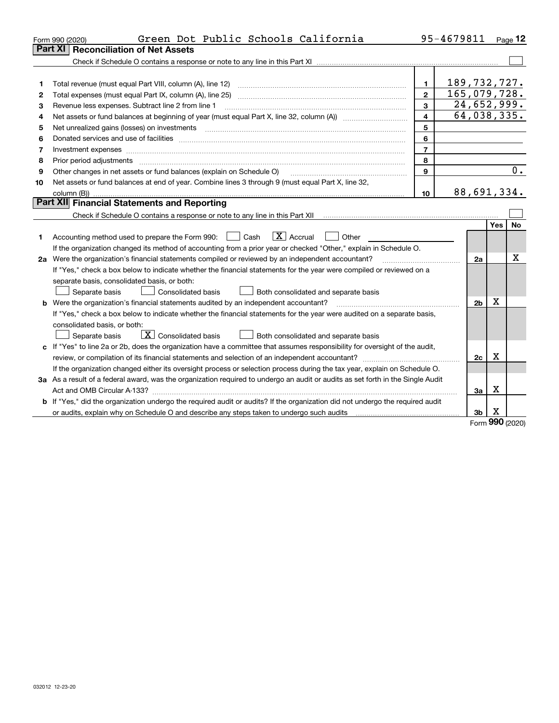|    | Green Dot Public Schools California<br>Form 990 (2020)                                                                          |                | 95-4679811 |                |            | Page 12   |
|----|---------------------------------------------------------------------------------------------------------------------------------|----------------|------------|----------------|------------|-----------|
|    | <b>Reconciliation of Net Assets</b><br><b>Part XI</b>                                                                           |                |            |                |            |           |
|    |                                                                                                                                 |                |            |                |            |           |
|    |                                                                                                                                 |                |            |                |            |           |
| 1  | Total revenue (must equal Part VIII, column (A), line 12)                                                                       | $\blacksquare$ |            | 189, 732, 727. |            |           |
| 2  | Total expenses (must equal Part IX, column (A), line 25)                                                                        | $\overline{2}$ |            | 165,079,728.   |            |           |
| 3  | Revenue less expenses. Subtract line 2 from line 1                                                                              | 3              |            | 24,652,999.    |            |           |
| 4  |                                                                                                                                 | 4              |            | 64,038,335.    |            |           |
| 5  |                                                                                                                                 | 5              |            |                |            |           |
| 6  |                                                                                                                                 | 6              |            |                |            |           |
| 7  | Investment expenses www.communication.com/www.communication.com/www.communication.com/www.com                                   | $\overline{7}$ |            |                |            |           |
| 8  | Prior period adjustments                                                                                                        | 8              |            |                |            |           |
| 9  | Other changes in net assets or fund balances (explain on Schedule O)                                                            | 9              |            |                |            | 0.        |
| 10 | Net assets or fund balances at end of year. Combine lines 3 through 9 (must equal Part X, line 32,                              |                |            |                |            |           |
|    |                                                                                                                                 | 10             |            | 88,691,334.    |            |           |
|    | Part XII Financial Statements and Reporting                                                                                     |                |            |                |            |           |
|    |                                                                                                                                 |                |            |                |            |           |
|    |                                                                                                                                 |                |            |                | <b>Yes</b> | <b>No</b> |
| 1  | $\boxed{\text{X}}$ Accrual<br>Accounting method used to prepare the Form 990: <u>June</u> Cash<br>Other                         |                |            |                |            |           |
|    | If the organization changed its method of accounting from a prior year or checked "Other," explain in Schedule O.               |                |            |                |            |           |
|    | 2a Were the organization's financial statements compiled or reviewed by an independent accountant?                              |                |            | 2a             |            | х         |
|    | If "Yes," check a box below to indicate whether the financial statements for the year were compiled or reviewed on a            |                |            |                |            |           |
|    | separate basis, consolidated basis, or both:                                                                                    |                |            |                |            |           |
|    | Separate basis<br><b>Consolidated basis</b><br>Both consolidated and separate basis                                             |                |            |                |            |           |
|    | <b>b</b> Were the organization's financial statements audited by an independent accountant?                                     |                |            | 2 <sub>b</sub> | Х          |           |
|    | If "Yes," check a box below to indicate whether the financial statements for the year were audited on a separate basis,         |                |            |                |            |           |
|    | consolidated basis, or both:                                                                                                    |                |            |                |            |           |
|    | $\mathbf{X}$ Consolidated basis<br>Separate basis<br>Both consolidated and separate basis                                       |                |            |                |            |           |
|    | c If "Yes" to line 2a or 2b, does the organization have a committee that assumes responsibility for oversight of the audit,     |                |            |                |            |           |
|    |                                                                                                                                 |                |            | 2c             | х          |           |
|    | If the organization changed either its oversight process or selection process during the tax year, explain on Schedule O.       |                |            |                |            |           |
|    | 3a As a result of a federal award, was the organization required to undergo an audit or audits as set forth in the Single Audit |                |            |                |            |           |
|    |                                                                                                                                 |                |            | За             | х          |           |
|    | b If "Yes," did the organization undergo the required audit or audits? If the organization did not undergo the required audit   |                |            |                |            |           |
|    | or audits, explain why on Schedule O and describe any steps taken to undergo such audits                                        |                |            | 3b             | х          |           |

Form (2020) **990**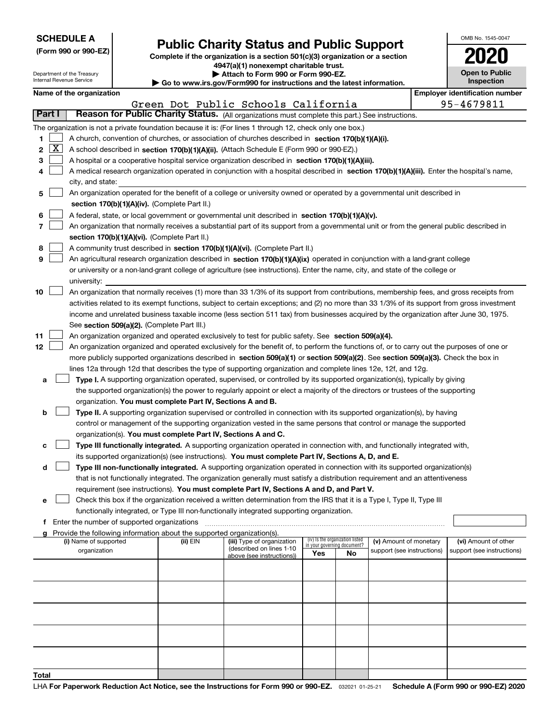| <b>SCHEDULE A</b> |
|-------------------|
|                   |

Department of the Treasury Internal Revenue Service

|  |  | (Form 990 or 990-EZ) |  |
|--|--|----------------------|--|

### **Public Charity Status and Public Support**

**Complete if the organization is a section 501(c)(3) organization or a section 4947(a)(1) nonexempt charitable trust. | Attach to Form 990 or Form 990-EZ.** 

|  | Go to www.irs.gov/Form990 for instructions and the latest information. |  |  |
|--|------------------------------------------------------------------------|--|--|
|  |                                                                        |  |  |

| OMB No. 1545-0047                   |
|-------------------------------------|
| 2020                                |
| <b>Open to Public</b><br>Inspection |

**Employer identification number** 

| Name of the organization                                                                                   | Employer identification nu |  |  |  |
|------------------------------------------------------------------------------------------------------------|----------------------------|--|--|--|
| Green Dot Public Schools California                                                                        | 95-4679811                 |  |  |  |
| Reason for Public Charity Status. (All organizations must complete this part.) See instructions.<br>Part I |                            |  |  |  |
| The organization is not a private foundation because it is: (For lines 1 through 12, check only one box)   |                            |  |  |  |

|    | Part I              | Reason for Public Charity Status. (All organizations must complete this part.) See instructions.                                             |          |                            |                                    |                                 |                            |                            |
|----|---------------------|----------------------------------------------------------------------------------------------------------------------------------------------|----------|----------------------------|------------------------------------|---------------------------------|----------------------------|----------------------------|
|    |                     | The organization is not a private foundation because it is: (For lines 1 through 12, check only one box.)                                    |          |                            |                                    |                                 |                            |                            |
| 1  |                     | A church, convention of churches, or association of churches described in section 170(b)(1)(A)(i).                                           |          |                            |                                    |                                 |                            |                            |
| 2  | $\lfloor x \rfloor$ | A school described in section 170(b)(1)(A)(ii). (Attach Schedule E (Form 990 or 990-EZ).)                                                    |          |                            |                                    |                                 |                            |                            |
| з  |                     | A hospital or a cooperative hospital service organization described in section 170(b)(1)(A)(iii).                                            |          |                            |                                    |                                 |                            |                            |
| 4  |                     | A medical research organization operated in conjunction with a hospital described in section 170(b)(1)(A)(iii). Enter the hospital's name,   |          |                            |                                    |                                 |                            |                            |
|    |                     | city, and state:                                                                                                                             |          |                            |                                    |                                 |                            |                            |
| 5  |                     | An organization operated for the benefit of a college or university owned or operated by a governmental unit described in                    |          |                            |                                    |                                 |                            |                            |
|    |                     | section 170(b)(1)(A)(iv). (Complete Part II.)                                                                                                |          |                            |                                    |                                 |                            |                            |
|    |                     |                                                                                                                                              |          |                            |                                    |                                 |                            |                            |
| 6  |                     | A federal, state, or local government or governmental unit described in section 170(b)(1)(A)(v).                                             |          |                            |                                    |                                 |                            |                            |
|    |                     | An organization that normally receives a substantial part of its support from a governmental unit or from the general public described in    |          |                            |                                    |                                 |                            |                            |
|    |                     | section 170(b)(1)(A)(vi). (Complete Part II.)                                                                                                |          |                            |                                    |                                 |                            |                            |
| 8  |                     | A community trust described in section 170(b)(1)(A)(vi). (Complete Part II.)                                                                 |          |                            |                                    |                                 |                            |                            |
| 9  |                     | An agricultural research organization described in section 170(b)(1)(A)(ix) operated in conjunction with a land-grant college                |          |                            |                                    |                                 |                            |                            |
|    |                     | or university or a non-land-grant college of agriculture (see instructions). Enter the name, city, and state of the college or               |          |                            |                                    |                                 |                            |                            |
|    |                     | university:                                                                                                                                  |          |                            |                                    |                                 |                            |                            |
| 10 |                     | An organization that normally receives (1) more than 33 1/3% of its support from contributions, membership fees, and gross receipts from     |          |                            |                                    |                                 |                            |                            |
|    |                     | activities related to its exempt functions, subject to certain exceptions; and (2) no more than 33 1/3% of its support from gross investment |          |                            |                                    |                                 |                            |                            |
|    |                     | income and unrelated business taxable income (less section 511 tax) from businesses acquired by the organization after June 30, 1975.        |          |                            |                                    |                                 |                            |                            |
|    |                     | See section 509(a)(2). (Complete Part III.)                                                                                                  |          |                            |                                    |                                 |                            |                            |
| 11 |                     | An organization organized and operated exclusively to test for public safety. See section 509(a)(4).                                         |          |                            |                                    |                                 |                            |                            |
| 12 |                     | An organization organized and operated exclusively for the benefit of, to perform the functions of, or to carry out the purposes of one or   |          |                            |                                    |                                 |                            |                            |
|    |                     | more publicly supported organizations described in section 509(a)(1) or section 509(a)(2). See section 509(a)(3). Check the box in           |          |                            |                                    |                                 |                            |                            |
|    |                     | lines 12a through 12d that describes the type of supporting organization and complete lines 12e, 12f, and 12g.                               |          |                            |                                    |                                 |                            |                            |
| а  |                     | Type I. A supporting organization operated, supervised, or controlled by its supported organization(s), typically by giving                  |          |                            |                                    |                                 |                            |                            |
|    |                     | the supported organization(s) the power to regularly appoint or elect a majority of the directors or trustees of the supporting              |          |                            |                                    |                                 |                            |                            |
|    |                     | organization. You must complete Part IV, Sections A and B.                                                                                   |          |                            |                                    |                                 |                            |                            |
| b  |                     | Type II. A supporting organization supervised or controlled in connection with its supported organization(s), by having                      |          |                            |                                    |                                 |                            |                            |
|    |                     | control or management of the supporting organization vested in the same persons that control or manage the supported                         |          |                            |                                    |                                 |                            |                            |
|    |                     | organization(s). You must complete Part IV, Sections A and C.                                                                                |          |                            |                                    |                                 |                            |                            |
| с  |                     | Type III functionally integrated. A supporting organization operated in connection with, and functionally integrated with,                   |          |                            |                                    |                                 |                            |                            |
|    |                     | its supported organization(s) (see instructions). You must complete Part IV, Sections A, D, and E.                                           |          |                            |                                    |                                 |                            |                            |
| d  |                     | <b>Type III non-functionally integrated.</b> A supporting organization operated in connection with its supported organization(s)             |          |                            |                                    |                                 |                            |                            |
|    |                     | that is not functionally integrated. The organization generally must satisfy a distribution requirement and an attentiveness                 |          |                            |                                    |                                 |                            |                            |
|    |                     | requirement (see instructions). You must complete Part IV, Sections A and D, and Part V.                                                     |          |                            |                                    |                                 |                            |                            |
| е  |                     | Check this box if the organization received a written determination from the IRS that it is a Type I, Type II, Type III                      |          |                            |                                    |                                 |                            |                            |
|    |                     | functionally integrated, or Type III non-functionally integrated supporting organization.                                                    |          |                            |                                    |                                 |                            |                            |
| Ť  |                     | Enter the number of supported organizations                                                                                                  |          |                            |                                    |                                 |                            |                            |
|    |                     | Provide the following information about the supported organization(s).                                                                       |          |                            |                                    |                                 |                            |                            |
|    |                     | (i) Name of supported                                                                                                                        | (ii) EIN | (iii) Type of organization |                                    | (iv) Is the organization listed | (v) Amount of monetary     | (vi) Amount of other       |
|    |                     | organization                                                                                                                                 |          | (described on lines 1-10   | in your governing document?<br>Yes | No                              | support (see instructions) | support (see instructions) |
|    |                     |                                                                                                                                              |          | above (see instructions))  |                                    |                                 |                            |                            |
|    |                     |                                                                                                                                              |          |                            |                                    |                                 |                            |                            |
|    |                     |                                                                                                                                              |          |                            |                                    |                                 |                            |                            |
|    |                     |                                                                                                                                              |          |                            |                                    |                                 |                            |                            |
|    |                     |                                                                                                                                              |          |                            |                                    |                                 |                            |                            |
|    |                     |                                                                                                                                              |          |                            |                                    |                                 |                            |                            |
|    |                     |                                                                                                                                              |          |                            |                                    |                                 |                            |                            |
|    |                     |                                                                                                                                              |          |                            |                                    |                                 |                            |                            |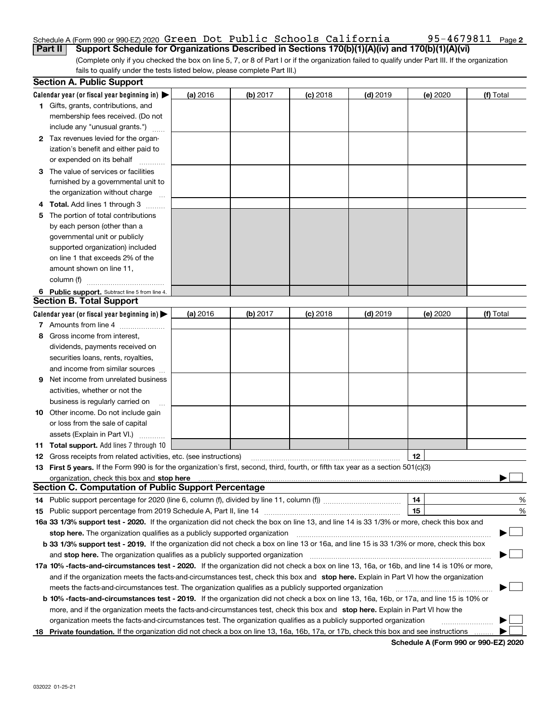#### Schedule A (Form 990 or 990-EZ) 2020 Green Dot Public Schools California 95-4679811 <sub>Page</sub> **Part II Support Schedule for Organizations Described in Sections 170(b)(1)(A)(iv) and 170(b)(1)(A)(vi)**

(Complete only if you checked the box on line 5, 7, or 8 of Part I or if the organization failed to qualify under Part III. If the organization fails to qualify under the tests listed below, please complete Part III.)

|    | <b>Section A. Public Support</b>                                                                                                                                                                                               |          |          |            |            |          |           |
|----|--------------------------------------------------------------------------------------------------------------------------------------------------------------------------------------------------------------------------------|----------|----------|------------|------------|----------|-----------|
|    | Calendar year (or fiscal year beginning in) $\blacktriangleright$                                                                                                                                                              | (a) 2016 | (b) 2017 | $(c)$ 2018 | $(d)$ 2019 | (e) 2020 | (f) Total |
|    | 1 Gifts, grants, contributions, and                                                                                                                                                                                            |          |          |            |            |          |           |
|    | membership fees received. (Do not                                                                                                                                                                                              |          |          |            |            |          |           |
|    | include any "unusual grants.")                                                                                                                                                                                                 |          |          |            |            |          |           |
|    | 2 Tax revenues levied for the organ-                                                                                                                                                                                           |          |          |            |            |          |           |
|    | ization's benefit and either paid to                                                                                                                                                                                           |          |          |            |            |          |           |
|    | or expended on its behalf                                                                                                                                                                                                      |          |          |            |            |          |           |
|    | 3 The value of services or facilities                                                                                                                                                                                          |          |          |            |            |          |           |
|    | furnished by a governmental unit to                                                                                                                                                                                            |          |          |            |            |          |           |
|    | the organization without charge                                                                                                                                                                                                |          |          |            |            |          |           |
|    | 4 Total. Add lines 1 through 3                                                                                                                                                                                                 |          |          |            |            |          |           |
| 5. | The portion of total contributions                                                                                                                                                                                             |          |          |            |            |          |           |
|    | by each person (other than a                                                                                                                                                                                                   |          |          |            |            |          |           |
|    | governmental unit or publicly                                                                                                                                                                                                  |          |          |            |            |          |           |
|    | supported organization) included                                                                                                                                                                                               |          |          |            |            |          |           |
|    | on line 1 that exceeds 2% of the                                                                                                                                                                                               |          |          |            |            |          |           |
|    | amount shown on line 11,                                                                                                                                                                                                       |          |          |            |            |          |           |
|    | column (f)                                                                                                                                                                                                                     |          |          |            |            |          |           |
|    | 6 Public support. Subtract line 5 from line 4.                                                                                                                                                                                 |          |          |            |            |          |           |
|    | <b>Section B. Total Support</b>                                                                                                                                                                                                |          |          |            |            |          |           |
|    | Calendar year (or fiscal year beginning in) $\blacktriangleright$                                                                                                                                                              | (a) 2016 | (b) 2017 | $(c)$ 2018 | $(d)$ 2019 | (e) 2020 | (f) Total |
|    | 7 Amounts from line 4                                                                                                                                                                                                          |          |          |            |            |          |           |
| 8  | Gross income from interest,                                                                                                                                                                                                    |          |          |            |            |          |           |
|    | dividends, payments received on                                                                                                                                                                                                |          |          |            |            |          |           |
|    | securities loans, rents, royalties,                                                                                                                                                                                            |          |          |            |            |          |           |
|    | and income from similar sources                                                                                                                                                                                                |          |          |            |            |          |           |
| 9. | Net income from unrelated business                                                                                                                                                                                             |          |          |            |            |          |           |
|    | activities, whether or not the                                                                                                                                                                                                 |          |          |            |            |          |           |
|    | business is regularly carried on                                                                                                                                                                                               |          |          |            |            |          |           |
|    | <b>10</b> Other income. Do not include gain                                                                                                                                                                                    |          |          |            |            |          |           |
|    | or loss from the sale of capital                                                                                                                                                                                               |          |          |            |            |          |           |
|    | assets (Explain in Part VI.)                                                                                                                                                                                                   |          |          |            |            |          |           |
|    | <b>11 Total support.</b> Add lines 7 through 10                                                                                                                                                                                |          |          |            |            |          |           |
|    | <b>12</b> Gross receipts from related activities, etc. (see instructions)                                                                                                                                                      |          |          |            |            | 12       |           |
|    | 13 First 5 years. If the Form 990 is for the organization's first, second, third, fourth, or fifth tax year as a section 501(c)(3)                                                                                             |          |          |            |            |          |           |
|    | organization, check this box and stop here manufactured and the content of the state of the content of the content of the content of the content of the content of the content of the content of the content of the content of |          |          |            |            |          |           |
|    | <b>Section C. Computation of Public Support Percentage</b>                                                                                                                                                                     |          |          |            |            |          |           |
|    |                                                                                                                                                                                                                                |          |          |            |            | 14       | %         |
|    |                                                                                                                                                                                                                                |          |          |            |            | 15       | %         |
|    | 16a 33 1/3% support test - 2020. If the organization did not check the box on line 13, and line 14 is 33 1/3% or more, check this box and                                                                                      |          |          |            |            |          |           |
|    | stop here. The organization qualifies as a publicly supported organization                                                                                                                                                     |          |          |            |            |          | $\sim$    |
|    | b 33 1/3% support test - 2019. If the organization did not check a box on line 13 or 16a, and line 15 is 33 1/3% or more, check this box                                                                                       |          |          |            |            |          |           |
|    | and stop here. The organization qualifies as a publicly supported organization                                                                                                                                                 |          |          |            |            |          |           |
|    | 17a 10% -facts-and-circumstances test - 2020. If the organization did not check a box on line 13, 16a, or 16b, and line 14 is 10% or more,                                                                                     |          |          |            |            |          |           |
|    | and if the organization meets the facts and circumstances test, check this box and stop here. Explain in Part VI how the organization                                                                                          |          |          |            |            |          |           |
|    | meets the facts-and-circumstances test. The organization qualifies as a publicly supported organization                                                                                                                        |          |          |            |            |          |           |
|    | <b>b 10% -facts-and-circumstances test - 2019.</b> If the organization did not check a box on line 13, 16a, 16b, or 17a, and line 15 is 10% or                                                                                 |          |          |            |            |          |           |
|    | more, and if the organization meets the facts-and-circumstances test, check this box and stop here. Explain in Part VI how the                                                                                                 |          |          |            |            |          |           |
|    | organization meets the facts-and-circumstances test. The organization qualifies as a publicly supported organization                                                                                                           |          |          |            |            |          |           |
|    | 18 Private foundation. If the organization did not check a box on line 13, 16a, 16b, 17a, or 17b, check this box and see instructions                                                                                          |          |          |            |            |          |           |

**Schedule A (Form 990 or 990-EZ) 2020**

**2**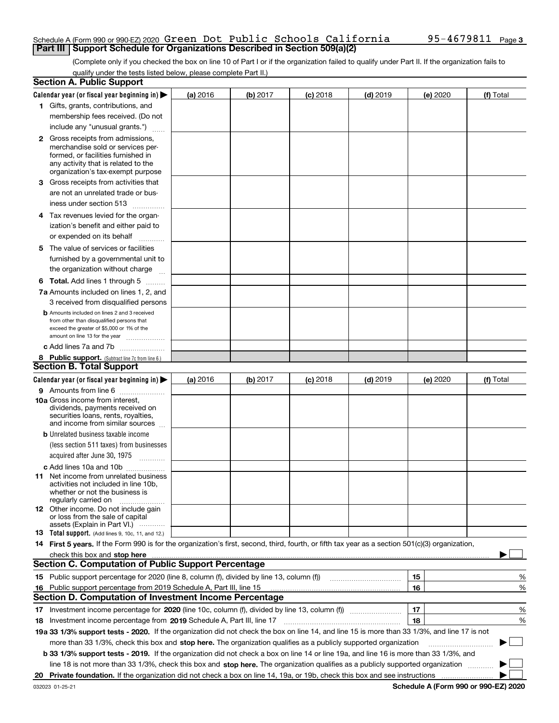#### Schedule A (Form 990 or 990-EZ) 2020 Green Dot Public Schools California 95-4679811 <sub>Page</sub> **Part III | Support Schedule for Organizations Described in Section 509(a)(2)**

(Complete only if you checked the box on line 10 of Part I or if the organization failed to qualify under Part II. If the organization fails to qualify under the tests listed below, please complete Part II.)

|    | <b>Section A. Public Support</b>                                                                                                                                                                                               |          |          |            |            |          |             |
|----|--------------------------------------------------------------------------------------------------------------------------------------------------------------------------------------------------------------------------------|----------|----------|------------|------------|----------|-------------|
|    | Calendar year (or fiscal year beginning in) $\blacktriangleright$                                                                                                                                                              | (a) 2016 | (b) 2017 | $(c)$ 2018 | $(d)$ 2019 | (e) 2020 | (f) Total   |
|    | 1 Gifts, grants, contributions, and                                                                                                                                                                                            |          |          |            |            |          |             |
|    | membership fees received. (Do not                                                                                                                                                                                              |          |          |            |            |          |             |
|    | include any "unusual grants.")                                                                                                                                                                                                 |          |          |            |            |          |             |
|    | <b>2</b> Gross receipts from admissions,                                                                                                                                                                                       |          |          |            |            |          |             |
|    | merchandise sold or services per-                                                                                                                                                                                              |          |          |            |            |          |             |
|    | formed, or facilities furnished in                                                                                                                                                                                             |          |          |            |            |          |             |
|    | any activity that is related to the<br>organization's tax-exempt purpose                                                                                                                                                       |          |          |            |            |          |             |
|    | 3 Gross receipts from activities that                                                                                                                                                                                          |          |          |            |            |          |             |
|    | are not an unrelated trade or bus-                                                                                                                                                                                             |          |          |            |            |          |             |
|    | iness under section 513                                                                                                                                                                                                        |          |          |            |            |          |             |
|    | 4 Tax revenues levied for the organ-                                                                                                                                                                                           |          |          |            |            |          |             |
|    | ization's benefit and either paid to                                                                                                                                                                                           |          |          |            |            |          |             |
|    | or expended on its behalf<br>.                                                                                                                                                                                                 |          |          |            |            |          |             |
|    | 5 The value of services or facilities                                                                                                                                                                                          |          |          |            |            |          |             |
|    | furnished by a governmental unit to                                                                                                                                                                                            |          |          |            |            |          |             |
|    | the organization without charge                                                                                                                                                                                                |          |          |            |            |          |             |
|    | <b>6 Total.</b> Add lines 1 through 5                                                                                                                                                                                          |          |          |            |            |          |             |
|    | 7a Amounts included on lines 1, 2, and                                                                                                                                                                                         |          |          |            |            |          |             |
|    | 3 received from disqualified persons                                                                                                                                                                                           |          |          |            |            |          |             |
|    | <b>b</b> Amounts included on lines 2 and 3 received                                                                                                                                                                            |          |          |            |            |          |             |
|    | from other than disqualified persons that                                                                                                                                                                                      |          |          |            |            |          |             |
|    | exceed the greater of \$5,000 or 1% of the<br>amount on line 13 for the year                                                                                                                                                   |          |          |            |            |          |             |
|    | c Add lines 7a and 7b                                                                                                                                                                                                          |          |          |            |            |          |             |
|    | 8 Public support. (Subtract line 7c from line 6.)                                                                                                                                                                              |          |          |            |            |          |             |
|    | <b>Section B. Total Support</b>                                                                                                                                                                                                |          |          |            |            |          |             |
|    | Calendar year (or fiscal year beginning in)                                                                                                                                                                                    | (a) 2016 | (b) 2017 | $(c)$ 2018 | $(d)$ 2019 | (e) 2020 | (f) Total   |
|    | 9 Amounts from line 6                                                                                                                                                                                                          |          |          |            |            |          |             |
|    | <b>10a</b> Gross income from interest,                                                                                                                                                                                         |          |          |            |            |          |             |
|    | dividends, payments received on                                                                                                                                                                                                |          |          |            |            |          |             |
|    | securities loans, rents, royalties,<br>and income from similar sources                                                                                                                                                         |          |          |            |            |          |             |
|    | <b>b</b> Unrelated business taxable income                                                                                                                                                                                     |          |          |            |            |          |             |
|    | (less section 511 taxes) from businesses                                                                                                                                                                                       |          |          |            |            |          |             |
|    | acquired after June 30, 1975 [10001]                                                                                                                                                                                           |          |          |            |            |          |             |
|    | c Add lines 10a and 10b                                                                                                                                                                                                        |          |          |            |            |          |             |
|    | 11 Net income from unrelated business                                                                                                                                                                                          |          |          |            |            |          |             |
|    | activities not included in line 10b,                                                                                                                                                                                           |          |          |            |            |          |             |
|    | whether or not the business is<br>regularly carried on                                                                                                                                                                         |          |          |            |            |          |             |
|    | <b>12</b> Other income. Do not include gain                                                                                                                                                                                    |          |          |            |            |          |             |
|    | or loss from the sale of capital                                                                                                                                                                                               |          |          |            |            |          |             |
|    | assets (Explain in Part VI.)<br><b>13</b> Total support. (Add lines 9, 10c, 11, and 12.)                                                                                                                                       |          |          |            |            |          |             |
|    | 14 First 5 years. If the Form 990 is for the organization's first, second, third, fourth, or fifth tax year as a section 501(c)(3) organization,                                                                               |          |          |            |            |          |             |
|    | check this box and stop here manufactured and control the state of the state of the state of the state of the state of the state of the state of the state of the state of the state of the state of the state of the state of |          |          |            |            |          |             |
|    | <b>Section C. Computation of Public Support Percentage</b>                                                                                                                                                                     |          |          |            |            |          |             |
|    | 15 Public support percentage for 2020 (line 8, column (f), divided by line 13, column (f))                                                                                                                                     |          |          |            |            | 15       | %           |
|    | 16 Public support percentage from 2019 Schedule A, Part III, line 15                                                                                                                                                           |          |          |            |            | 16       | %           |
|    | <b>Section D. Computation of Investment Income Percentage</b>                                                                                                                                                                  |          |          |            |            |          |             |
|    | 17 Investment income percentage for 2020 (line 10c, column (f), divided by line 13, column (f))                                                                                                                                |          |          |            |            | 17       | %           |
|    | <b>18</b> Investment income percentage from <b>2019</b> Schedule A, Part III, line 17                                                                                                                                          |          |          |            |            | 18       | %           |
|    | 19a 33 1/3% support tests - 2020. If the organization did not check the box on line 14, and line 15 is more than 33 1/3%, and line 17 is not                                                                                   |          |          |            |            |          |             |
|    | more than 33 1/3%, check this box and stop here. The organization qualifies as a publicly supported organization                                                                                                               |          |          |            |            |          | $\sim$<br>▶ |
|    | b 33 1/3% support tests - 2019. If the organization did not check a box on line 14 or line 19a, and line 16 is more than 33 1/3%, and                                                                                          |          |          |            |            |          |             |
|    | line 18 is not more than 33 1/3%, check this box and stop here. The organization qualifies as a publicly supported organization                                                                                                |          |          |            |            |          |             |
| 20 |                                                                                                                                                                                                                                |          |          |            |            |          |             |
|    |                                                                                                                                                                                                                                |          |          |            |            |          |             |

**Schedule A (Form 990 or 990-EZ) 2020**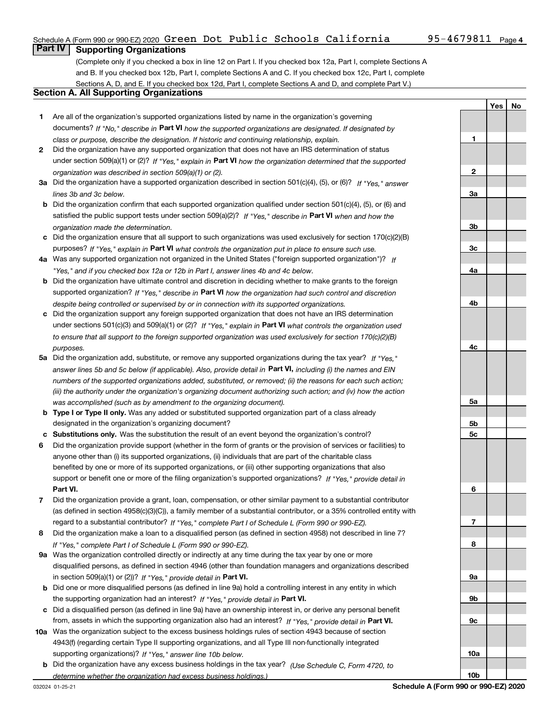**1**

**YesNo**

### **Part IV Supporting Organizations**

(Complete only if you checked a box in line 12 on Part I. If you checked box 12a, Part I, complete Sections A and B. If you checked box 12b, Part I, complete Sections A and C. If you checked box 12c, Part I, complete Sections A, D, and E. If you checked box 12d, Part I, complete Sections A and D, and complete Part V.)

### **Section A. All Supporting Organizations**

- **1** Are all of the organization's supported organizations listed by name in the organization's governing documents? If "No," describe in **Part VI** how the supported organizations are designated. If designated by *class or purpose, describe the designation. If historic and continuing relationship, explain.*
- **2** Did the organization have any supported organization that does not have an IRS determination of status under section 509(a)(1) or (2)? If "Yes," explain in Part VI how the organization determined that the supported *organization was described in section 509(a)(1) or (2).*
- **3a** Did the organization have a supported organization described in section 501(c)(4), (5), or (6)? If "Yes," answer *lines 3b and 3c below.*
- **b** Did the organization confirm that each supported organization qualified under section 501(c)(4), (5), or (6) and satisfied the public support tests under section 509(a)(2)? If "Yes," describe in **Part VI** when and how the *organization made the determination.*
- **c**Did the organization ensure that all support to such organizations was used exclusively for section 170(c)(2)(B) purposes? If "Yes," explain in **Part VI** what controls the organization put in place to ensure such use.
- **4a***If* Was any supported organization not organized in the United States ("foreign supported organization")? *"Yes," and if you checked box 12a or 12b in Part I, answer lines 4b and 4c below.*
- **b** Did the organization have ultimate control and discretion in deciding whether to make grants to the foreign supported organization? If "Yes," describe in **Part VI** how the organization had such control and discretion *despite being controlled or supervised by or in connection with its supported organizations.*
- **c** Did the organization support any foreign supported organization that does not have an IRS determination under sections 501(c)(3) and 509(a)(1) or (2)? If "Yes," explain in **Part VI** what controls the organization used *to ensure that all support to the foreign supported organization was used exclusively for section 170(c)(2)(B) purposes.*
- **5a***If "Yes,"* Did the organization add, substitute, or remove any supported organizations during the tax year? answer lines 5b and 5c below (if applicable). Also, provide detail in **Part VI,** including (i) the names and EIN *numbers of the supported organizations added, substituted, or removed; (ii) the reasons for each such action; (iii) the authority under the organization's organizing document authorizing such action; and (iv) how the action was accomplished (such as by amendment to the organizing document).*
- **b** Type I or Type II only. Was any added or substituted supported organization part of a class already designated in the organization's organizing document?
- **cSubstitutions only.**  Was the substitution the result of an event beyond the organization's control?
- **6** Did the organization provide support (whether in the form of grants or the provision of services or facilities) to **Part VI.** *If "Yes," provide detail in* support or benefit one or more of the filing organization's supported organizations? anyone other than (i) its supported organizations, (ii) individuals that are part of the charitable class benefited by one or more of its supported organizations, or (iii) other supporting organizations that also
- **7**Did the organization provide a grant, loan, compensation, or other similar payment to a substantial contributor *If "Yes," complete Part I of Schedule L (Form 990 or 990-EZ).* regard to a substantial contributor? (as defined in section 4958(c)(3)(C)), a family member of a substantial contributor, or a 35% controlled entity with
- **8** Did the organization make a loan to a disqualified person (as defined in section 4958) not described in line 7? *If "Yes," complete Part I of Schedule L (Form 990 or 990-EZ).*
- **9a** Was the organization controlled directly or indirectly at any time during the tax year by one or more in section 509(a)(1) or (2))? If "Yes," *provide detail in* <code>Part VI.</code> disqualified persons, as defined in section 4946 (other than foundation managers and organizations described
- **b** Did one or more disqualified persons (as defined in line 9a) hold a controlling interest in any entity in which the supporting organization had an interest? If "Yes," provide detail in P**art VI**.
- **c**Did a disqualified person (as defined in line 9a) have an ownership interest in, or derive any personal benefit from, assets in which the supporting organization also had an interest? If "Yes," provide detail in P**art VI.**
- **10a** Was the organization subject to the excess business holdings rules of section 4943 because of section supporting organizations)? If "Yes," answer line 10b below. 4943(f) (regarding certain Type II supporting organizations, and all Type III non-functionally integrated
- **b** Did the organization have any excess business holdings in the tax year? (Use Schedule C, Form 4720, to *determine whether the organization had excess business holdings.)*

**23a3b3c4a4b4c5a5b5c6789a 9b9c10a**

**10b**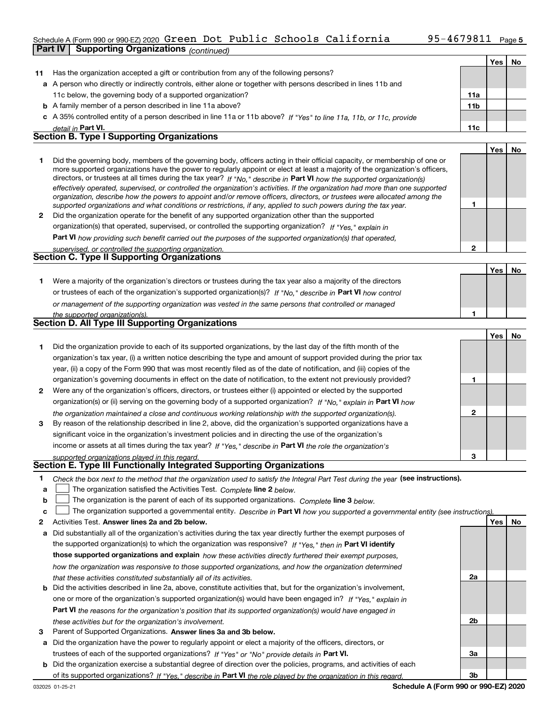## Schedule A (Form 990 or 990-EZ) 2020 Green Dot Public Schools California 95-4679811 <sub>Page</sub>

|    | <b>Part IV</b> | <b>Supporting Organizations (continued)</b>                                                                                                                                                                                                              |                 |            |    |
|----|----------------|----------------------------------------------------------------------------------------------------------------------------------------------------------------------------------------------------------------------------------------------------------|-----------------|------------|----|
|    |                |                                                                                                                                                                                                                                                          |                 | Yes        | No |
| 11 |                | Has the organization accepted a gift or contribution from any of the following persons?                                                                                                                                                                  |                 |            |    |
|    |                | a A person who directly or indirectly controls, either alone or together with persons described in lines 11b and                                                                                                                                         |                 |            |    |
|    |                | 11c below, the governing body of a supported organization?                                                                                                                                                                                               | 11a             |            |    |
|    |                | <b>b</b> A family member of a person described in line 11a above?                                                                                                                                                                                        | 11 <sub>b</sub> |            |    |
|    |                | c A 35% controlled entity of a person described in line 11a or 11b above? If "Yes" to line 11a, 11b, or 11c, provide                                                                                                                                     |                 |            |    |
|    |                | detail in Part VI.                                                                                                                                                                                                                                       | 11c             |            |    |
|    |                | <b>Section B. Type I Supporting Organizations</b>                                                                                                                                                                                                        |                 |            |    |
|    |                |                                                                                                                                                                                                                                                          |                 | Yes        | No |
| 1. |                | Did the governing body, members of the governing body, officers acting in their official capacity, or membership of one or                                                                                                                               |                 |            |    |
|    |                | more supported organizations have the power to regularly appoint or elect at least a majority of the organization's officers,<br>directors, or trustees at all times during the tax year? If "No," describe in Part VI how the supported organization(s) |                 |            |    |
|    |                | effectively operated, supervised, or controlled the organization's activities. If the organization had more than one supported                                                                                                                           |                 |            |    |
|    |                | organization, describe how the powers to appoint and/or remove officers, directors, or trustees were allocated among the                                                                                                                                 |                 |            |    |
|    |                | supported organizations and what conditions or restrictions, if any, applied to such powers during the tax year.                                                                                                                                         | 1               |            |    |
| 2  |                | Did the organization operate for the benefit of any supported organization other than the supported                                                                                                                                                      |                 |            |    |
|    |                | organization(s) that operated, supervised, or controlled the supporting organization? If "Yes," explain in                                                                                                                                               |                 |            |    |
|    |                | Part VI how providing such benefit carried out the purposes of the supported organization(s) that operated,                                                                                                                                              |                 |            |    |
|    |                | supervised, or controlled the supporting organization.                                                                                                                                                                                                   | $\mathbf 2$     |            |    |
|    |                | <b>Section C. Type II Supporting Organizations</b>                                                                                                                                                                                                       |                 |            |    |
|    |                |                                                                                                                                                                                                                                                          |                 | <b>Yes</b> | No |
| 1. |                | Were a majority of the organization's directors or trustees during the tax year also a majority of the directors                                                                                                                                         |                 |            |    |
|    |                | or trustees of each of the organization's supported organization(s)? If "No," describe in Part VI how control                                                                                                                                            |                 |            |    |
|    |                | or management of the supporting organization was vested in the same persons that controlled or managed                                                                                                                                                   |                 |            |    |
|    |                | the supported organization(s).                                                                                                                                                                                                                           | 1               |            |    |
|    |                | Section D. All Type III Supporting Organizations                                                                                                                                                                                                         |                 |            |    |
|    |                |                                                                                                                                                                                                                                                          |                 | Yes        | No |
| 1. |                | Did the organization provide to each of its supported organizations, by the last day of the fifth month of the                                                                                                                                           |                 |            |    |
|    |                | organization's tax year, (i) a written notice describing the type and amount of support provided during the prior tax                                                                                                                                    |                 |            |    |
|    |                | year, (ii) a copy of the Form 990 that was most recently filed as of the date of notification, and (iii) copies of the                                                                                                                                   |                 |            |    |
|    |                | organization's governing documents in effect on the date of notification, to the extent not previously provided?                                                                                                                                         | 1               |            |    |
| 2  |                | Were any of the organization's officers, directors, or trustees either (i) appointed or elected by the supported                                                                                                                                         |                 |            |    |
|    |                | organization(s) or (ii) serving on the governing body of a supported organization? If "No," explain in Part VI how                                                                                                                                       |                 |            |    |
|    |                | the organization maintained a close and continuous working relationship with the supported organization(s).                                                                                                                                              | $\mathbf{2}$    |            |    |
| 3  |                | By reason of the relationship described in line 2, above, did the organization's supported organizations have a                                                                                                                                          |                 |            |    |
|    |                | significant voice in the organization's investment policies and in directing the use of the organization's                                                                                                                                               |                 |            |    |
|    |                | income or assets at all times during the tax year? If "Yes," describe in Part VI the role the organization's                                                                                                                                             |                 |            |    |
|    |                | supported organizations played in this regard.                                                                                                                                                                                                           | 3               |            |    |
|    |                | Section E. Type III Functionally Integrated Supporting Organizations                                                                                                                                                                                     |                 |            |    |
| 1. |                | Check the box next to the method that the organization used to satisfy the Integral Part Test during the year (see instructions).                                                                                                                        |                 |            |    |

- **alinupy** The organization satisfied the Activities Test. Complete line 2 below.
- **b**The organization is the parent of each of its supported organizations. *Complete* line 3 *below.*  $\mathcal{L}^{\text{max}}$

|  |  | c $\Box$ The organization supported a governmental entity. Describe in Part VI how you supported a governmental entity (see instructions). |  |
|--|--|--------------------------------------------------------------------------------------------------------------------------------------------|--|
|--|--|--------------------------------------------------------------------------------------------------------------------------------------------|--|

- **2Answer lines 2a and 2b below. Yes No** Activities Test.
- **a** Did substantially all of the organization's activities during the tax year directly further the exempt purposes of **b** Did the activities described in line 2a, above, constitute activities that, but for the organization's involvement, the supported organization(s) to which the organization was responsive? If "Yes," then in **Part VI identify those supported organizations and explain**  *how these activities directly furthered their exempt purposes, how the organization was responsive to those supported organizations, and how the organization determined that these activities constituted substantially all of its activities.*
- **Part VI**  *the reasons for the organization's position that its supported organization(s) would have engaged in* one or more of the organization's supported organization(s) would have been engaged in? If "Yes," e*xplain in these activities but for the organization's involvement.*
- **3** Parent of Supported Organizations. Answer lines 3a and 3b below.
- **a** Did the organization have the power to regularly appoint or elect a majority of the officers, directors, or trustees of each of the supported organizations? If "Yes" or "No" provide details in **Part VI.**
- **b** Did the organization exercise a substantial degree of direction over the policies, programs, and activities of each of its supported organizations? If "Yes," describe in Part VI the role played by the organization in this regard.

**2a**

**2b**

**3a**

**3b**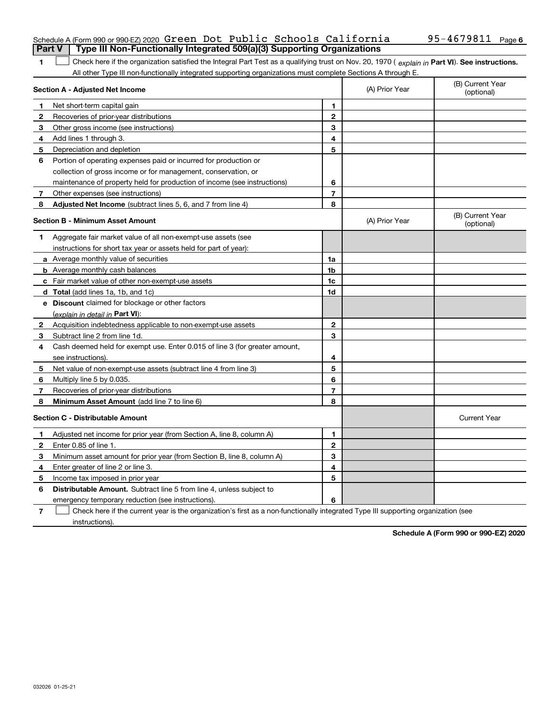|              | Part V<br>Type III Non-Functionally Integrated 509(a)(3) Supporting Organizations                                                              |                |                |                                |
|--------------|------------------------------------------------------------------------------------------------------------------------------------------------|----------------|----------------|--------------------------------|
| 1.           | Check here if the organization satisfied the Integral Part Test as a qualifying trust on Nov. 20, 1970 (explain in Part VI). See instructions. |                |                |                                |
|              | All other Type III non-functionally integrated supporting organizations must complete Sections A through E.                                    |                |                |                                |
|              | Section A - Adjusted Net Income                                                                                                                |                | (A) Prior Year | (B) Current Year<br>(optional) |
| 1            | Net short-term capital gain                                                                                                                    | 1              |                |                                |
| $\mathbf{2}$ | Recoveries of prior-year distributions                                                                                                         | $\overline{2}$ |                |                                |
| 3            | Other gross income (see instructions)                                                                                                          | 3              |                |                                |
| 4            | Add lines 1 through 3.                                                                                                                         | 4              |                |                                |
| 5            | Depreciation and depletion                                                                                                                     | 5              |                |                                |
| 6            | Portion of operating expenses paid or incurred for production or                                                                               |                |                |                                |
|              | collection of gross income or for management, conservation, or                                                                                 |                |                |                                |
|              | maintenance of property held for production of income (see instructions)                                                                       | 6              |                |                                |
| 7            | Other expenses (see instructions)                                                                                                              | $\overline{7}$ |                |                                |
| 8            | <b>Adjusted Net Income</b> (subtract lines 5, 6, and 7 from line 4)                                                                            | 8              |                |                                |
|              | <b>Section B - Minimum Asset Amount</b>                                                                                                        |                | (A) Prior Year | (B) Current Year<br>(optional) |
| 1            | Aggregate fair market value of all non-exempt-use assets (see                                                                                  |                |                |                                |
|              | instructions for short tax year or assets held for part of year):                                                                              |                |                |                                |
|              | a Average monthly value of securities                                                                                                          | 1a             |                |                                |
|              | <b>b</b> Average monthly cash balances                                                                                                         | 1b             |                |                                |
|              | c Fair market value of other non-exempt-use assets                                                                                             | 1c             |                |                                |
|              | d Total (add lines 1a, 1b, and 1c)                                                                                                             | 1d             |                |                                |
|              | e Discount claimed for blockage or other factors                                                                                               |                |                |                                |
|              | (explain in detail in Part VI):                                                                                                                |                |                |                                |
| $\mathbf{2}$ | Acquisition indebtedness applicable to non-exempt-use assets                                                                                   | $\mathbf 2$    |                |                                |
| 3            | Subtract line 2 from line 1d.                                                                                                                  | 3              |                |                                |
| 4            | Cash deemed held for exempt use. Enter 0.015 of line 3 (for greater amount,                                                                    |                |                |                                |
|              | see instructions).                                                                                                                             | 4              |                |                                |
| 5            | Net value of non-exempt-use assets (subtract line 4 from line 3)                                                                               | 5              |                |                                |
| 6            | Multiply line 5 by 0.035.                                                                                                                      | 6              |                |                                |
| 7            | Recoveries of prior-year distributions                                                                                                         | 7              |                |                                |
| 8            | Minimum Asset Amount (add line 7 to line 6)                                                                                                    | 8              |                |                                |
|              | <b>Section C - Distributable Amount</b>                                                                                                        |                |                | <b>Current Year</b>            |
| 1            | Adjusted net income for prior year (from Section A, line 8, column A)                                                                          | 1              |                |                                |
| 2            | Enter 0.85 of line 1.                                                                                                                          | $\overline{2}$ |                |                                |
| З            | Minimum asset amount for prior year (from Section B, line 8, column A)                                                                         | 3              |                |                                |
| 4            | Enter greater of line 2 or line 3.                                                                                                             | 4              |                |                                |
| 5            | Income tax imposed in prior year                                                                                                               | 5              |                |                                |
| 6            | <b>Distributable Amount.</b> Subtract line 5 from line 4, unless subject to                                                                    |                |                |                                |
|              | emergency temporary reduction (see instructions).                                                                                              | 6              |                |                                |

**7** Check here if the current year is the organization's first as a non-functionally integrated Type III supporting organization (see instructions).

**Schedule A (Form 990 or 990-EZ) 2020**

# Schedule A (Form 990 or 990-EZ) 2020 **Green Dot Public Schools California** 95-4679811 Page **6**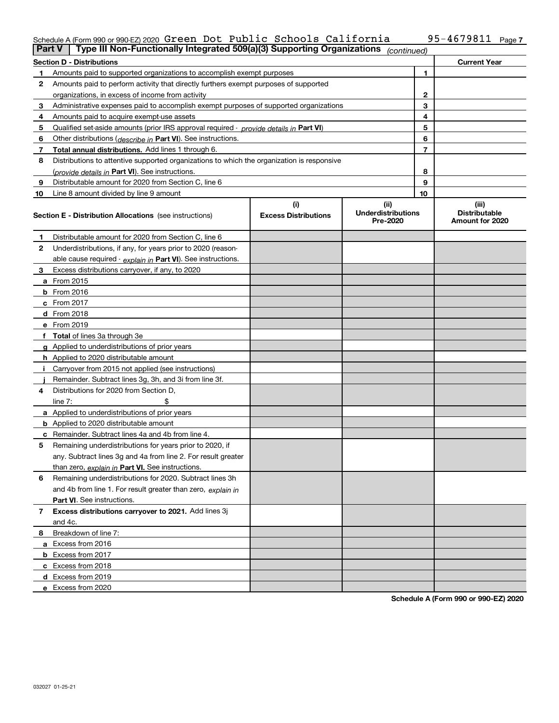### Schedule A (Form 990 or 990-EZ) 2020 Green Dot Public Schools California 95-4679811 <sub>Page</sub>

| <b>Part V</b> | Type III Non-Functionally Integrated 509(a)(3) Supporting Organizations                    |                             | (continued)                           |              |                                         |
|---------------|--------------------------------------------------------------------------------------------|-----------------------------|---------------------------------------|--------------|-----------------------------------------|
|               | <b>Section D - Distributions</b>                                                           |                             |                                       |              | <b>Current Year</b>                     |
| 1             | Amounts paid to supported organizations to accomplish exempt purposes                      |                             |                                       | 1            |                                         |
| 2             | Amounts paid to perform activity that directly furthers exempt purposes of supported       |                             |                                       |              |                                         |
|               | organizations, in excess of income from activity                                           |                             |                                       | $\mathbf{2}$ |                                         |
| 3             | Administrative expenses paid to accomplish exempt purposes of supported organizations      |                             |                                       | 3            |                                         |
| 4             | Amounts paid to acquire exempt-use assets                                                  |                             |                                       | 4            |                                         |
| 5             | Qualified set-aside amounts (prior IRS approval required - provide details in Part VI)     |                             |                                       | 5            |                                         |
| 6             | Other distributions ( <i>describe in</i> Part VI). See instructions.                       |                             |                                       | 6            |                                         |
| 7             | Total annual distributions. Add lines 1 through 6.                                         |                             |                                       | 7            |                                         |
| 8             | Distributions to attentive supported organizations to which the organization is responsive |                             |                                       |              |                                         |
|               | (provide details in Part VI). See instructions.                                            |                             |                                       | 8            |                                         |
| 9             | Distributable amount for 2020 from Section C, line 6                                       |                             |                                       | 9            |                                         |
| 10            | Line 8 amount divided by line 9 amount                                                     |                             |                                       | 10           |                                         |
|               |                                                                                            | (i)                         | (ii)                                  |              | (iii)                                   |
|               | <b>Section E - Distribution Allocations</b> (see instructions)                             | <b>Excess Distributions</b> | <b>Underdistributions</b><br>Pre-2020 |              | <b>Distributable</b><br>Amount for 2020 |
| 1             | Distributable amount for 2020 from Section C, line 6                                       |                             |                                       |              |                                         |
| 2             | Underdistributions, if any, for years prior to 2020 (reason-                               |                             |                                       |              |                                         |
|               | able cause required - explain in Part VI). See instructions.                               |                             |                                       |              |                                         |
| 3             | Excess distributions carryover, if any, to 2020                                            |                             |                                       |              |                                         |
|               | a From 2015                                                                                |                             |                                       |              |                                         |
|               | <b>b</b> From 2016                                                                         |                             |                                       |              |                                         |
|               | $c$ From 2017                                                                              |                             |                                       |              |                                         |
|               | d From 2018                                                                                |                             |                                       |              |                                         |
|               | e From 2019                                                                                |                             |                                       |              |                                         |
|               | f Total of lines 3a through 3e                                                             |                             |                                       |              |                                         |
|               | g Applied to underdistributions of prior years                                             |                             |                                       |              |                                         |
|               | <b>h</b> Applied to 2020 distributable amount                                              |                             |                                       |              |                                         |
|               | Carryover from 2015 not applied (see instructions)                                         |                             |                                       |              |                                         |
|               | Remainder. Subtract lines 3g, 3h, and 3i from line 3f.                                     |                             |                                       |              |                                         |
| 4             | Distributions for 2020 from Section D,                                                     |                             |                                       |              |                                         |
|               | line $7:$                                                                                  |                             |                                       |              |                                         |
|               | a Applied to underdistributions of prior years                                             |                             |                                       |              |                                         |
|               | <b>b</b> Applied to 2020 distributable amount                                              |                             |                                       |              |                                         |
|               | c Remainder. Subtract lines 4a and 4b from line 4.                                         |                             |                                       |              |                                         |
| 5.            | Remaining underdistributions for years prior to 2020, if                                   |                             |                                       |              |                                         |
|               | any. Subtract lines 3g and 4a from line 2. For result greater                              |                             |                                       |              |                                         |
|               | than zero, explain in Part VI. See instructions.                                           |                             |                                       |              |                                         |
| 6             | Remaining underdistributions for 2020. Subtract lines 3h                                   |                             |                                       |              |                                         |
|               | and 4b from line 1. For result greater than zero, explain in                               |                             |                                       |              |                                         |
|               | <b>Part VI.</b> See instructions.                                                          |                             |                                       |              |                                         |
| 7             | Excess distributions carryover to 2021. Add lines 3j                                       |                             |                                       |              |                                         |
|               | and 4c.                                                                                    |                             |                                       |              |                                         |
| 8             | Breakdown of line 7:                                                                       |                             |                                       |              |                                         |
|               | a Excess from 2016                                                                         |                             |                                       |              |                                         |
|               | <b>b</b> Excess from 2017                                                                  |                             |                                       |              |                                         |
|               | c Excess from 2018                                                                         |                             |                                       |              |                                         |
|               | d Excess from 2019                                                                         |                             |                                       |              |                                         |
|               | e Excess from 2020                                                                         |                             |                                       |              |                                         |

**Schedule A (Form 990 or 990-EZ) 2020**

**7**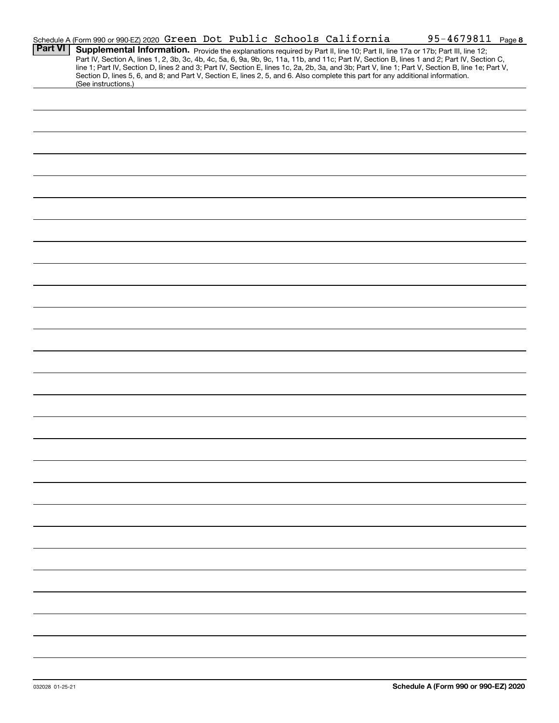|                | Schedule A (Form 990 or 990-EZ) 2020 Green Dot Public Schools California                                                                                                                                                                                                                         |  |  |  | 95-4679811 Page 8 |  |
|----------------|--------------------------------------------------------------------------------------------------------------------------------------------------------------------------------------------------------------------------------------------------------------------------------------------------|--|--|--|-------------------|--|
| <b>Part VI</b> | Supplemental Information. Provide the explanations required by Part II, line 10; Part II, line 17a or 17b; Part III, line 12;                                                                                                                                                                    |  |  |  |                   |  |
|                | Part IV, Section A, lines 1, 2, 3b, 3c, 4b, 4c, 5a, 6, 9a, 9b, 9c, 11a, 11b, and 11c; Part IV, Section B, lines 1 and 2; Part IV, Section C,<br>line 1; Part IV, Section D, lines 2 and 3; Part IV, Section E, lines 1c, 2a, 2b, 3a, and 3b; Part V, line 1; Part V, Section B, line 1e; Part V, |  |  |  |                   |  |
|                | Section D, lines 5, 6, and 8; and Part V, Section E, lines 2, 5, and 6. Also complete this part for any additional information.                                                                                                                                                                  |  |  |  |                   |  |
|                | (See instructions.)                                                                                                                                                                                                                                                                              |  |  |  |                   |  |
|                |                                                                                                                                                                                                                                                                                                  |  |  |  |                   |  |
|                |                                                                                                                                                                                                                                                                                                  |  |  |  |                   |  |
|                |                                                                                                                                                                                                                                                                                                  |  |  |  |                   |  |
|                |                                                                                                                                                                                                                                                                                                  |  |  |  |                   |  |
|                |                                                                                                                                                                                                                                                                                                  |  |  |  |                   |  |
|                |                                                                                                                                                                                                                                                                                                  |  |  |  |                   |  |
|                |                                                                                                                                                                                                                                                                                                  |  |  |  |                   |  |
|                |                                                                                                                                                                                                                                                                                                  |  |  |  |                   |  |
|                |                                                                                                                                                                                                                                                                                                  |  |  |  |                   |  |
|                |                                                                                                                                                                                                                                                                                                  |  |  |  |                   |  |
|                |                                                                                                                                                                                                                                                                                                  |  |  |  |                   |  |
|                |                                                                                                                                                                                                                                                                                                  |  |  |  |                   |  |
|                |                                                                                                                                                                                                                                                                                                  |  |  |  |                   |  |
|                |                                                                                                                                                                                                                                                                                                  |  |  |  |                   |  |
|                |                                                                                                                                                                                                                                                                                                  |  |  |  |                   |  |
|                |                                                                                                                                                                                                                                                                                                  |  |  |  |                   |  |
|                |                                                                                                                                                                                                                                                                                                  |  |  |  |                   |  |
|                |                                                                                                                                                                                                                                                                                                  |  |  |  |                   |  |
|                |                                                                                                                                                                                                                                                                                                  |  |  |  |                   |  |
|                |                                                                                                                                                                                                                                                                                                  |  |  |  |                   |  |
|                |                                                                                                                                                                                                                                                                                                  |  |  |  |                   |  |
|                |                                                                                                                                                                                                                                                                                                  |  |  |  |                   |  |
|                |                                                                                                                                                                                                                                                                                                  |  |  |  |                   |  |
|                |                                                                                                                                                                                                                                                                                                  |  |  |  |                   |  |
|                |                                                                                                                                                                                                                                                                                                  |  |  |  |                   |  |
|                |                                                                                                                                                                                                                                                                                                  |  |  |  |                   |  |
|                |                                                                                                                                                                                                                                                                                                  |  |  |  |                   |  |
|                |                                                                                                                                                                                                                                                                                                  |  |  |  |                   |  |
|                |                                                                                                                                                                                                                                                                                                  |  |  |  |                   |  |
|                |                                                                                                                                                                                                                                                                                                  |  |  |  |                   |  |
|                |                                                                                                                                                                                                                                                                                                  |  |  |  |                   |  |
|                |                                                                                                                                                                                                                                                                                                  |  |  |  |                   |  |
|                |                                                                                                                                                                                                                                                                                                  |  |  |  |                   |  |
|                |                                                                                                                                                                                                                                                                                                  |  |  |  |                   |  |
|                |                                                                                                                                                                                                                                                                                                  |  |  |  |                   |  |
|                |                                                                                                                                                                                                                                                                                                  |  |  |  |                   |  |
|                |                                                                                                                                                                                                                                                                                                  |  |  |  |                   |  |
|                |                                                                                                                                                                                                                                                                                                  |  |  |  |                   |  |
|                |                                                                                                                                                                                                                                                                                                  |  |  |  |                   |  |
|                |                                                                                                                                                                                                                                                                                                  |  |  |  |                   |  |
|                |                                                                                                                                                                                                                                                                                                  |  |  |  |                   |  |
|                |                                                                                                                                                                                                                                                                                                  |  |  |  |                   |  |
|                |                                                                                                                                                                                                                                                                                                  |  |  |  |                   |  |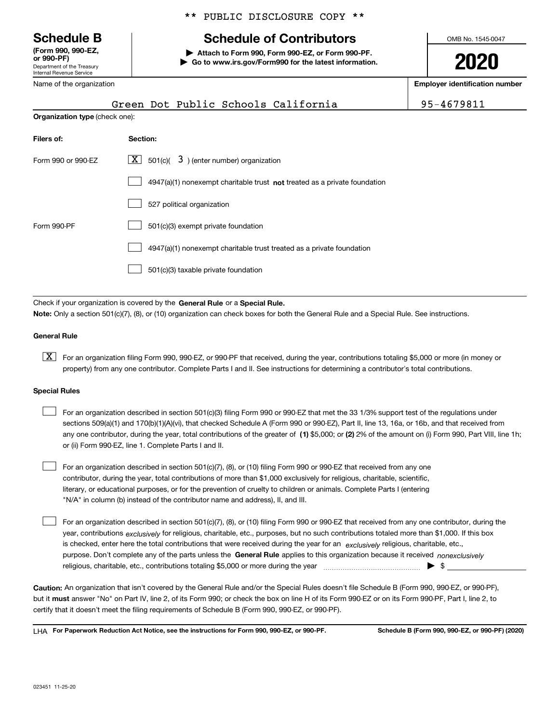Department of the Treasury Internal Revenue Service **(Form 990, 990-EZ, or 990-PF)**

Name of the organization

\*\* PUBLIC DISCLOSURE COPY \*\*

## **Schedule B Schedule of Contributors**

**| Attach to Form 990, Form 990-EZ, or Form 990-PF. | Go to www.irs.gov/Form990 for the latest information.** OMB No. 1545-0047

**2020**

**Employer identification number**

| Green Dot Public Schools California                                       | 95-4679811 |
|---------------------------------------------------------------------------|------------|
| <b>Organization type</b> (check one):                                     |            |
| Section:                                                                  |            |
| $\lfloor x \rfloor$ 501(c)( 3) (enter number) organization                |            |
| 4947(a)(1) nonexempt charitable trust not treated as a private foundation |            |
| 527 political organization                                                |            |
|                                                                           |            |

| Form 990-PF |                                                                       |
|-------------|-----------------------------------------------------------------------|
|             | 4947(a)(1) nonexempt charitable trust treated as a private foundation |
|             | $501(c)(3)$ taxable private foundation                                |

Check if your organization is covered by the **General Rule** or a **Special Rule. Note:**  Only a section 501(c)(7), (8), or (10) organization can check boxes for both the General Rule and a Special Rule. See instructions.

#### **General Rule**

 $\boxed{\textbf{X}}$  For an organization filing Form 990, 990-EZ, or 990-PF that received, during the year, contributions totaling \$5,000 or more (in money or property) from any one contributor. Complete Parts I and II. See instructions for determining a contributor's total contributions.

#### **Special Rules**

| For an organization described in section 501(c)(3) filing Form 990 or 990-EZ that met the 33 1/3% support test of the regulations under               |
|-------------------------------------------------------------------------------------------------------------------------------------------------------|
| sections 509(a)(1) and 170(b)(1)(A)(vi), that checked Schedule A (Form 990 or 990-EZ), Part II, line 13, 16a, or 16b, and that received from          |
| any one contributor, during the year, total contributions of the greater of (1) \$5,000; or (2) 2% of the amount on (i) Form 990, Part VIII, line 1h; |
| or (ii) Form 990-EZ, line 1. Complete Parts I and II.                                                                                                 |

For an organization described in section 501(c)(7), (8), or (10) filing Form 990 or 990-EZ that received from any one contributor, during the year, total contributions of more than \$1,000 exclusively for religious, charitable, scientific, literary, or educational purposes, or for the prevention of cruelty to children or animals. Complete Parts I (entering "N/A" in column (b) instead of the contributor name and address), II, and III.  $\mathcal{L}^{\text{max}}$ 

purpose. Don't complete any of the parts unless the **General Rule** applies to this organization because it received *nonexclusively* year, contributions <sub>exclusively</sub> for religious, charitable, etc., purposes, but no such contributions totaled more than \$1,000. If this box is checked, enter here the total contributions that were received during the year for an  $\;$ exclusively religious, charitable, etc., For an organization described in section 501(c)(7), (8), or (10) filing Form 990 or 990-EZ that received from any one contributor, during the religious, charitable, etc., contributions totaling \$5,000 or more during the year  $\Box$ — $\Box$   $\Box$  $\mathcal{L}^{\text{max}}$ 

**Caution:**  An organization that isn't covered by the General Rule and/or the Special Rules doesn't file Schedule B (Form 990, 990-EZ, or 990-PF),  **must** but it answer "No" on Part IV, line 2, of its Form 990; or check the box on line H of its Form 990-EZ or on its Form 990-PF, Part I, line 2, to certify that it doesn't meet the filing requirements of Schedule B (Form 990, 990-EZ, or 990-PF).

**For Paperwork Reduction Act Notice, see the instructions for Form 990, 990-EZ, or 990-PF. Schedule B (Form 990, 990-EZ, or 990-PF) (2020)** LHA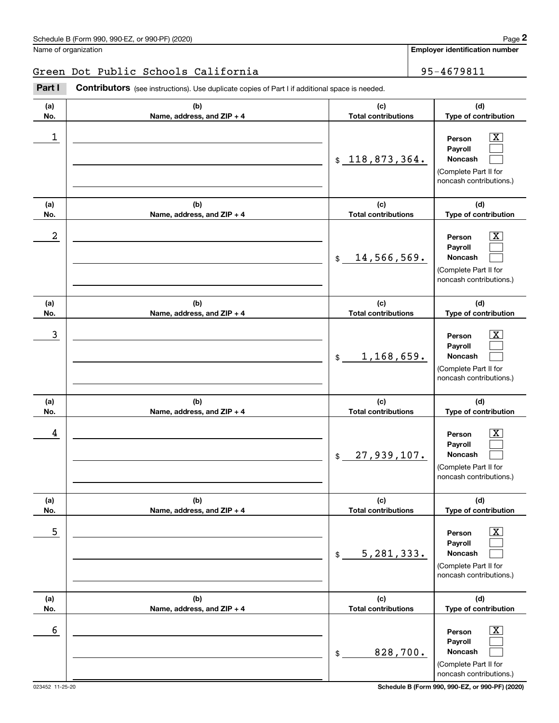#### Green Dot Public Schools California 95-4679811

Contributors (see instructions). Use duplicate copies of Part I if additional space is needed. Employer identification Page 2<br>
Jame of organization<br> **2Part I 2Part I Contributors** (see instructions). Use duplicate copies of Part I if additional space is needed.

| (a)<br>No. | (b)<br>Name, address, and ZIP + 4 | (c)<br><b>Total contributions</b> | (d)<br>Type of contribution                                                                                      |
|------------|-----------------------------------|-----------------------------------|------------------------------------------------------------------------------------------------------------------|
| 1          |                                   | \$118,873,364.                    | $\overline{\text{X}}$<br>Person<br>Payroll<br>Noncash<br>(Complete Part II for<br>noncash contributions.)        |
| (a)<br>No. | (b)<br>Name, address, and ZIP + 4 | (c)<br><b>Total contributions</b> | (d)<br>Type of contribution                                                                                      |
| 2          |                                   | 14,566,569.<br>$\frac{1}{2}$      | $\overline{\text{X}}$<br>Person<br>Payroll<br>Noncash<br>(Complete Part II for<br>noncash contributions.)        |
| (a)<br>No. | (b)<br>Name, address, and ZIP + 4 | (c)<br><b>Total contributions</b> | (d)<br>Type of contribution                                                                                      |
| 3          |                                   | 1,168,659.<br>$\frac{1}{2}$       | $\overline{\text{X}}$<br>Person<br>Payroll<br>Noncash<br>(Complete Part II for<br>noncash contributions.)        |
| (a)<br>No. | (b)<br>Name, address, and ZIP + 4 | (c)<br><b>Total contributions</b> | (d)<br>Type of contribution                                                                                      |
| 4          |                                   | 27,939,107.<br>$\$\$              | $\overline{\text{X}}$<br>Person<br>Payroll<br><b>Noncash</b><br>(Complete Part II for<br>noncash contributions.) |
| (a)<br>No. | (b)<br>Name, address, and ZIP + 4 | (c)<br><b>Total contributions</b> | (d)<br>Type of contribution                                                                                      |
| 5          |                                   | 5, 281, 333.<br>$\$$              | $\overline{\text{X}}$<br>Person<br>Payroll<br>Noncash<br>(Complete Part II for<br>noncash contributions.)        |
| (a)<br>No. | (b)<br>Name, address, and ZIP + 4 | (c)<br><b>Total contributions</b> | (d)<br>Type of contribution                                                                                      |
| 6          |                                   | 828,700.<br>\$                    | $\overline{\mathbf{X}}$<br>Person<br>Payroll<br>Noncash<br>(Complete Part II for<br>noncash contributions.)      |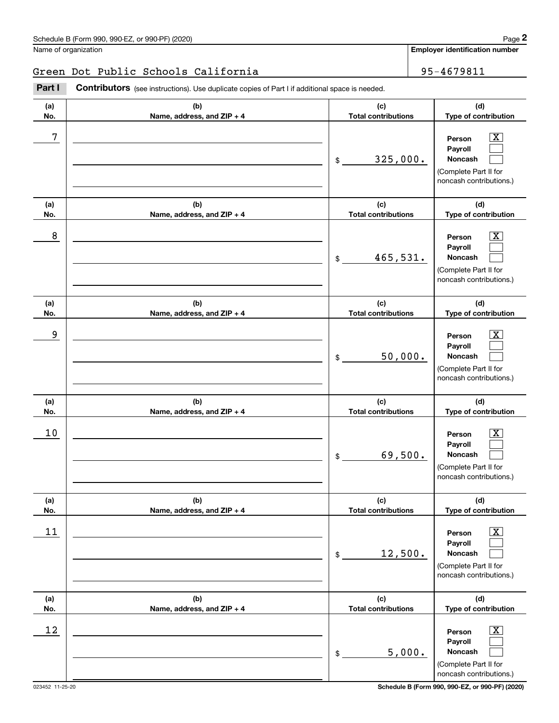### Green Dot Public Schools California 195-4679811

**(a)No.(b)Name, address, and ZIP + 4 (c)Total contributions (d)Type of contribution PersonPayrollNoncash (a)No.(b)Name, address, and ZIP + 4 (c)Total contributions (d)Type of contribution PersonPayrollNoncash (a)No.(b)Name, address, and ZIP + 4 (c)Total contributions (d)Type of contribution PersonPayrollNoncash (a) No.(b) Name, address, and ZIP + 4 (c) Total contributions (d) Type of contribution PersonPayrollNoncash (a) No.(b) Name, address, and ZIP + 4 (c) Total contributions (d) Type of contribution PersonPayrollNoncash (a) No.(b)Name, address, and ZIP + 4 (c) Total contributions (d) Type of contribution PersonPayrollNoncash Contributors** (see instructions). Use duplicate copies of Part I if additional space is needed. \$(Complete Part II for noncash contributions.) \$(Complete Part II for noncash contributions.) \$(Complete Part II for noncash contributions.) \$(Complete Part II for noncash contributions.) \$(Complete Part II for noncash contributions.) \$(Complete Part II for noncash contributions.) Employer identification Page 2<br>
Jame of organization<br> **2Part I 2Part I Contributors** (see instructions). Use duplicate copies of Part I if additional space is needed.  $\lceil \text{X} \rceil$  $\mathcal{L}^{\text{max}}$  $\mathcal{L}^{\text{max}}$  $\boxed{\text{X}}$  $\mathcal{L}^{\text{max}}$  $\mathcal{L}^{\text{max}}$  $|X|$  $\mathcal{L}^{\text{max}}$  $\mathcal{L}^{\text{max}}$  $|X|$  $\mathcal{L}^{\text{max}}$  $\mathcal{L}^{\text{max}}$  $|X|$  $\mathcal{L}^{\text{max}}$  $\mathcal{L}^{\text{max}}$  $\boxed{\text{X}}$  $\mathcal{L}^{\text{max}}$  $\mathcal{L}^{\text{max}}$ 7 X 325,000. 8 X 465,531. example and the set of the set of the set of the set of the set of the set of the set of the set of the set of 50,000.  $10$  Person  $\overline{\text{X}}$ 69,500.  $11$  Person X 12,500.  $12$  Person X 5,000.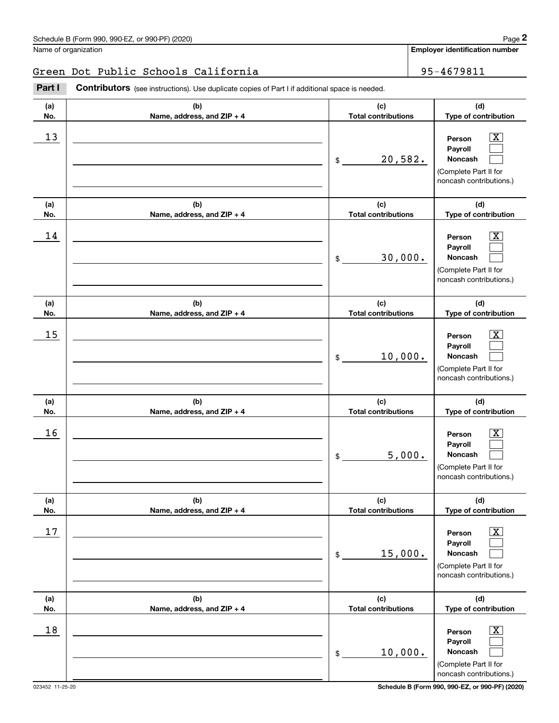$\lceil \text{X} \rceil$  $\mathcal{L}^{\text{max}}$  $\mathcal{L}^{\text{max}}$ 

 $\boxed{\text{X}}$  $\mathcal{L}^{\text{max}}$  $\mathcal{L}^{\text{max}}$ 

 $|X|$  $\mathcal{L}^{\text{max}}$  $\mathcal{L}^{\text{max}}$ 

 $|X|$  $\mathcal{L}^{\text{max}}$  $\mathcal{L}^{\text{max}}$ 

 $|X|$  $\mathcal{L}^{\text{max}}$  $\mathcal{L}^{\text{max}}$ 

 $\boxed{\text{X}}$  $\mathcal{L}^{\text{max}}$  $\mathcal{L}^{\text{max}}$ 

**Employer identification number**

**(a)No.(b)Name, address, and ZIP + 4 (c)Total contributions (d)Type of contribution PersonPayrollNoncash (a)No.(b)Name, address, and ZIP + 4 (c)Total contributions (d)Type of contribution PersonPayrollNoncash (a)No.(b)Name, address, and ZIP + 4 (c)Total contributions (d)Type of contribution PersonPayrollNoncash (a) No.(b) Name, address, and ZIP + 4 (c) Total contributions (d) Type of contribution PersonPayrollNoncash (a) No.(b) Name, address, and ZIP + 4 (c) Total contributions (d) Type of contribution PersonPayrollNoncash (a) No.(b)Name, address, and ZIP + 4 (c) Total contributions (d)Type of contribution** Name of organization **Contributors** (see instructions). Use duplicate copies of Part I if additional space is needed. \$(Complete Part II for noncash contributions.) \$(Complete Part II for noncash contributions.) \$(Complete Part II for noncash contributions.) \$(Complete Part II for noncash contributions.) \$(Complete Part II for noncash contributions.) Employer identification Page 2<br>
Jame of organization<br> **2Part I 2Part I Contributors** (see instructions). Use duplicate copies of Part I if additional space is needed.  $13$  Person X 20,582.  $14$  Person X 30,000.  $15$  Person X 10,000.  $16$  Person X 5,000.  $17$  | Person  $\overline{\text{X}}$ 15,000. Green Dot Public Schools California 195-4679811

10,000.

\$

 $18$  Person  $\overline{\text{X}}$ 

**PersonPayrollNoncash**

(Complete Part II for noncash contributions.)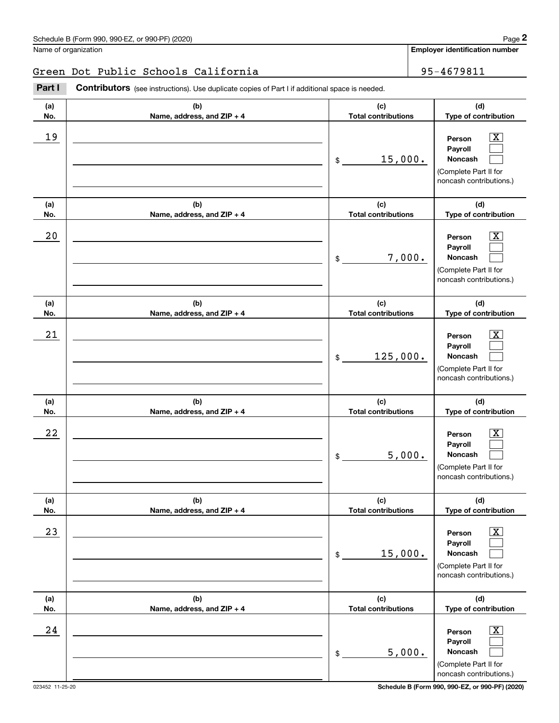### Green Dot Public Schools California 195-4679811

**(a)No.(b)Name, address, and ZIP + 4 (c)Total contributions (d)Type of contribution PersonPayrollNoncash (a)No.(b)Name, address, and ZIP + 4 (c)Total contributions (d)Type of contribution PersonPayrollNoncash (a)No.(b)Name, address, and ZIP + 4 (c)Total contributions (d)Type of contribution PersonPayrollNoncash (a) No.(b) Name, address, and ZIP + 4 (c) Total contributions (d) Type of contribution PersonPayrollNoncash (a) No.(b) Name, address, and ZIP + 4 (c) Total contributions (d) Type of contribution PersonPayrollNoncash (a) No.(b)Name, address, and ZIP + 4 (c) Total contributions (d) Type of contribution PersonPayrollNoncash Contributors** (see instructions). Use duplicate copies of Part I if additional space is needed. \$(Complete Part II for noncash contributions.) \$(Complete Part II for noncash contributions.) \$(Complete Part II for noncash contributions.) \$(Complete Part II for noncash contributions.) \$(Complete Part II for noncash contributions.) \$(Complete Part II for Employer identification Page 2<br>
Jame of organization<br> **2Part I 2Part I Contributors** (see instructions). Use duplicate copies of Part I if additional space is needed.  $\lceil \text{X} \rceil$  $\mathcal{L}^{\text{max}}$  $\mathcal{L}^{\text{max}}$  $\boxed{\text{X}}$  $\mathcal{L}^{\text{max}}$  $\mathcal{L}^{\text{max}}$  $|X|$  $\mathcal{L}^{\text{max}}$  $\mathcal{L}^{\text{max}}$  $|X|$  $\mathcal{L}^{\text{max}}$  $\mathcal{L}^{\text{max}}$  $|X|$  $\mathcal{L}^{\text{max}}$  $\mathcal{L}^{\text{max}}$  $\boxed{\text{X}}$  $\mathcal{L}^{\text{max}}$  $\mathcal{L}^{\text{max}}$ 19 X 15,000.  $20$  | Person  $\overline{\text{X}}$ 7,000.  $21$  Person X 125,000.  $22$  | Person  $\overline{\text{X}}$ 5,000.  $23$  | Person  $\overline{\text{X}}$ 15,000.  $24$  | Person  $\overline{\text{X}}$ 5,000.

noncash contributions.)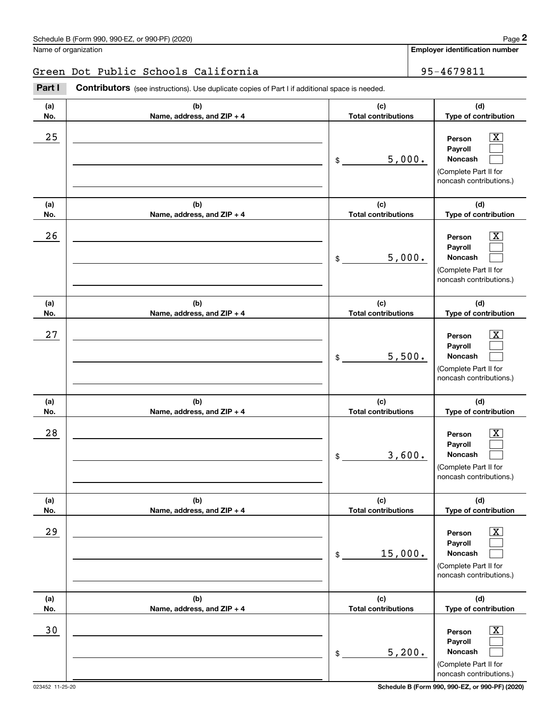### Green Dot Public Schools California 195-4679811

**(a)No.(b)Name, address, and ZIP + 4 (c)Total contributions (d)Type of contribution PersonPayrollNoncash (a)No.(b)Name, address, and ZIP + 4 (c)Total contributions (d)Type of contribution PersonPayrollNoncash (a)No.(b)Name, address, and ZIP + 4 (c)Total contributions (d)Type of contribution PersonPayrollNoncash (a) No.(b) Name, address, and ZIP + 4 (c) Total contributions (d) Type of contribution PersonPayrollNoncash (a) No.(b) Name, address, and ZIP + 4 (c) Total contributions (d) Type of contribution PersonPayrollNoncash (a) No.(b)Name, address, and ZIP + 4 (c) Total contributions (d) Type of contribution PersonPayrollNoncash Contributors** (see instructions). Use duplicate copies of Part I if additional space is needed. \$(Complete Part II for noncash contributions.) \$(Complete Part II for noncash contributions.) \$(Complete Part II for noncash contributions.) \$(Complete Part II for noncash contributions.) \$(Complete Part II for noncash contributions.) \$(Complete Part II for Employer identification Page 2<br>
Jame of organization<br> **2Part I 2Part I Contributors** (see instructions). Use duplicate copies of Part I if additional space is needed.  $\lceil \text{X} \rceil$  $\mathcal{L}^{\text{max}}$  $\mathcal{L}^{\text{max}}$  $\boxed{\text{X}}$  $\mathcal{L}^{\text{max}}$  $\mathcal{L}^{\text{max}}$  $|X|$  $\mathcal{L}^{\text{max}}$  $\mathcal{L}^{\text{max}}$  $|X|$  $\mathcal{L}^{\text{max}}$  $\mathcal{L}^{\text{max}}$  $|X|$  $\mathcal{L}^{\text{max}}$  $\mathcal{L}^{\text{max}}$  $\boxed{\text{X}}$  $\mathcal{L}^{\text{max}}$  $\mathcal{L}^{\text{max}}$  $25$  | Person  $\overline{\text{X}}$ 5,000.  $26$  Person  $\overline{\text{X}}$ 5,000.  $27$  | Person  $\overline{\text{X}}$ 5,500.  $28$  | Person  $\overline{\text{X}}$ 3,600.  $29$  | Person  $\overline{\text{X}}$ 15,000. 30 Person X 5,200.

noncash contributions.)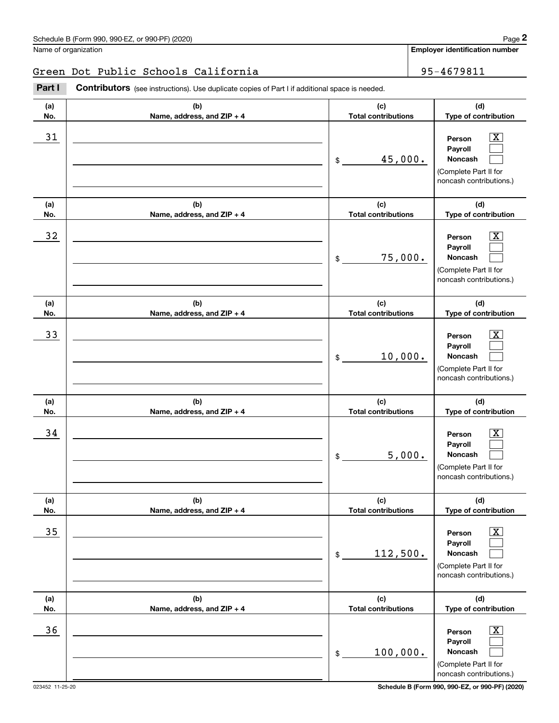### Green Dot Public Schools California 195-4679811

**(a)No.(b)Name, address, and ZIP + 4 (c)Total contributions (d)Type of contribution PersonPayrollNoncash (a)No.(b)Name, address, and ZIP + 4 (c)Total contributions (d)Type of contribution PersonPayrollNoncash (a)No.(b)Name, address, and ZIP + 4 (c)Total contributions (d)Type of contribution PersonPayrollNoncash (a) No.(b) Name, address, and ZIP + 4 (c) Total contributions (d) Type of contribution Person Payroll Noncash(a) No.(b) Name, address, and ZIP + 4 (c) Total contributions (d) Type of contribution PersonPayrollNoncash (a) No.(b)Name, address, and ZIP + 4 (c) Total contributions (d)Type of contribution PersonPayrollNoncash Contributors** (see instructions). Use duplicate copies of Part I if additional space is needed. \$(Complete Part II for noncash contributions.) \$(Complete Part II for noncash contributions.) \$(Complete Part II for noncash contributions.) \$(Complete Part II for noncash contributions.) \$(Complete Part II for noncash contributions.) \$(Complete Part II for Employer identification Page 2<br>
Jame of organization<br> **2Part I 2Part I Contributors** (see instructions). Use duplicate copies of Part I if additional space is needed.  $\lceil \text{X} \rceil$  $\mathcal{L}^{\text{max}}$  $\mathcal{L}^{\text{max}}$  $\boxed{\text{X}}$  $\mathcal{L}^{\text{max}}$  $\mathcal{L}^{\text{max}}$  $|X|$  $\mathcal{L}^{\text{max}}$  $\mathcal{L}^{\text{max}}$  $|X|$  $\mathcal{L}^{\text{max}}$  $\mathcal{L}^{\text{max}}$  $|X|$  $\mathcal{L}^{\text{max}}$  $\mathcal{L}^{\text{max}}$  $\boxed{\text{X}}$  $\mathcal{L}^{\text{max}}$  $\mathcal{L}^{\text{max}}$  $31$  Person X 45,000.  $32$  | Person  $\overline{\text{X}}$ 75,000. 33 Person X 10,000.  $34$  | Person  $\overline{\text{X}}$ 5,000.  $35$  | Person  $\overline{\text{X}}$ 112,500.  $36$  Person X 100,000.

noncash contributions.)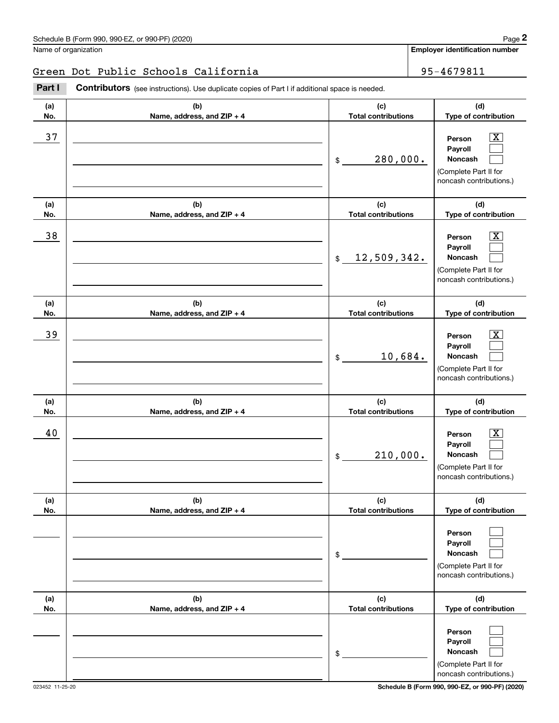**(a)No.(b)Name, address, and ZIP + 4 (c)Total contributions (d)Type of contribution PersonPayrollNoncash (a)No.(b)Name, address, and ZIP + 4 (c)Total contributions (d)Type of contribution PersonPayrollNoncash (a)No.(b)Name, address, and ZIP + 4 (c)Total contributions (d)Type of contribution PersonPayrollNoncash (a) No.(b) Name, address, and ZIP + 4 (c) Total contributions (d) Type of contribution Person Payroll Noncash (a) No.(b) Name, address, and ZIP + 4 (c) Total contributions (d) Type of contribution PersonPayrollNoncash (a) No.(b)Name, address, and ZIP + 4 (c) Total contributions (d)Type of contribution PersonPayrollNoncash Contributors** (see instructions). Use duplicate copies of Part I if additional space is needed. \$(Complete Part II for noncash contributions.) \$(Complete Part II for noncash contributions.) \$(Complete Part II for noncash contributions.) \$(Complete Part II for noncash contributions.) \$(Complete Part II for noncash contributions.) \$Employer identification Page 2<br>
Jame of organization<br> **2Part I 2Part I Contributors** (see instructions). Use duplicate copies of Part I if additional space is needed.  $\lceil \text{X} \rceil$  $\mathcal{L}^{\text{max}}$  $\mathcal{L}^{\text{max}}$  $\boxed{\text{X}}$  $\mathcal{L}^{\text{max}}$  $\mathcal{L}^{\text{max}}$  $|X|$  $\mathcal{L}^{\text{max}}$  $\mathcal{L}^{\text{max}}$  $|X|$  $\mathcal{L}^{\text{max}}$  $\mathcal{L}^{\text{max}}$  $\mathcal{L}^{\text{max}}$  $\mathcal{L}^{\text{max}}$  $\mathcal{L}^{\text{max}}$  $\mathcal{L}^{\text{max}}$  $\mathcal{L}^{\text{max}}$  $\mathcal{L}^{\text{max}}$ 37 X 280,000. 38 X 12,509,342. 39 X 10,684. 40 Person X 210,000. Green Dot Public Schools California 195-4679811

(Complete Part II for noncash contributions.)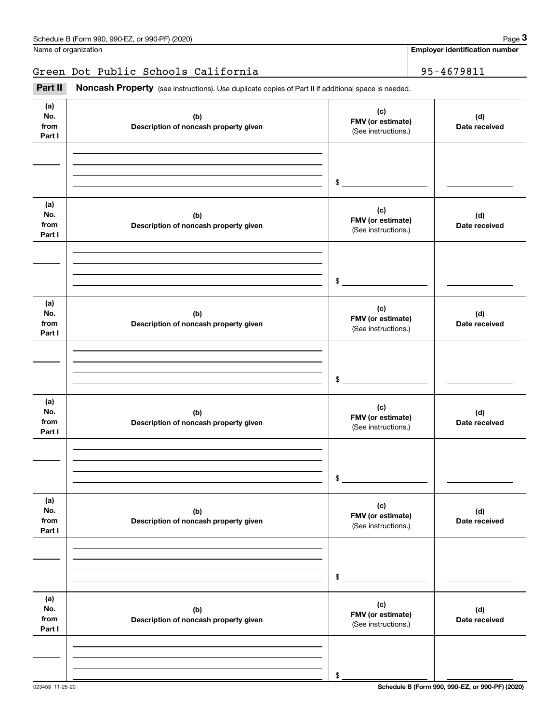Green Dot Public Schools California 195-4679811

(see instructions). Use duplicate copies of Part II if additional space is needed.<br> **3Part II is Noncash Property** (see instructions). Use duplicate copies of Part II if additional space is needed.

| (a)<br>No.<br>from<br>Part I | (b)<br>Description of noncash property given | (c)<br>FMV (or estimate)<br>(See instructions.) | (d)<br>Date received |
|------------------------------|----------------------------------------------|-------------------------------------------------|----------------------|
|                              |                                              | \$                                              |                      |
| (a)<br>No.<br>from<br>Part I | (b)<br>Description of noncash property given | (c)<br>FMV (or estimate)<br>(See instructions.) | (d)<br>Date received |
|                              |                                              | \$                                              |                      |
| (a)<br>No.<br>from<br>Part I | (b)<br>Description of noncash property given | (c)<br>FMV (or estimate)<br>(See instructions.) | (d)<br>Date received |
|                              |                                              | \$                                              |                      |
| (a)<br>No.<br>from<br>Part I | (b)<br>Description of noncash property given | (c)<br>FMV (or estimate)<br>(See instructions.) | (d)<br>Date received |
|                              |                                              | \$                                              |                      |
| (a)<br>No.<br>from<br>Part I | (b)<br>Description of noncash property given | (c)<br>FMV (or estimate)<br>(See instructions.) | (d)<br>Date received |
|                              |                                              | \$                                              |                      |
| (a)<br>No.<br>from<br>Part I | (b)<br>Description of noncash property given | (c)<br>FMV (or estimate)<br>(See instructions.) | (d)<br>Date received |
|                              |                                              | \$                                              |                      |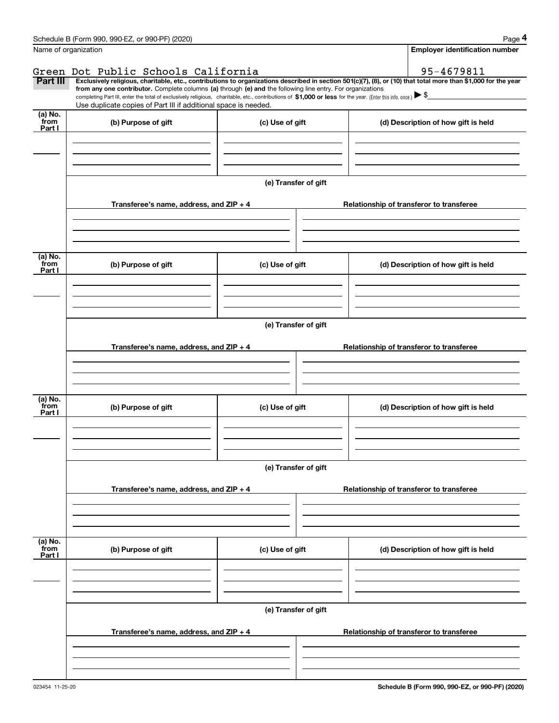|                           | Schedule B (Form 990, 990-EZ, or 990-PF) (2020)                                                                                                                                                                                                                            |                      | Page 4                                                                                                                                                         |
|---------------------------|----------------------------------------------------------------------------------------------------------------------------------------------------------------------------------------------------------------------------------------------------------------------------|----------------------|----------------------------------------------------------------------------------------------------------------------------------------------------------------|
| Name of organization      |                                                                                                                                                                                                                                                                            |                      | <b>Employer identification number</b>                                                                                                                          |
|                           | Green Dot Public Schools California                                                                                                                                                                                                                                        |                      | 95-4679811                                                                                                                                                     |
| Part III                  |                                                                                                                                                                                                                                                                            |                      | Exclusively religious, charitable, etc., contributions to organizations described in section 501(c)(7), (8), or (10) that total more than \$1,000 for the year |
|                           | from any one contributor. Complete columns (a) through (e) and the following line entry. For organizations<br>completing Part III, enter the total of exclusively religious, charitable, etc., contributions of \$1,000 or less for the year. (Enter this info. once.) \\$ |                      |                                                                                                                                                                |
|                           | Use duplicate copies of Part III if additional space is needed.                                                                                                                                                                                                            |                      |                                                                                                                                                                |
| (a) No.<br>from<br>Part I | (b) Purpose of gift                                                                                                                                                                                                                                                        | (c) Use of gift      | (d) Description of how gift is held                                                                                                                            |
|                           |                                                                                                                                                                                                                                                                            |                      |                                                                                                                                                                |
|                           |                                                                                                                                                                                                                                                                            |                      |                                                                                                                                                                |
|                           |                                                                                                                                                                                                                                                                            |                      |                                                                                                                                                                |
|                           |                                                                                                                                                                                                                                                                            | (e) Transfer of gift |                                                                                                                                                                |
|                           | Transferee's name, address, and ZIP + 4                                                                                                                                                                                                                                    |                      | Relationship of transferor to transferee                                                                                                                       |
|                           |                                                                                                                                                                                                                                                                            |                      |                                                                                                                                                                |
|                           |                                                                                                                                                                                                                                                                            |                      |                                                                                                                                                                |
| (a) No.                   |                                                                                                                                                                                                                                                                            |                      |                                                                                                                                                                |
| from<br>Part I            | (b) Purpose of gift                                                                                                                                                                                                                                                        | (c) Use of gift      | (d) Description of how gift is held                                                                                                                            |
|                           |                                                                                                                                                                                                                                                                            |                      |                                                                                                                                                                |
|                           |                                                                                                                                                                                                                                                                            |                      |                                                                                                                                                                |
|                           |                                                                                                                                                                                                                                                                            |                      |                                                                                                                                                                |
|                           |                                                                                                                                                                                                                                                                            | (e) Transfer of gift |                                                                                                                                                                |
|                           | Transferee's name, address, and ZIP + 4                                                                                                                                                                                                                                    |                      | Relationship of transferor to transferee                                                                                                                       |
|                           |                                                                                                                                                                                                                                                                            |                      |                                                                                                                                                                |
|                           |                                                                                                                                                                                                                                                                            |                      |                                                                                                                                                                |
|                           |                                                                                                                                                                                                                                                                            |                      |                                                                                                                                                                |
| (a) No.<br>from           | (b) Purpose of gift                                                                                                                                                                                                                                                        | (c) Use of gift      | (d) Description of how gift is held                                                                                                                            |
| Part I                    |                                                                                                                                                                                                                                                                            |                      |                                                                                                                                                                |
|                           |                                                                                                                                                                                                                                                                            |                      |                                                                                                                                                                |
|                           |                                                                                                                                                                                                                                                                            |                      |                                                                                                                                                                |
|                           |                                                                                                                                                                                                                                                                            | (e) Transfer of gift |                                                                                                                                                                |
|                           |                                                                                                                                                                                                                                                                            |                      |                                                                                                                                                                |
|                           | Transferee's name, address, and ZIP + 4                                                                                                                                                                                                                                    |                      | Relationship of transferor to transferee                                                                                                                       |
|                           |                                                                                                                                                                                                                                                                            |                      |                                                                                                                                                                |
|                           |                                                                                                                                                                                                                                                                            |                      |                                                                                                                                                                |
|                           |                                                                                                                                                                                                                                                                            |                      |                                                                                                                                                                |
| (a) No.<br>from<br>Part I | (b) Purpose of gift                                                                                                                                                                                                                                                        | (c) Use of gift      | (d) Description of how gift is held                                                                                                                            |
|                           |                                                                                                                                                                                                                                                                            |                      |                                                                                                                                                                |
|                           |                                                                                                                                                                                                                                                                            |                      |                                                                                                                                                                |
|                           |                                                                                                                                                                                                                                                                            |                      |                                                                                                                                                                |
|                           |                                                                                                                                                                                                                                                                            | (e) Transfer of gift |                                                                                                                                                                |
|                           |                                                                                                                                                                                                                                                                            |                      |                                                                                                                                                                |
|                           | Transferee's name, address, and ZIP + 4                                                                                                                                                                                                                                    |                      | Relationship of transferor to transferee                                                                                                                       |
|                           |                                                                                                                                                                                                                                                                            |                      |                                                                                                                                                                |
|                           |                                                                                                                                                                                                                                                                            |                      |                                                                                                                                                                |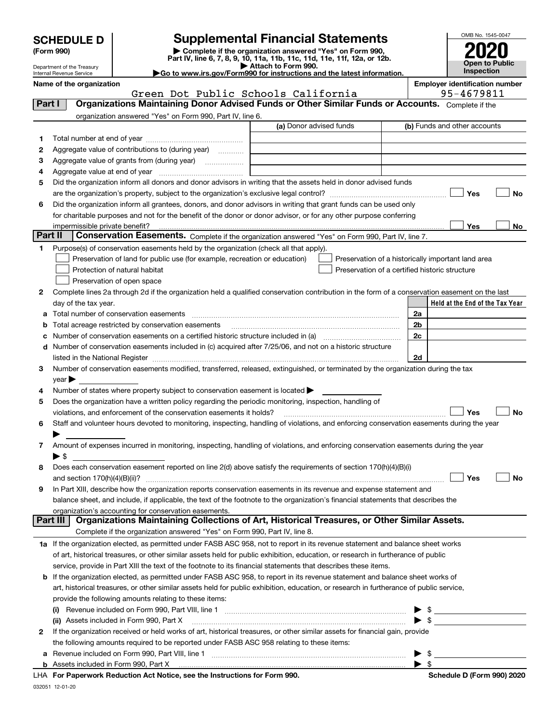| <b>SCHEDULE D</b> |  |
|-------------------|--|
|-------------------|--|

Department of the Treasury

### **SCHEDULE D Supplemental Financial Statements**

(Form 990)<br>
Pepartment of the Treasury<br>
Department of the Treasury<br>
Department of the Treasury<br>
Department of the Treasury<br> **Co to www.irs.gov/Form990 for instructions and the latest information.**<br> **Co to www.irs.gov/Form9** 



| OMB No. 1545-0047     |
|-----------------------|
|                       |
| 2020                  |
|                       |
| <b>Open to Public</b> |
| Inspection            |

|         | Internal Revenue Service                 |                                                                                           | Go to www.irs.gov/Form990 for instructions and the latest information.                                                                         |      | <b>Inspection</b>                                   |           |
|---------|------------------------------------------|-------------------------------------------------------------------------------------------|------------------------------------------------------------------------------------------------------------------------------------------------|------|-----------------------------------------------------|-----------|
|         | Name of the organization                 | Green Dot Public Schools California                                                       |                                                                                                                                                |      | <b>Employer identification number</b><br>95-4679811 |           |
| Part I  |                                          |                                                                                           | Organizations Maintaining Donor Advised Funds or Other Similar Funds or Accounts. Complete if the                                              |      |                                                     |           |
|         |                                          | organization answered "Yes" on Form 990, Part IV, line 6.                                 |                                                                                                                                                |      |                                                     |           |
|         |                                          |                                                                                           | (a) Donor advised funds                                                                                                                        |      | (b) Funds and other accounts                        |           |
| 1       |                                          |                                                                                           |                                                                                                                                                |      |                                                     |           |
| 2       |                                          | Aggregate value of contributions to (during year)                                         |                                                                                                                                                |      |                                                     |           |
| 3       |                                          | Aggregate value of grants from (during year)                                              |                                                                                                                                                |      |                                                     |           |
| 4       |                                          |                                                                                           |                                                                                                                                                |      |                                                     |           |
| 5       |                                          |                                                                                           | Did the organization inform all donors and donor advisors in writing that the assets held in donor advised funds                               |      |                                                     |           |
|         |                                          |                                                                                           |                                                                                                                                                |      | Yes                                                 | No        |
| 6       |                                          |                                                                                           | Did the organization inform all grantees, donors, and donor advisors in writing that grant funds can be used only                              |      |                                                     |           |
|         |                                          |                                                                                           | for charitable purposes and not for the benefit of the donor or donor advisor, or for any other purpose conferring                             |      |                                                     |           |
|         |                                          |                                                                                           |                                                                                                                                                |      | Yes                                                 | No        |
| Part II |                                          |                                                                                           | Conservation Easements. Complete if the organization answered "Yes" on Form 990, Part IV, line 7.                                              |      |                                                     |           |
| 1       |                                          | Purpose(s) of conservation easements held by the organization (check all that apply).     |                                                                                                                                                |      |                                                     |           |
|         |                                          | Preservation of land for public use (for example, recreation or education)                | Preservation of a historically important land area                                                                                             |      |                                                     |           |
|         | Protection of natural habitat            |                                                                                           | Preservation of a certified historic structure                                                                                                 |      |                                                     |           |
|         | Preservation of open space               |                                                                                           |                                                                                                                                                |      |                                                     |           |
| 2       |                                          |                                                                                           | Complete lines 2a through 2d if the organization held a qualified conservation contribution in the form of a conservation easement on the last |      |                                                     |           |
|         | day of the tax year.                     |                                                                                           |                                                                                                                                                |      | Held at the End of the Tax Year                     |           |
| а       | Total number of conservation easements   |                                                                                           |                                                                                                                                                | 2a   |                                                     |           |
| b       |                                          | Total acreage restricted by conservation easements                                        |                                                                                                                                                | 2b   |                                                     |           |
| с       |                                          |                                                                                           |                                                                                                                                                | 2c   |                                                     |           |
| d       |                                          |                                                                                           | Number of conservation easements included in (c) acquired after 7/25/06, and not on a historic structure                                       | 2d   |                                                     |           |
| 3       |                                          |                                                                                           | Number of conservation easements modified, transferred, released, extinguished, or terminated by the organization during the tax               |      |                                                     |           |
|         | $year \rightarrow$                       |                                                                                           |                                                                                                                                                |      |                                                     |           |
| 4       |                                          | Number of states where property subject to conservation easement is located >             |                                                                                                                                                |      |                                                     |           |
| 5       |                                          |                                                                                           | Does the organization have a written policy regarding the periodic monitoring, inspection, handling of                                         |      |                                                     |           |
|         |                                          | violations, and enforcement of the conservation easements it holds?                       |                                                                                                                                                |      | Yes                                                 | <b>No</b> |
| 6       |                                          |                                                                                           | Staff and volunteer hours devoted to monitoring, inspecting, handling of violations, and enforcing conservation easements during the year      |      |                                                     |           |
|         |                                          |                                                                                           |                                                                                                                                                |      |                                                     |           |
| 7       |                                          |                                                                                           | Amount of expenses incurred in monitoring, inspecting, handling of violations, and enforcing conservation easements during the year            |      |                                                     |           |
|         | $\blacktriangleright$ \$                 |                                                                                           |                                                                                                                                                |      |                                                     |           |
| 8       |                                          |                                                                                           | Does each conservation easement reported on line 2(d) above satisfy the requirements of section 170(h)(4)(B)(i)                                |      |                                                     |           |
|         |                                          |                                                                                           |                                                                                                                                                |      | Yes                                                 | Nο        |
| 9       |                                          |                                                                                           | In Part XIII, describe how the organization reports conservation easements in its revenue and expense statement and                            |      |                                                     |           |
|         |                                          |                                                                                           | balance sheet, and include, if applicable, the text of the footnote to the organization's financial statements that describes the              |      |                                                     |           |
|         |                                          | organization's accounting for conservation easements.                                     |                                                                                                                                                |      |                                                     |           |
|         | Part III                                 |                                                                                           | Organizations Maintaining Collections of Art, Historical Treasures, or Other Similar Assets.                                                   |      |                                                     |           |
|         |                                          | Complete if the organization answered "Yes" on Form 990, Part IV, line 8.                 |                                                                                                                                                |      |                                                     |           |
|         |                                          |                                                                                           | 1a If the organization elected, as permitted under FASB ASC 958, not to report in its revenue statement and balance sheet works                |      |                                                     |           |
|         |                                          |                                                                                           | of art, historical treasures, or other similar assets held for public exhibition, education, or research in furtherance of public              |      |                                                     |           |
|         |                                          |                                                                                           | service, provide in Part XIII the text of the footnote to its financial statements that describes these items.                                 |      |                                                     |           |
| b       |                                          |                                                                                           | If the organization elected, as permitted under FASB ASC 958, to report in its revenue statement and balance sheet works of                    |      |                                                     |           |
|         |                                          |                                                                                           | art, historical treasures, or other similar assets held for public exhibition, education, or research in furtherance of public service,        |      |                                                     |           |
|         |                                          | provide the following amounts relating to these items:                                    |                                                                                                                                                |      |                                                     |           |
|         | (ii) Assets included in Form 990, Part X |                                                                                           |                                                                                                                                                |      | $\sim$<br>$\mathcal{S}$                             |           |
| 2       |                                          |                                                                                           | If the organization received or held works of art, historical treasures, or other similar assets for financial gain, provide                   |      |                                                     |           |
|         |                                          | the following amounts required to be reported under FASB ASC 958 relating to these items: |                                                                                                                                                |      |                                                     |           |
| а       |                                          |                                                                                           |                                                                                                                                                | ► \$ |                                                     |           |
|         |                                          |                                                                                           |                                                                                                                                                |      |                                                     |           |

| LHA For Paperwork Reduction Act Notice, see the Instructions for Form 990. |  |
|----------------------------------------------------------------------------|--|
| 032051 12-01-20                                                            |  |

 $\blacktriangleright$  \$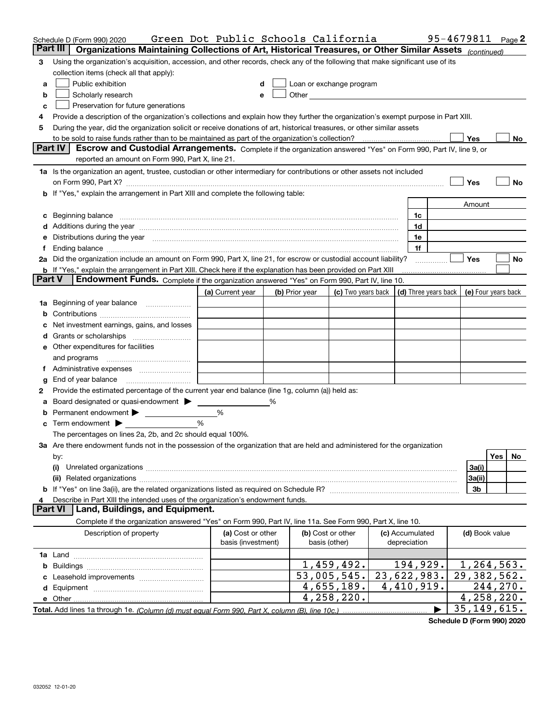|               | Schedule D (Form 990) 2020                                                                                                                                                                                                     | Green Dot Public Schools California |   |                |                                                                                                                                                                                                                                |                      | 95-4679811     | Page $2$            |
|---------------|--------------------------------------------------------------------------------------------------------------------------------------------------------------------------------------------------------------------------------|-------------------------------------|---|----------------|--------------------------------------------------------------------------------------------------------------------------------------------------------------------------------------------------------------------------------|----------------------|----------------|---------------------|
| Part III      | Organizations Maintaining Collections of Art, Historical Treasures, or Other Similar Assets (continued)                                                                                                                        |                                     |   |                |                                                                                                                                                                                                                                |                      |                |                     |
| 3             | Using the organization's acquisition, accession, and other records, check any of the following that make significant use of its                                                                                                |                                     |   |                |                                                                                                                                                                                                                                |                      |                |                     |
|               | collection items (check all that apply):                                                                                                                                                                                       |                                     |   |                |                                                                                                                                                                                                                                |                      |                |                     |
| a             | Public exhibition                                                                                                                                                                                                              |                                     |   |                | Loan or exchange program                                                                                                                                                                                                       |                      |                |                     |
| b             | Scholarly research                                                                                                                                                                                                             | е                                   |   |                | Other the contract of the contract of the contract of the contract of the contract of the contract of the contract of the contract of the contract of the contract of the contract of the contract of the contract of the cont |                      |                |                     |
| c             | Preservation for future generations                                                                                                                                                                                            |                                     |   |                |                                                                                                                                                                                                                                |                      |                |                     |
| 4             | Provide a description of the organization's collections and explain how they further the organization's exempt purpose in Part XIII.                                                                                           |                                     |   |                |                                                                                                                                                                                                                                |                      |                |                     |
| 5             | During the year, did the organization solicit or receive donations of art, historical treasures, or other similar assets                                                                                                       |                                     |   |                |                                                                                                                                                                                                                                |                      |                |                     |
|               |                                                                                                                                                                                                                                |                                     |   |                |                                                                                                                                                                                                                                |                      | Yes            | No                  |
|               | Part IV<br>Escrow and Custodial Arrangements. Complete if the organization answered "Yes" on Form 990, Part IV, line 9, or                                                                                                     |                                     |   |                |                                                                                                                                                                                                                                |                      |                |                     |
|               | reported an amount on Form 990, Part X, line 21.                                                                                                                                                                               |                                     |   |                |                                                                                                                                                                                                                                |                      |                |                     |
|               | 1a Is the organization an agent, trustee, custodian or other intermediary for contributions or other assets not included                                                                                                       |                                     |   |                |                                                                                                                                                                                                                                |                      |                |                     |
|               | on Form 990, Part X? [11] matter and the contract of the contract of the contract of the contract of the contract of the contract of the contract of the contract of the contract of the contract of the contract of the contr |                                     |   |                |                                                                                                                                                                                                                                |                      | Yes            | No                  |
|               | If "Yes," explain the arrangement in Part XIII and complete the following table:                                                                                                                                               |                                     |   |                |                                                                                                                                                                                                                                |                      |                |                     |
|               |                                                                                                                                                                                                                                |                                     |   |                |                                                                                                                                                                                                                                |                      | Amount         |                     |
| c             | Beginning balance <b>contract to the contract of the contract of the contract of the contract of the contract of t</b>                                                                                                         |                                     |   |                |                                                                                                                                                                                                                                | 1c                   |                |                     |
|               |                                                                                                                                                                                                                                |                                     |   |                |                                                                                                                                                                                                                                | 1d                   |                |                     |
| е             | Distributions during the year manufactured and continuum and contained and the year manufactured and contained                                                                                                                 |                                     |   |                |                                                                                                                                                                                                                                | 1e                   |                |                     |
| Ť.            |                                                                                                                                                                                                                                |                                     |   |                |                                                                                                                                                                                                                                | 1f                   |                |                     |
|               | 2a Did the organization include an amount on Form 990, Part X, line 21, for escrow or custodial account liability?                                                                                                             |                                     |   |                |                                                                                                                                                                                                                                |                      | Yes            | No                  |
|               | <b>b</b> If "Yes," explain the arrangement in Part XIII. Check here if the explanation has been provided on Part XIII                                                                                                          |                                     |   |                |                                                                                                                                                                                                                                |                      |                |                     |
| <b>Part V</b> | <b>Endowment Funds.</b> Complete if the organization answered "Yes" on Form 990, Part IV, line 10.                                                                                                                             |                                     |   |                |                                                                                                                                                                                                                                |                      |                |                     |
|               |                                                                                                                                                                                                                                | (a) Current year                    |   | (b) Prior year | (c) Two years back                                                                                                                                                                                                             | (d) Three years back |                | (e) Four years back |
| 1a            | Beginning of year balance                                                                                                                                                                                                      |                                     |   |                |                                                                                                                                                                                                                                |                      |                |                     |
|               |                                                                                                                                                                                                                                |                                     |   |                |                                                                                                                                                                                                                                |                      |                |                     |
|               | Net investment earnings, gains, and losses                                                                                                                                                                                     |                                     |   |                |                                                                                                                                                                                                                                |                      |                |                     |
| a             |                                                                                                                                                                                                                                |                                     |   |                |                                                                                                                                                                                                                                |                      |                |                     |
|               | e Other expenditures for facilities                                                                                                                                                                                            |                                     |   |                |                                                                                                                                                                                                                                |                      |                |                     |
|               | and programs                                                                                                                                                                                                                   |                                     |   |                |                                                                                                                                                                                                                                |                      |                |                     |
| Ť.            |                                                                                                                                                                                                                                |                                     |   |                |                                                                                                                                                                                                                                |                      |                |                     |
| g             | End of year balance                                                                                                                                                                                                            |                                     |   |                |                                                                                                                                                                                                                                |                      |                |                     |
| 2             | Provide the estimated percentage of the current year end balance (line 1g, column (a)) held as:                                                                                                                                |                                     |   |                |                                                                                                                                                                                                                                |                      |                |                     |
|               | Board designated or quasi-endowment >                                                                                                                                                                                          |                                     | % |                |                                                                                                                                                                                                                                |                      |                |                     |
| b             | Permanent endowment                                                                                                                                                                                                            | %                                   |   |                |                                                                                                                                                                                                                                |                      |                |                     |
|               | Term endowment $\blacktriangleright$                                                                                                                                                                                           | %                                   |   |                |                                                                                                                                                                                                                                |                      |                |                     |
|               | The percentages on lines 2a, 2b, and 2c should equal 100%.                                                                                                                                                                     |                                     |   |                |                                                                                                                                                                                                                                |                      |                |                     |
|               | 3a Are there endowment funds not in the possession of the organization that are held and administered for the organization                                                                                                     |                                     |   |                |                                                                                                                                                                                                                                |                      |                |                     |
|               | by:                                                                                                                                                                                                                            |                                     |   |                |                                                                                                                                                                                                                                |                      |                | <b>Yes</b><br>No    |
|               | (i)                                                                                                                                                                                                                            |                                     |   |                |                                                                                                                                                                                                                                |                      | 3a(i)          |                     |
|               |                                                                                                                                                                                                                                |                                     |   |                |                                                                                                                                                                                                                                |                      | 3a(ii)         |                     |
|               |                                                                                                                                                                                                                                |                                     |   |                |                                                                                                                                                                                                                                |                      | 3b             |                     |
| 4             | Describe in Part XIII the intended uses of the organization's endowment funds.                                                                                                                                                 |                                     |   |                |                                                                                                                                                                                                                                |                      |                |                     |
|               | <b>Part VI</b><br>Land, Buildings, and Equipment.                                                                                                                                                                              |                                     |   |                |                                                                                                                                                                                                                                |                      |                |                     |
|               | Complete if the organization answered "Yes" on Form 990, Part IV, line 11a. See Form 990, Part X, line 10.                                                                                                                     |                                     |   |                |                                                                                                                                                                                                                                |                      |                |                     |
|               | Description of property                                                                                                                                                                                                        | (a) Cost or other                   |   |                | (b) Cost or other                                                                                                                                                                                                              | (c) Accumulated      | (d) Book value |                     |
|               |                                                                                                                                                                                                                                | basis (investment)                  |   |                | basis (other)                                                                                                                                                                                                                  | depreciation         |                |                     |
|               |                                                                                                                                                                                                                                |                                     |   |                |                                                                                                                                                                                                                                |                      |                |                     |
|               |                                                                                                                                                                                                                                |                                     |   |                | 1,459,492.                                                                                                                                                                                                                     | 194,929.             | 1,264,563.     |                     |
|               |                                                                                                                                                                                                                                |                                     |   |                | 53,005,545.                                                                                                                                                                                                                    | 23,622,983.          | 29,382,562.    |                     |
|               |                                                                                                                                                                                                                                |                                     |   |                | 4,655,189.                                                                                                                                                                                                                     | 4,410,919.           |                | 244,270.            |
|               |                                                                                                                                                                                                                                |                                     |   |                | $\overline{4,258,220}$ .                                                                                                                                                                                                       |                      | 4,258,220.     |                     |
|               |                                                                                                                                                                                                                                |                                     |   |                |                                                                                                                                                                                                                                |                      | 35, 149, 615.  |                     |

**Schedule D (Form 990) 2020**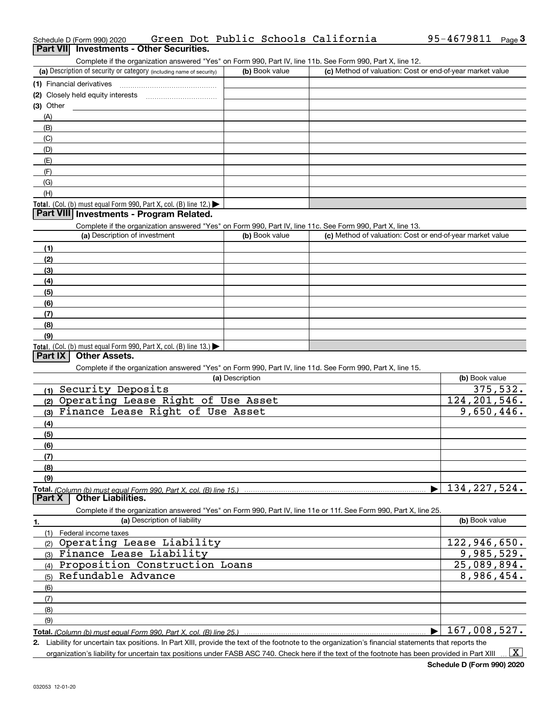| (a) Description of security or category (including name of security)                                                                                                                                                           | (b) Book value  | (c) Method of valuation: Cost or end-of-year market value |                |
|--------------------------------------------------------------------------------------------------------------------------------------------------------------------------------------------------------------------------------|-----------------|-----------------------------------------------------------|----------------|
| (1) Financial derivatives                                                                                                                                                                                                      |                 |                                                           |                |
| (2) Closely held equity interests                                                                                                                                                                                              |                 |                                                           |                |
| (3) Other                                                                                                                                                                                                                      |                 |                                                           |                |
| (A)                                                                                                                                                                                                                            |                 |                                                           |                |
| (B)                                                                                                                                                                                                                            |                 |                                                           |                |
| (C)                                                                                                                                                                                                                            |                 |                                                           |                |
| (D)                                                                                                                                                                                                                            |                 |                                                           |                |
| (E)                                                                                                                                                                                                                            |                 |                                                           |                |
| (F)                                                                                                                                                                                                                            |                 |                                                           |                |
| (G)                                                                                                                                                                                                                            |                 |                                                           |                |
| (H)                                                                                                                                                                                                                            |                 |                                                           |                |
| <b>Total.</b> (Col. (b) must equal Form 990, Part X, col. (B) line 12.) $\blacktriangleright$                                                                                                                                  |                 |                                                           |                |
| Part VIII Investments - Program Related.                                                                                                                                                                                       |                 |                                                           |                |
| Complete if the organization answered "Yes" on Form 990, Part IV, line 11c. See Form 990, Part X, line 13.                                                                                                                     |                 |                                                           |                |
| (a) Description of investment                                                                                                                                                                                                  | (b) Book value  | (c) Method of valuation: Cost or end-of-year market value |                |
|                                                                                                                                                                                                                                |                 |                                                           |                |
| (1)                                                                                                                                                                                                                            |                 |                                                           |                |
| (2)                                                                                                                                                                                                                            |                 |                                                           |                |
| (3)                                                                                                                                                                                                                            |                 |                                                           |                |
| (4)                                                                                                                                                                                                                            |                 |                                                           |                |
| (5)                                                                                                                                                                                                                            |                 |                                                           |                |
| (6)                                                                                                                                                                                                                            |                 |                                                           |                |
| (7)                                                                                                                                                                                                                            |                 |                                                           |                |
| (8)                                                                                                                                                                                                                            |                 |                                                           |                |
| (9)                                                                                                                                                                                                                            |                 |                                                           |                |
| Total. (Col. (b) must equal Form 990, Part X, col. (B) line 13.)<br><b>Other Assets.</b><br>Part IX                                                                                                                            |                 |                                                           |                |
|                                                                                                                                                                                                                                |                 |                                                           |                |
| Complete if the organization answered "Yes" on Form 990, Part IV, line 11d. See Form 990, Part X, line 15.                                                                                                                     | (a) Description |                                                           | (b) Book value |
| Security Deposits                                                                                                                                                                                                              |                 |                                                           | 375,532.       |
| (1)<br>Operating Lease Right of Use Asset                                                                                                                                                                                      |                 |                                                           | 124, 201, 546. |
| (2)<br>Finance Lease Right of Use Asset                                                                                                                                                                                        |                 |                                                           | 9,650,446.     |
| (3)                                                                                                                                                                                                                            |                 |                                                           |                |
| (4)                                                                                                                                                                                                                            |                 |                                                           |                |
| (5)                                                                                                                                                                                                                            |                 |                                                           |                |
| (6)                                                                                                                                                                                                                            |                 |                                                           |                |
| (7)                                                                                                                                                                                                                            |                 |                                                           |                |
| (8)                                                                                                                                                                                                                            |                 |                                                           |                |
| (9)                                                                                                                                                                                                                            |                 |                                                           | 134, 227, 524. |
| <b>Other Liabilities.</b><br><b>Part X</b>                                                                                                                                                                                     |                 |                                                           |                |
| Complete if the organization answered "Yes" on Form 990, Part IV, line 11e or 11f. See Form 990, Part X, line 25.                                                                                                              |                 |                                                           |                |
| (a) Description of liability                                                                                                                                                                                                   |                 |                                                           | (b) Book value |
| 1.                                                                                                                                                                                                                             |                 |                                                           |                |
| Federal income taxes<br>(1)<br>Operating Lease Liability                                                                                                                                                                       |                 |                                                           | 122,946,650.   |
| (2)<br>Finance Lease Liability                                                                                                                                                                                                 |                 |                                                           | 9,985,529.     |
| (3)<br>Proposition Construction Loans                                                                                                                                                                                          |                 |                                                           | 25,089,894.    |
| (4)<br>Refundable Advance                                                                                                                                                                                                      |                 |                                                           | 8,986,454.     |
| (5)                                                                                                                                                                                                                            |                 |                                                           |                |
| (6)                                                                                                                                                                                                                            |                 |                                                           |                |
| (7)                                                                                                                                                                                                                            |                 |                                                           |                |
| (8)                                                                                                                                                                                                                            |                 |                                                           |                |
| (9)                                                                                                                                                                                                                            |                 |                                                           | 167,008,527.   |
| Total. (Column (b) must equal Form 990, Part X, col. (B) line 25.) manual content content content content content content of the local content of the local content of the local content of the local content of the local con |                 |                                                           |                |
| 2. Liability for uncertain tax positions. In Part XIII, provide the text of the footnote to the organization's financial statements that reports the                                                                           |                 |                                                           |                |

organization's liability for uncertain tax positions under FASB ASC 740. Check here if the text of the footnote has been provided in Part XIII

 $\vert$  X  $\vert$ 

# Schedule D (Form 990) 2020 Green Dot Public Schools California 95-4679811 <sub>Page</sub> 3<br>| **Part VII** | Investments - Other Securities.

Complete if the organization answered "Yes" on Form 990, Part IV, line 11b. See Form 990, Part X, line 12.

| (a) Description of security or category (including name of security) | (b) Book value | (c) Method of valuation: Cost or end-of-year market value |
|----------------------------------------------------------------------|----------------|-----------------------------------------------------------|
| (1) Financial derivatives                                            |                |                                                           |
| (2) Closely held equity interests                                    |                |                                                           |
| (3) Other                                                            |                |                                                           |
| (A)                                                                  |                |                                                           |
| (B)                                                                  |                |                                                           |
| (C)                                                                  |                |                                                           |
| (D)                                                                  |                |                                                           |
| (E)                                                                  |                |                                                           |
| (F)                                                                  |                |                                                           |
| (G)                                                                  |                |                                                           |
| (H)                                                                  |                |                                                           |
|                                                                      |                |                                                           |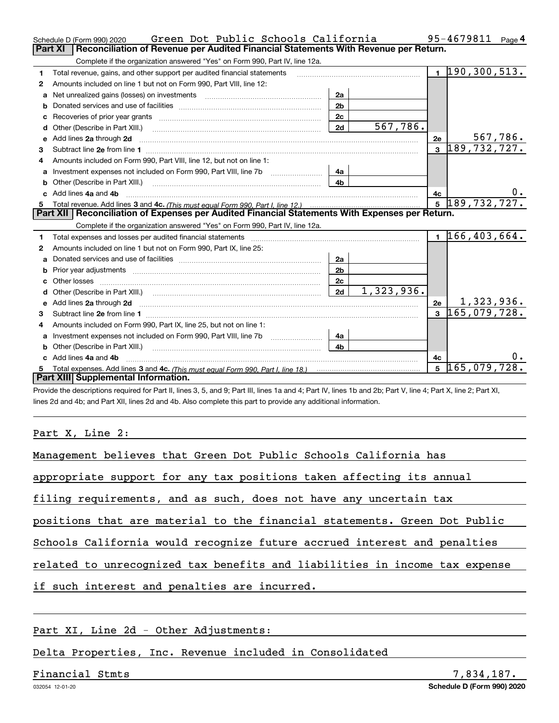|    | Green Dot Public Schools California<br>Schedule D (Form 990) 2020                                                                                                                                                                   |                |            |                | 95-4679811                   | Page 4   |
|----|-------------------------------------------------------------------------------------------------------------------------------------------------------------------------------------------------------------------------------------|----------------|------------|----------------|------------------------------|----------|
|    | <b>Part XI</b><br>Reconciliation of Revenue per Audited Financial Statements With Revenue per Return.                                                                                                                               |                |            |                |                              |          |
|    | Complete if the organization answered "Yes" on Form 990, Part IV, line 12a.                                                                                                                                                         |                |            |                |                              |          |
| 1  | Total revenue, gains, and other support per audited financial statements                                                                                                                                                            |                |            |                | $1\overline{190,300,513}$ .  |          |
| 2  | Amounts included on line 1 but not on Form 990, Part VIII, line 12:                                                                                                                                                                 |                |            |                |                              |          |
| a  |                                                                                                                                                                                                                                     | 2a             |            |                |                              |          |
|    |                                                                                                                                                                                                                                     | 2 <sub>b</sub> |            |                |                              |          |
| C  |                                                                                                                                                                                                                                     | 2c             |            |                |                              |          |
| d  | Other (Describe in Part XIII.) <b>2006</b> 2007 2010 2010 2010 2010 2011 2012 2013 2014 2014 2015 2016 2017 2018 2019 2016 2017 2018 2019 2016 2017 2018 2019 2016 2017 2018 2019 2018 2019 2019 2016 2017 2018 2019 2018 2019 2019 | 2d             | 567,786.   |                |                              |          |
| е  | Add lines 2a through 2d                                                                                                                                                                                                             |                |            | 2e             |                              | 567,786. |
| З. |                                                                                                                                                                                                                                     |                |            | $\overline{3}$ | $\overline{189}$ , 732, 727. |          |
| 4  | Amounts included on Form 990, Part VIII, line 12, but not on line 1:                                                                                                                                                                |                |            |                |                              |          |
|    |                                                                                                                                                                                                                                     | 4a             |            |                |                              |          |
| b  |                                                                                                                                                                                                                                     | 4 <sub>h</sub> |            |                |                              |          |
| c. | Add lines 4a and 4b                                                                                                                                                                                                                 |                |            | 4c             |                              | $0$ .    |
|    |                                                                                                                                                                                                                                     |                |            | 5 <sup>1</sup> | 189, 732, 727.               |          |
|    |                                                                                                                                                                                                                                     |                |            |                |                              |          |
|    | Part XII   Reconciliation of Expenses per Audited Financial Statements With Expenses per Return.                                                                                                                                    |                |            |                |                              |          |
|    | Complete if the organization answered "Yes" on Form 990, Part IV, line 12a.                                                                                                                                                         |                |            |                |                              |          |
| 1  | Total expenses and losses per audited financial statements [11, 11] manuscription control expenses and losses per audited financial statements [11] manuscription of the statements and the statements and the statements and       |                |            |                | $1\,166,403,664.$            |          |
| 2  | Amounts included on line 1 but not on Form 990, Part IX, line 25:                                                                                                                                                                   |                |            |                |                              |          |
| a  |                                                                                                                                                                                                                                     | 2a             |            |                |                              |          |
|    | Prior year adjustments www.communication.com/www.communication.com/www.com/www.com/                                                                                                                                                 | 2 <sub>b</sub> |            |                |                              |          |
|    |                                                                                                                                                                                                                                     | 2c             |            |                |                              |          |
| d  |                                                                                                                                                                                                                                     | 2d             | 1,323,936. |                |                              |          |
| е  | Add lines 2a through 2d <b>contained a contained a contained a contained a</b> contained a contact the state of the state of the state of the state of the state of the state of the state of the state of the state of the state o |                |            | 2e             | 1,323,936.                   |          |
| 3  |                                                                                                                                                                                                                                     |                |            | $\mathbf{a}$   | 165,079,728.                 |          |
| 4  | Amounts included on Form 990, Part IX, line 25, but not on line 1:                                                                                                                                                                  |                |            |                |                              |          |
| a  |                                                                                                                                                                                                                                     | 4a             |            |                |                              |          |
| b  |                                                                                                                                                                                                                                     | 4b             |            |                |                              |          |
|    | Add lines 4a and 4b                                                                                                                                                                                                                 |                |            | 4с             |                              |          |
|    | Part XIII Supplemental Information.                                                                                                                                                                                                 |                |            | 5              | 165,079,728.                 |          |

Provide the descriptions required for Part II, lines 3, 5, and 9; Part III, lines 1a and 4; Part IV, lines 1b and 2b; Part V, line 4; Part X, line 2; Part XI, lines 2d and 4b; and Part XII, lines 2d and 4b. Also complete this part to provide any additional information.

Part X, Line 2:

| Management believes that Green Dot Public Schools California has           |  |  |  |  |  |  |  |  |  |
|----------------------------------------------------------------------------|--|--|--|--|--|--|--|--|--|
| appropriate support for any tax positions taken affecting its annual       |  |  |  |  |  |  |  |  |  |
| filing requirements, and as such, does not have any uncertain tax          |  |  |  |  |  |  |  |  |  |
| positions that are material to the financial statements. Green Dot Public  |  |  |  |  |  |  |  |  |  |
| Schools California would recognize future accrued interest and penalties   |  |  |  |  |  |  |  |  |  |
| related to unrecognized tax benefits and liabilities in income tax expense |  |  |  |  |  |  |  |  |  |
| if such interest and penalties are incurred.                               |  |  |  |  |  |  |  |  |  |
|                                                                            |  |  |  |  |  |  |  |  |  |

Part XI, Line 2d - Other Adjustments:

Delta Properties, Inc. Revenue included in Consolidated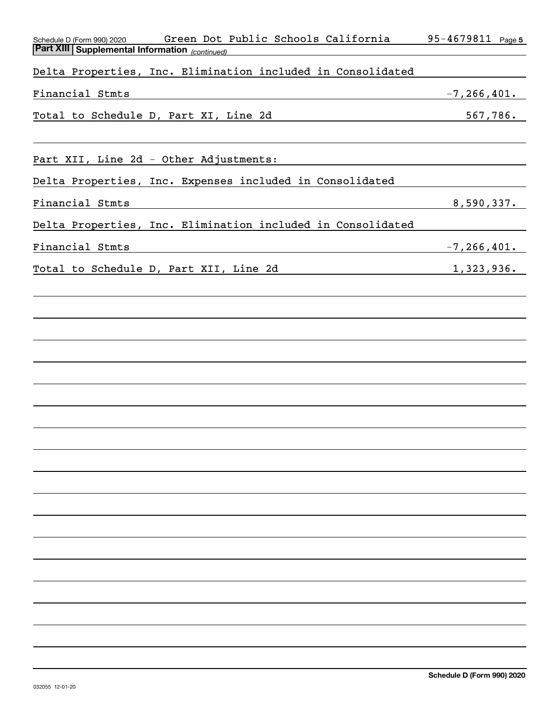| Green Dot Public Schools California<br>Schedule D (Form 990) 2020 | 95-4679811 Page 5 |
|-------------------------------------------------------------------|-------------------|
| <b>Part XIII Supplemental Information</b> (continued)             |                   |
| Delta Properties, Inc. Elimination included in Consolidated       |                   |
| Financial Stmts                                                   | $-7, 266, 401.$   |
| Total to Schedule D, Part XI, Line 2d                             | 567,786.          |
|                                                                   |                   |
| Part XII, Line 2d - Other Adjustments:                            |                   |
| Delta Properties, Inc. Expenses included in Consolidated          |                   |
| Financial Stmts                                                   | 8,590,337.        |
| Delta Properties, Inc. Elimination included in Consolidated       |                   |
| Financial Stmts                                                   | $-7, 266, 401.$   |
| Total to Schedule D, Part XII, Line 2d                            | 1,323,936.        |
|                                                                   |                   |
|                                                                   |                   |
|                                                                   |                   |
|                                                                   |                   |
|                                                                   |                   |
|                                                                   |                   |
|                                                                   |                   |
|                                                                   |                   |
|                                                                   |                   |
|                                                                   |                   |
|                                                                   |                   |
|                                                                   |                   |
|                                                                   |                   |
|                                                                   |                   |
|                                                                   |                   |
|                                                                   |                   |
|                                                                   |                   |
|                                                                   |                   |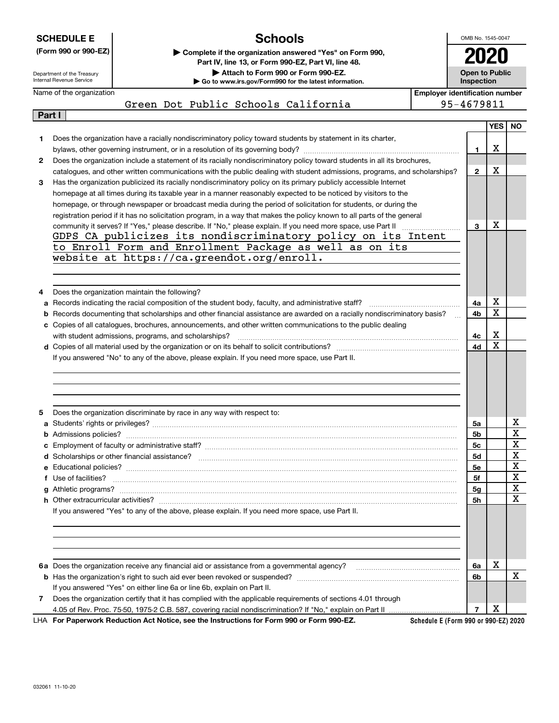|        | <b>Schools</b><br><b>SCHEDULE E</b>                    |                                                                                                                                                                                                                                   |                                       |                                     |                  | OMB No. 1545-0047 |
|--------|--------------------------------------------------------|-----------------------------------------------------------------------------------------------------------------------------------------------------------------------------------------------------------------------------------|---------------------------------------|-------------------------------------|------------------|-------------------|
|        | (Form 990 or 990-EZ)                                   | Complete if the organization answered "Yes" on Form 990,                                                                                                                                                                          |                                       |                                     |                  |                   |
|        |                                                        | Part IV, line 13, or Form 990-EZ, Part VI, line 48.                                                                                                                                                                               |                                       |                                     |                  |                   |
|        | Department of the Treasury<br>Internal Revenue Service | Attach to Form 990 or Form 990-EZ.<br>Go to www.irs.gov/Form990 for the latest information.                                                                                                                                       |                                       | <b>Open to Public</b><br>Inspection |                  |                   |
|        | Name of the organization                               |                                                                                                                                                                                                                                   | <b>Employer identification number</b> |                                     |                  |                   |
|        |                                                        | Green Dot Public Schools California                                                                                                                                                                                               |                                       | 95-4679811                          |                  |                   |
| Part I |                                                        |                                                                                                                                                                                                                                   |                                       |                                     |                  |                   |
|        |                                                        |                                                                                                                                                                                                                                   |                                       |                                     | <b>YES</b>       | <b>NO</b>         |
| 1      |                                                        | Does the organization have a racially nondiscriminatory policy toward students by statement in its charter,                                                                                                                       |                                       |                                     |                  |                   |
|        |                                                        |                                                                                                                                                                                                                                   |                                       | 1                                   | х                |                   |
| 2      |                                                        | Does the organization include a statement of its racially nondiscriminatory policy toward students in all its brochures,                                                                                                          |                                       |                                     |                  |                   |
|        |                                                        | catalogues, and other written communications with the public dealing with student admissions, programs, and scholarships?                                                                                                         |                                       | $\mathbf{2}$                        | x                |                   |
| 3      |                                                        | Has the organization publicized its racially nondiscriminatory policy on its primary publicly accessible Internet                                                                                                                 |                                       |                                     |                  |                   |
|        |                                                        | homepage at all times during its taxable year in a manner reasonably expected to be noticed by visitors to the<br>homepage, or through newspaper or broadcast media during the period of solicitation for students, or during the |                                       |                                     |                  |                   |
|        |                                                        | registration period if it has no solicitation program, in a way that makes the policy known to all parts of the general                                                                                                           |                                       |                                     |                  |                   |
|        |                                                        |                                                                                                                                                                                                                                   |                                       | 3                                   | х                |                   |
|        |                                                        | GDPS CA publicizes its nondiscriminatory policy on its Intent                                                                                                                                                                     |                                       |                                     |                  |                   |
|        |                                                        | to Enroll Form and Enrollment Package as well as on its                                                                                                                                                                           |                                       |                                     |                  |                   |
|        |                                                        | website at https://ca.greendot.org/enroll.                                                                                                                                                                                        |                                       |                                     |                  |                   |
|        |                                                        |                                                                                                                                                                                                                                   |                                       |                                     |                  |                   |
|        |                                                        |                                                                                                                                                                                                                                   |                                       |                                     |                  |                   |
| 4      |                                                        | Does the organization maintain the following?                                                                                                                                                                                     |                                       |                                     |                  |                   |
|        |                                                        | a Records indicating the racial composition of the student body, faculty, and administrative staff?                                                                                                                               |                                       | 4a                                  | x                |                   |
| b      |                                                        | Records documenting that scholarships and other financial assistance are awarded on a racially nondiscriminatory basis?                                                                                                           |                                       | 4b                                  | X                |                   |
|        |                                                        | c Copies of all catalogues, brochures, announcements, and other written communications to the public dealing                                                                                                                      |                                       |                                     |                  |                   |
|        |                                                        | with student admissions, programs, and scholarships?                                                                                                                                                                              |                                       | 4с                                  | х<br>$\mathbf X$ |                   |
|        |                                                        | If you answered "No" to any of the above, please explain. If you need more space, use Part II.                                                                                                                                    |                                       | 4d                                  |                  |                   |
|        |                                                        |                                                                                                                                                                                                                                   |                                       |                                     |                  |                   |
|        |                                                        |                                                                                                                                                                                                                                   |                                       |                                     |                  |                   |
|        |                                                        |                                                                                                                                                                                                                                   |                                       |                                     |                  |                   |
|        |                                                        |                                                                                                                                                                                                                                   |                                       |                                     |                  |                   |
| 5      |                                                        | Does the organization discriminate by race in any way with respect to:                                                                                                                                                            |                                       |                                     |                  |                   |
|        |                                                        |                                                                                                                                                                                                                                   |                                       | 5a                                  |                  | X                 |
| b      |                                                        |                                                                                                                                                                                                                                   |                                       | 5b                                  |                  | X                 |
|        |                                                        |                                                                                                                                                                                                                                   |                                       | 5c                                  |                  | X                 |
|        |                                                        |                                                                                                                                                                                                                                   |                                       | 5d                                  |                  | X                 |
|        |                                                        |                                                                                                                                                                                                                                   |                                       | 5e                                  |                  | X                 |
|        | f Use of facilities?                                   |                                                                                                                                                                                                                                   |                                       | 5f                                  |                  | X<br>X            |
|        |                                                        |                                                                                                                                                                                                                                   |                                       | 5g                                  |                  | $\mathbf X$       |
|        |                                                        | If you answered "Yes" to any of the above, please explain. If you need more space, use Part II.                                                                                                                                   |                                       | 5h                                  |                  |                   |
|        |                                                        |                                                                                                                                                                                                                                   |                                       |                                     |                  |                   |
|        |                                                        |                                                                                                                                                                                                                                   |                                       |                                     |                  |                   |
|        |                                                        |                                                                                                                                                                                                                                   |                                       |                                     |                  |                   |
|        |                                                        |                                                                                                                                                                                                                                   |                                       |                                     |                  |                   |
|        |                                                        |                                                                                                                                                                                                                                   |                                       | 6а                                  | х                |                   |
|        |                                                        |                                                                                                                                                                                                                                   |                                       | 6b                                  |                  | X                 |
|        |                                                        | If you answered "Yes" on either line 6a or line 6b, explain on Part II.                                                                                                                                                           |                                       |                                     |                  |                   |
| 7      |                                                        | Does the organization certify that it has complied with the applicable requirements of sections 4.01 through                                                                                                                      |                                       |                                     |                  |                   |
|        |                                                        |                                                                                                                                                                                                                                   |                                       | $\overline{7}$                      | x                |                   |

**For Paperwork Reduction Act Notice, see the Instructions for Form 990 or Form 990-EZ.** LHA

**Schedule E (Form 990 or 990-EZ) 2020**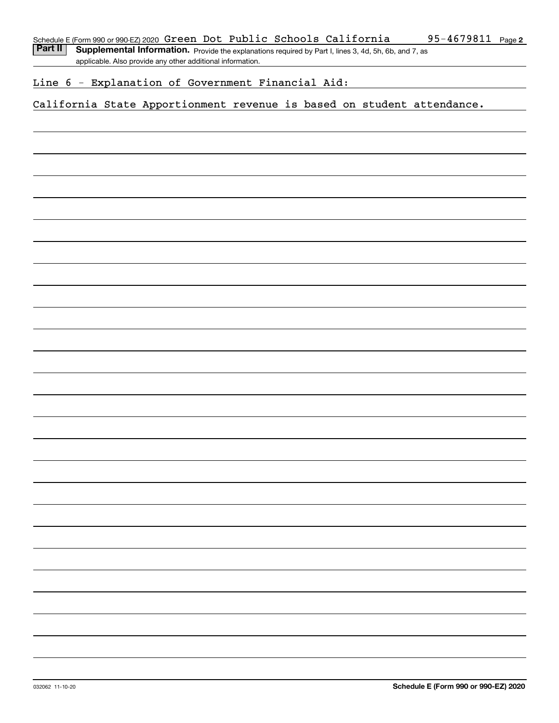Part II | Supplemental Information. Provide the explanations required by Part I, lines 3, 4d, 5h, 6b, and 7, as applicable. Also provide any other additional information.

### Line 6 - Explanation of Government Financial Aid:

### California State Apportionment revenue is based on student attendance.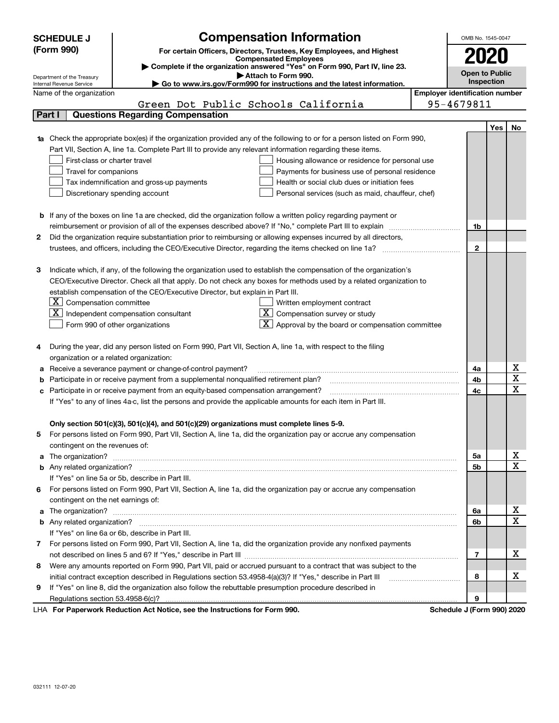|   | <b>SCHEDULE J</b>                                      | <b>Compensation Information</b>                                                                                        |                                       | OMB No. 1545-0047     |            |             |  |  |
|---|--------------------------------------------------------|------------------------------------------------------------------------------------------------------------------------|---------------------------------------|-----------------------|------------|-------------|--|--|
|   | (Form 990)                                             | For certain Officers, Directors, Trustees, Key Employees, and Highest                                                  |                                       |                       |            |             |  |  |
|   |                                                        | <b>Compensated Employees</b>                                                                                           |                                       |                       | 2020       |             |  |  |
|   |                                                        | Complete if the organization answered "Yes" on Form 990, Part IV, line 23.                                             |                                       | <b>Open to Public</b> |            |             |  |  |
|   | Department of the Treasury<br>Internal Revenue Service | Attach to Form 990.<br>$\blacktriangleright$ Go to www.irs.gov/Form990 for instructions and the latest information.    |                                       |                       | Inspection |             |  |  |
|   | Name of the organization                               |                                                                                                                        | <b>Employer identification number</b> |                       |            |             |  |  |
|   |                                                        | Green Dot Public Schools California                                                                                    |                                       | 95-4679811            |            |             |  |  |
|   | Part I                                                 | <b>Questions Regarding Compensation</b>                                                                                |                                       |                       |            |             |  |  |
|   |                                                        |                                                                                                                        |                                       |                       | Yes        | No          |  |  |
|   |                                                        | Check the appropriate box(es) if the organization provided any of the following to or for a person listed on Form 990, |                                       |                       |            |             |  |  |
|   |                                                        | Part VII, Section A, line 1a. Complete Part III to provide any relevant information regarding these items.             |                                       |                       |            |             |  |  |
|   | First-class or charter travel                          | Housing allowance or residence for personal use                                                                        |                                       |                       |            |             |  |  |
|   | Travel for companions                                  | Payments for business use of personal residence                                                                        |                                       |                       |            |             |  |  |
|   |                                                        | Tax indemnification and gross-up payments<br>Health or social club dues or initiation fees                             |                                       |                       |            |             |  |  |
|   |                                                        | Discretionary spending account<br>Personal services (such as maid, chauffeur, chef)                                    |                                       |                       |            |             |  |  |
|   |                                                        |                                                                                                                        |                                       |                       |            |             |  |  |
|   |                                                        | <b>b</b> If any of the boxes on line 1a are checked, did the organization follow a written policy regarding payment or |                                       |                       |            |             |  |  |
|   |                                                        |                                                                                                                        |                                       | 1b                    |            |             |  |  |
| 2 |                                                        | Did the organization require substantiation prior to reimbursing or allowing expenses incurred by all directors,       |                                       |                       |            |             |  |  |
|   |                                                        |                                                                                                                        |                                       | $\mathbf{2}$          |            |             |  |  |
|   |                                                        |                                                                                                                        |                                       |                       |            |             |  |  |
| З |                                                        | Indicate which, if any, of the following the organization used to establish the compensation of the organization's     |                                       |                       |            |             |  |  |
|   |                                                        | CEO/Executive Director. Check all that apply. Do not check any boxes for methods used by a related organization to     |                                       |                       |            |             |  |  |
|   |                                                        | establish compensation of the CEO/Executive Director, but explain in Part III.                                         |                                       |                       |            |             |  |  |
|   | $\boxed{\textbf{X}}$ Compensation committee            | Written employment contract                                                                                            |                                       |                       |            |             |  |  |
|   | x                                                      | $\overline{X}$ Compensation survey or study<br>Independent compensation consultant                                     |                                       |                       |            |             |  |  |
|   |                                                        | $\mathbf{X}$ Approval by the board or compensation committee<br>Form 990 of other organizations                        |                                       |                       |            |             |  |  |
|   |                                                        |                                                                                                                        |                                       |                       |            |             |  |  |
| 4 |                                                        | During the year, did any person listed on Form 990, Part VII, Section A, line 1a, with respect to the filing           |                                       |                       |            |             |  |  |
|   | organization or a related organization:                |                                                                                                                        |                                       |                       |            |             |  |  |
| а |                                                        | Receive a severance payment or change-of-control payment?                                                              |                                       | 4a                    |            | х           |  |  |
| b |                                                        | Participate in or receive payment from a supplemental nonqualified retirement plan?                                    |                                       | 4b                    |            | X           |  |  |
|   |                                                        | Participate in or receive payment from an equity-based compensation arrangement?                                       |                                       | 4c                    |            | $\mathbf x$ |  |  |
|   |                                                        | If "Yes" to any of lines 4a-c, list the persons and provide the applicable amounts for each item in Part III.          |                                       |                       |            |             |  |  |
|   |                                                        |                                                                                                                        |                                       |                       |            |             |  |  |
|   |                                                        | Only section 501(c)(3), 501(c)(4), and 501(c)(29) organizations must complete lines 5-9.                               |                                       |                       |            |             |  |  |
| 5 |                                                        | For persons listed on Form 990, Part VII, Section A, line 1a, did the organization pay or accrue any compensation      |                                       |                       |            |             |  |  |
|   | contingent on the revenues of:                         |                                                                                                                        |                                       |                       |            |             |  |  |
| a |                                                        |                                                                                                                        |                                       | 5a                    |            | х           |  |  |
|   |                                                        |                                                                                                                        |                                       | 5b                    |            | $\mathbf x$ |  |  |
|   |                                                        | If "Yes" on line 5a or 5b, describe in Part III.                                                                       |                                       |                       |            |             |  |  |
| 6 |                                                        | For persons listed on Form 990, Part VII, Section A, line 1a, did the organization pay or accrue any compensation      |                                       |                       |            |             |  |  |
|   | contingent on the net earnings of:                     |                                                                                                                        |                                       |                       |            |             |  |  |
| a |                                                        |                                                                                                                        |                                       | 6a                    |            | х           |  |  |
|   |                                                        |                                                                                                                        |                                       | 6b                    |            | $\mathbf x$ |  |  |
|   |                                                        | If "Yes" on line 6a or 6b, describe in Part III.                                                                       |                                       |                       |            |             |  |  |
| 7 |                                                        | For persons listed on Form 990, Part VII, Section A, line 1a, did the organization provide any nonfixed payments       |                                       |                       |            |             |  |  |
|   |                                                        |                                                                                                                        |                                       | 7                     |            | x           |  |  |
| 8 |                                                        | Were any amounts reported on Form 990, Part VII, paid or accrued pursuant to a contract that was subject to the        |                                       |                       |            |             |  |  |
|   |                                                        | initial contract exception described in Regulations section 53.4958-4(a)(3)? If "Yes," describe in Part III            |                                       | 8                     |            | х           |  |  |
| 9 |                                                        | If "Yes" on line 8, did the organization also follow the rebuttable presumption procedure described in                 |                                       |                       |            |             |  |  |
|   |                                                        | Ast National and the Instrumetions for Form 000                                                                        |                                       | 9                     |            |             |  |  |
|   |                                                        |                                                                                                                        |                                       | $\overline{1}$        |            | 0.001000    |  |  |

LHA For Paperwork Reduction Act Notice, see the Instructions for Form 990. Schedule J (Form 990) 2020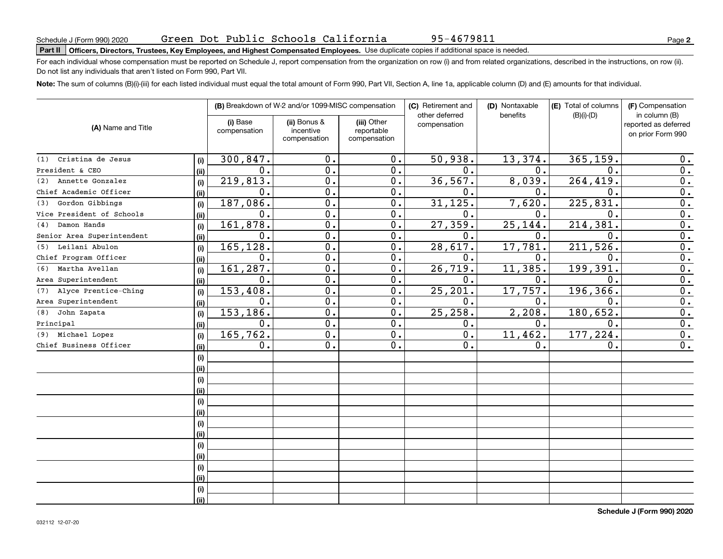# **Part II Officers, Directors, Trustees, Key Employees, and Highest Compensated Employees.**  Schedule J (Form 990) 2020 Page Use duplicate copies if additional space is needed.

For each individual whose compensation must be reported on Schedule J, report compensation from the organization on row (i) and from related organizations, described in the instructions, on row (ii). Do not list any individuals that aren't listed on Form 990, Part VII.

**Note:**  The sum of columns (B)(i)-(iii) for each listed individual must equal the total amount of Form 990, Part VII, Section A, line 1a, applicable column (D) and (E) amounts for that individual.

| (A) Name and Title          |      |                          | (B) Breakdown of W-2 and/or 1099-MISC compensation |                                           | (C) Retirement and<br>other deferred | (D) Nontaxable<br>benefits | (E) Total of columns<br>$(B)(i)-(D)$ | (F) Compensation<br>in column (B)         |
|-----------------------------|------|--------------------------|----------------------------------------------------|-------------------------------------------|--------------------------------------|----------------------------|--------------------------------------|-------------------------------------------|
|                             |      | (i) Base<br>compensation | (ii) Bonus &<br>incentive<br>compensation          | (iii) Other<br>reportable<br>compensation | compensation                         |                            |                                      | reported as deferred<br>on prior Form 990 |
| Cristina de Jesus<br>(1)    | (i)  | 300, 847.                | 0.                                                 | 0.                                        | 50,938.                              | 13,374.                    | 365, 159.                            | 0.                                        |
| President & CEO             | (ii) | $\mathbf{0}$ .           | 0.                                                 | 0.                                        | $\mathbf{0}$ .                       | $\mathbf 0$ .              | $\Omega$ .                           | 0.                                        |
| Annette Gonzalez<br>(2)     | (i)  | 219,813.                 | 0.                                                 | 0.                                        | 36, 567.                             | 8,039.                     | 264, 419.                            | 0.                                        |
| Chief Academic Officer      | (ii) | $\mathbf 0$ .            | 0.                                                 | 0.                                        | 0.                                   | $\mathbf 0$ .              | 0.                                   | 0.                                        |
| Gordon Gibbings<br>(3)      | (i)  | 187,086.                 | $\overline{0}$ .                                   | 0.                                        | 31, 125.                             | 7,620.                     | 225, 831.                            | $\overline{0}$ .                          |
| Vice President of Schools   | (i)  | $\mathbf{0}$ .           | $\overline{0}$ .                                   | 0.                                        | 0.                                   | $\mathbf 0$ .              | $\mathbf 0$ .                        | $\overline{0}$ .                          |
| Damon Hands<br>(4)          | (i)  | 161,878.                 | $\overline{0}$ .                                   | $\overline{0}$ .                          | 27,359.                              | 25, 144.                   | 214,381                              | $\overline{0}$ .                          |
| Senior Area Superintendent  | (ii) | $\mathbf 0$ .            | $\overline{0}$ .                                   | 0.                                        | 0.                                   | $\mathbf 0$ .              | $\mathbf{0}$ .                       | $\overline{0}$ .                          |
| Leilani Abulon<br>(5)       | (i)  | 165,128.                 | 0.                                                 | 0.                                        | 28,617.                              | 17,781.                    | 211,526.                             | $\overline{0}$ .                          |
| Chief Program Officer       | (ii) | 0.                       | $\mathbf 0$ .                                      | 0.                                        | $\mathbf 0$ .                        | $\mathbf 0$ .              | $\mathbf 0$                          | $\overline{0}$ .                          |
| Martha Avellan<br>(6)       | (i)  | 161,287.                 | 0.                                                 | 0.                                        | 26,719.                              | 11,385.                    | 199,391                              | $\overline{0}$ .                          |
| Area Superintendent         | (ii) | $\mathbf 0$ .            | 0.                                                 | 0.                                        | $\mathbf 0$ .                        | 0.                         | 0.                                   | $\overline{0}$ .                          |
| Alyce Prentice-Ching<br>(7) | (i)  | 153,408.                 | 0.                                                 | 0.                                        | 25, 201.                             | 17,757.                    | 196, 366.                            | $\overline{0}$ .                          |
| Area Superintendent         | (ii) | $\mathbf 0$ .            | 0.                                                 | 0.                                        | 0.                                   | 0.                         | 0.                                   | $\overline{0}$ .                          |
| John Zapata<br>(8)          | (i)  | 153, 186.                | $\overline{0}$ .                                   | $\overline{0}$ .                          | 25, 258.                             | 2,208.                     | 180, 652.                            | $\overline{0}$ .                          |
| Principal                   | (ii) | 0.                       | $\overline{0}$ .                                   | $\overline{0}$ .                          | 0.                                   | 0.                         | 0.                                   | $\overline{0}$ .                          |
| Michael Lopez<br>(9)        | (i)  | 165, 762.                | $\overline{0}$ .                                   | $\overline{0}$ .                          | $\overline{0}$ .                     | 11,462.                    | 177,224.                             | $\overline{0}$ .                          |
| Chief Business Officer      | (ii) | 0.                       | $\overline{0}$ .                                   | 0.                                        | $\overline{0}$ .                     | 0.                         | $\mathbf 0$ .                        | 0.                                        |
|                             | (i)  |                          |                                                    |                                           |                                      |                            |                                      |                                           |
|                             | (ii) |                          |                                                    |                                           |                                      |                            |                                      |                                           |
|                             | (i)  |                          |                                                    |                                           |                                      |                            |                                      |                                           |
|                             | (i)  |                          |                                                    |                                           |                                      |                            |                                      |                                           |
|                             | (i)  |                          |                                                    |                                           |                                      |                            |                                      |                                           |
|                             | (ii) |                          |                                                    |                                           |                                      |                            |                                      |                                           |
|                             | (i)  |                          |                                                    |                                           |                                      |                            |                                      |                                           |
|                             | (ii) |                          |                                                    |                                           |                                      |                            |                                      |                                           |
|                             | (i)  |                          |                                                    |                                           |                                      |                            |                                      |                                           |
|                             | (ii) |                          |                                                    |                                           |                                      |                            |                                      |                                           |
|                             | (i)  |                          |                                                    |                                           |                                      |                            |                                      |                                           |
|                             | (ii) |                          |                                                    |                                           |                                      |                            |                                      |                                           |
|                             | (i)  |                          |                                                    |                                           |                                      |                            |                                      |                                           |
|                             | (ii) |                          |                                                    |                                           |                                      |                            |                                      |                                           |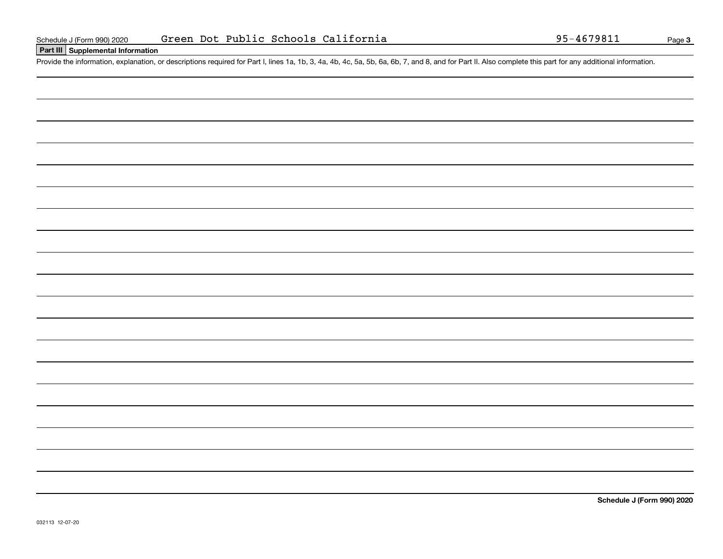### **Part III Supplemental Information**

Schedule J (Form 990) 2020 Green Dot Public Schools California 95-4679811<br>
Part III Supplemental Information<br>
Provide the information, explanation, or descriptions required for Part I, lines 1a, 1b, 3, 4a, 4b, 4c, 5a, 5b,

**Schedule J (Form 990) 2020**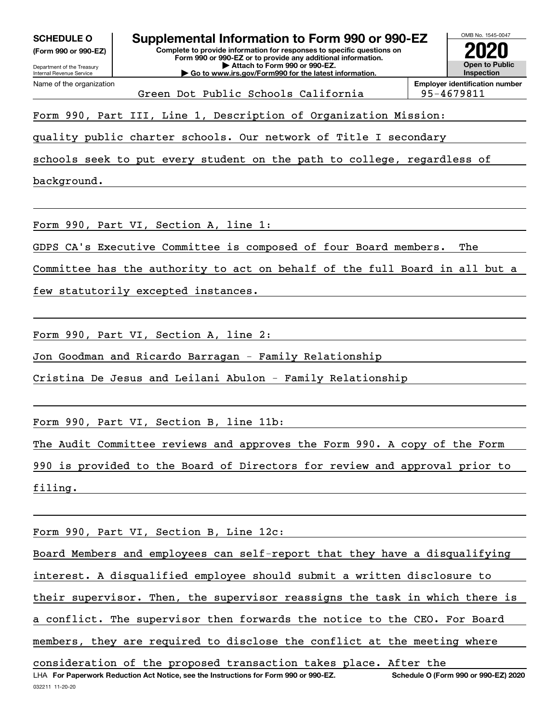| <b>SCHEDULE O</b><br>(Form 990 or 990-EZ)<br>Department of the Treasury<br><b>Internal Revenue Service</b>                                  | Supplemental Information to Form 990 or 990-EZ<br>Complete to provide information for responses to specific questions on<br>Form 990 or 990-EZ or to provide any additional information.<br>Attach to Form 990 or 990-EZ.<br>Go to www.irs.gov/Form990 for the latest information. |                                                     |  |  |  |  |  |  |
|---------------------------------------------------------------------------------------------------------------------------------------------|------------------------------------------------------------------------------------------------------------------------------------------------------------------------------------------------------------------------------------------------------------------------------------|-----------------------------------------------------|--|--|--|--|--|--|
| Name of the organization                                                                                                                    | Green Dot Public Schools California                                                                                                                                                                                                                                                | <b>Employer identification number</b><br>95-4679811 |  |  |  |  |  |  |
| Form 990, Part III, Line 1, Description of Organization Mission:                                                                            |                                                                                                                                                                                                                                                                                    |                                                     |  |  |  |  |  |  |
| quality public charter schools. Our network of Title I secondary<br>schools seek to put every student on the path to college, regardless of |                                                                                                                                                                                                                                                                                    |                                                     |  |  |  |  |  |  |
| background.                                                                                                                                 |                                                                                                                                                                                                                                                                                    |                                                     |  |  |  |  |  |  |

Form 990, Part VI, Section A, line 1:

GDPS CA's Executive Committee is composed of four Board members. The

Committee has the authority to act on behalf of the full Board in all but a

few statutorily excepted instances.

Form 990, Part VI, Section A, line 2:

Jon Goodman and Ricardo Barragan - Family Relationship

Cristina De Jesus and Leilani Abulon - Family Relationship

Form 990, Part VI, Section B, line 11b:

The Audit Committee reviews and approves the Form 990. A copy of the Form

990 is provided to the Board of Directors for review and approval prior to filing.

Form 990, Part VI, Section B, Line 12c:

LHA For Paperwork Reduction Act Notice, see the Instructions for Form 990 or 990-EZ. Schedule O (Form 990 or 990-EZ) 2020 Board Members and employees can self-report that they have a disqualifying interest. A disqualified employee should submit a written disclosure to their supervisor. Then, the supervisor reassigns the task in which there is a conflict. The supervisor then forwards the notice to the CEO. For Board members, they are required to disclose the conflict at the meeting where consideration of the proposed transaction takes place. After the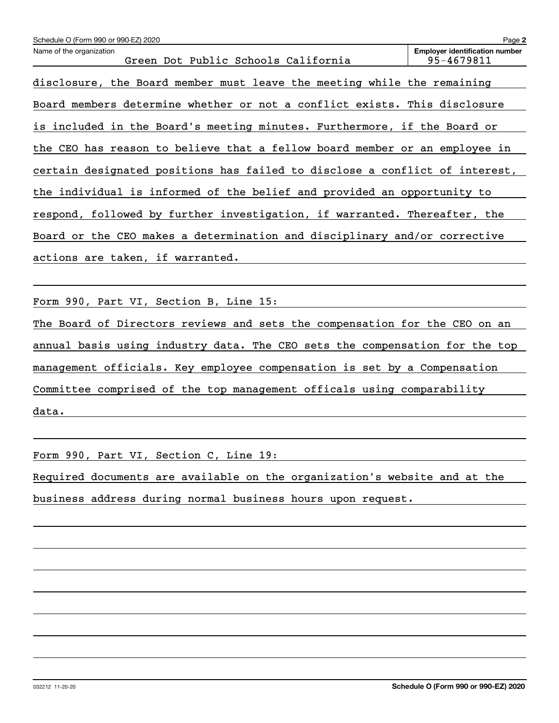| Schedule O (Form 990 or 990-EZ) 2020                                        | Page 2                                              |
|-----------------------------------------------------------------------------|-----------------------------------------------------|
| Name of the organization<br>Green Dot Public Schools California             | <b>Employer identification number</b><br>95-4679811 |
| disclosure, the Board member must leave the meeting while the remaining     |                                                     |
| Board members determine whether or not a conflict exists. This disclosure   |                                                     |
| is included in the Board's meeting minutes. Furthermore, if the Board or    |                                                     |
| the CEO has reason to believe that a fellow board member or an employee in  |                                                     |
| certain designated positions has failed to disclose a conflict of interest, |                                                     |
| the individual is informed of the belief and provided an opportunity to     |                                                     |
| respond, followed by further investigation, if warranted. Thereafter, the   |                                                     |
| Board or the CEO makes a determination and disciplinary and/or corrective   |                                                     |
| actions are taken, if warranted.                                            |                                                     |
|                                                                             |                                                     |

Form 990, Part VI, Section B, Line 15:

The Board of Directors reviews and sets the compensation for the CEO on an annual basis using industry data. The CEO sets the compensation for the top management officials. Key employee compensation is set by a Compensation Committee comprised of the top management officals using comparability data.

Form 990, Part VI, Section C, Line 19:

Required documents are available on the organization's website and at the business address during normal business hours upon request.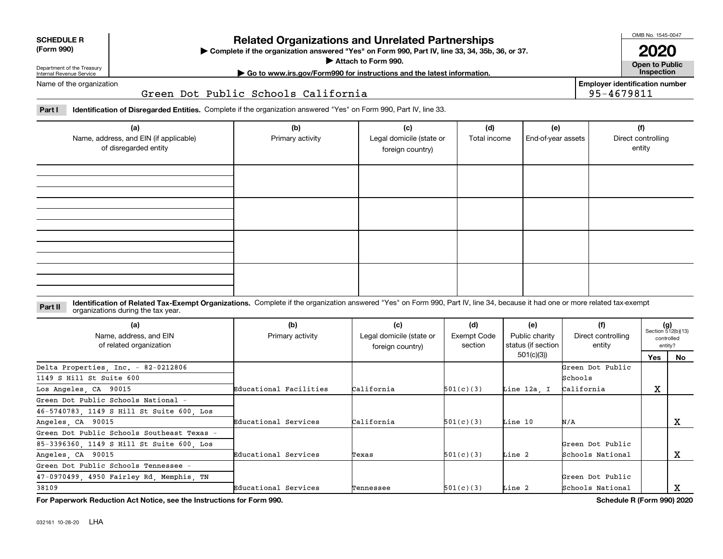| <b>SCHEDULE R</b> |
|-------------------|
|                   |

#### **(Form 990)**

### **Related Organizations and Unrelated Partnerships**

**Complete if the organization answered "Yes" on Form 990, Part IV, line 33, 34, 35b, 36, or 37.** |

**Attach to Form 990.**  |

OMB No. 1545-0047 **2020**

**Open to Public**

**Employer identification number**

95-4679811

Department of the Treasury Internal Revenue Service

**| Go to www.irs.gov/Form990 for instructions and the latest information. Inspection**

Name of the organization

#### Green Dot Public Schools California

**Part I Identification of Disregarded Entities.**  Complete if the organization answered "Yes" on Form 990, Part IV, line 33.

| (a)<br>Name, address, and EIN (if applicable)<br>of disregarded entity | (b)<br>Primary activity | (c)<br>Legal domicile (state or<br>foreign country) | (d)<br>Total income | (e)<br>End-of-year assets | (f)<br>Direct controlling<br>entity |
|------------------------------------------------------------------------|-------------------------|-----------------------------------------------------|---------------------|---------------------------|-------------------------------------|
|                                                                        |                         |                                                     |                     |                           |                                     |
|                                                                        |                         |                                                     |                     |                           |                                     |
|                                                                        |                         |                                                     |                     |                           |                                     |
|                                                                        |                         |                                                     |                     |                           |                                     |

#### **Identification of Related Tax-Exempt Organizations.** Complete if the organization answered "Yes" on Form 990, Part IV, line 34, because it had one or more related tax-exempt **Part II** organizations during the tax year.

| (a)<br>Name, address, and EIN<br>of related organization | (b)<br>Primary activity | (c)<br>Legal domicile (state or<br>foreign country) | (d)<br>Exempt Code<br>section | (e)<br>Public charity<br>status (if section | (f)<br>Direct controlling<br>entity |        | $(g)$<br>Section 512(b)(13)<br>controlled<br>entity? |
|----------------------------------------------------------|-------------------------|-----------------------------------------------------|-------------------------------|---------------------------------------------|-------------------------------------|--------|------------------------------------------------------|
|                                                          |                         |                                                     |                               | 501(c)(3)                                   |                                     | Yes    | <b>No</b>                                            |
| Delta Properties, Inc. - 82-0212806                      |                         |                                                     |                               |                                             | Green Dot Public                    |        |                                                      |
| 1149 S Hill St Suite 600                                 |                         |                                                     |                               |                                             | Schools                             |        |                                                      |
| Los Angeles, CA 90015                                    | Educational Facilities  | California                                          | 501(c)(3)                     | Line 12a. I                                 | California                          | v<br>△ |                                                      |
| Green Dot Public Schools National -                      |                         |                                                     |                               |                                             |                                     |        |                                                      |
| 46-5740783, 1149 S Hill St Suite 600, Los                |                         |                                                     |                               |                                             |                                     |        |                                                      |
| Angeles, CA 90015                                        | Educational Services    | California                                          | 501(c)(3)                     | Line 10                                     | N/A                                 |        | х                                                    |
| Green Dot Public Schools Southeast Texas -               |                         |                                                     |                               |                                             |                                     |        |                                                      |
| 85-3396360, 1149 S Hill St Suite 600, Los                |                         |                                                     |                               |                                             | Green Dot Public                    |        |                                                      |
| Angeles, CA 90015                                        | Educational Services    | Texas                                               | 501(c)(3)                     | Line 2                                      | Schools National                    |        | х                                                    |
| Green Dot Public Schools Tennessee -                     |                         |                                                     |                               |                                             |                                     |        |                                                      |
| 47-0970499, 4950 Fairley Rd, Memphis, TN                 |                         |                                                     |                               |                                             | Green Dot Public                    |        |                                                      |
| 38109                                                    | Educational Services    | Tennessee                                           | 501(c)(3)                     | Line 2                                      | Schools National                    |        | A                                                    |

**For Paperwork Reduction Act Notice, see the Instructions for Form 990. Schedule R (Form 990) 2020**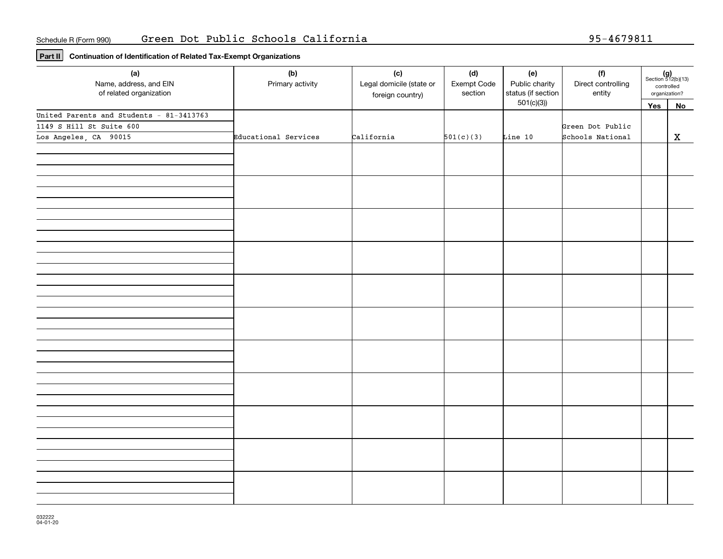**Part II Continuation of Identification of Related Tax-Exempt Organizations**

| (a)<br>Name, address, and EIN<br>of related organization | (b)<br>Primary activity | (c)<br>Legal domicile (state or<br>foreign country) | (d)<br>Exempt Code<br>section | (e)<br>Public charity<br>status (if section | (f)<br>Direct controlling<br>entity |     | $(g)$<br>Section 512(b)(13)<br>controlled<br>organization? |
|----------------------------------------------------------|-------------------------|-----------------------------------------------------|-------------------------------|---------------------------------------------|-------------------------------------|-----|------------------------------------------------------------|
|                                                          |                         |                                                     |                               | 501(c)(3)                                   |                                     | Yes | No                                                         |
| United Parents and Students - 81-3413763                 |                         |                                                     |                               |                                             |                                     |     |                                                            |
| 1149 S Hill St Suite 600                                 |                         |                                                     |                               |                                             | Green Dot Public                    |     |                                                            |
| Los Angeles, CA 90015                                    | Educational Services    | California                                          | 501(c)(3)                     | Line 10                                     | Schools National                    |     | $\mathbf x$                                                |
|                                                          |                         |                                                     |                               |                                             |                                     |     |                                                            |
|                                                          |                         |                                                     |                               |                                             |                                     |     |                                                            |
|                                                          |                         |                                                     |                               |                                             |                                     |     |                                                            |
|                                                          |                         |                                                     |                               |                                             |                                     |     |                                                            |
|                                                          |                         |                                                     |                               |                                             |                                     |     |                                                            |
|                                                          |                         |                                                     |                               |                                             |                                     |     |                                                            |
|                                                          |                         |                                                     |                               |                                             |                                     |     |                                                            |
|                                                          |                         |                                                     |                               |                                             |                                     |     |                                                            |
|                                                          |                         |                                                     |                               |                                             |                                     |     |                                                            |
|                                                          |                         |                                                     |                               |                                             |                                     |     |                                                            |
|                                                          |                         |                                                     |                               |                                             |                                     |     |                                                            |
|                                                          |                         |                                                     |                               |                                             |                                     |     |                                                            |
|                                                          |                         |                                                     |                               |                                             |                                     |     |                                                            |
|                                                          |                         |                                                     |                               |                                             |                                     |     |                                                            |
|                                                          |                         |                                                     |                               |                                             |                                     |     |                                                            |
|                                                          |                         |                                                     |                               |                                             |                                     |     |                                                            |
|                                                          |                         |                                                     |                               |                                             |                                     |     |                                                            |
|                                                          |                         |                                                     |                               |                                             |                                     |     |                                                            |
|                                                          |                         |                                                     |                               |                                             |                                     |     |                                                            |
|                                                          |                         |                                                     |                               |                                             |                                     |     |                                                            |
|                                                          |                         |                                                     |                               |                                             |                                     |     |                                                            |
|                                                          |                         |                                                     |                               |                                             |                                     |     |                                                            |
|                                                          |                         |                                                     |                               |                                             |                                     |     |                                                            |
|                                                          |                         |                                                     |                               |                                             |                                     |     |                                                            |
|                                                          |                         |                                                     |                               |                                             |                                     |     |                                                            |
|                                                          |                         |                                                     |                               |                                             |                                     |     |                                                            |
|                                                          |                         |                                                     |                               |                                             |                                     |     |                                                            |
|                                                          |                         |                                                     |                               |                                             |                                     |     |                                                            |
|                                                          |                         |                                                     |                               |                                             |                                     |     |                                                            |
|                                                          |                         |                                                     |                               |                                             |                                     |     |                                                            |
|                                                          |                         |                                                     |                               |                                             |                                     |     |                                                            |
|                                                          |                         |                                                     |                               |                                             |                                     |     |                                                            |
|                                                          |                         |                                                     |                               |                                             |                                     |     |                                                            |
|                                                          |                         |                                                     |                               |                                             |                                     |     |                                                            |
|                                                          |                         |                                                     |                               |                                             |                                     |     |                                                            |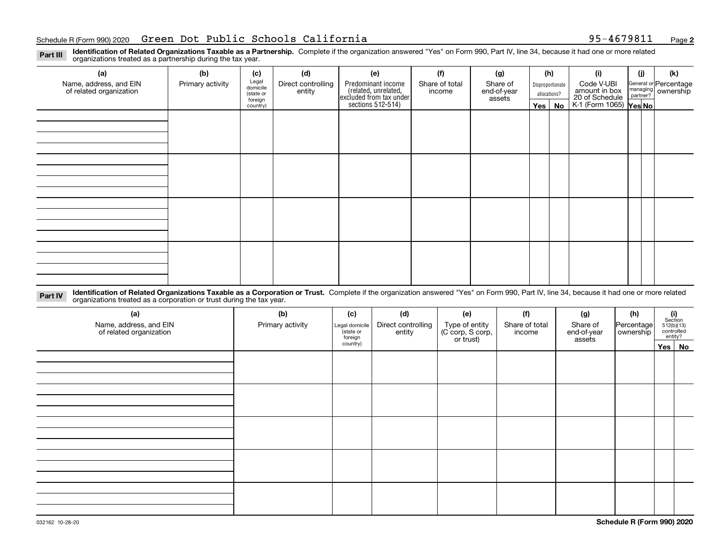#### Schedule R(Form 990) 2020 **Green Dot Public Schools California** 95-4679811 Page

**2**

**Identification of Related Organizations Taxable as a Partnership.** Complete if the organization answered "Yes" on Form 990, Part IV, line 34, because it had one or more related **Part III** organizations treated as a partnership during the tax year.

| (a)                                               | (b)              | (c)                  | (d)                          | (e)                                                                 | (f)                      | (g)                     |         | (h)              | (i)                                      | (j) | (k)                                                       |  |  |  |  |  |  |  |  |  |  |  |  |  |  |  |  |  |  |  |  |  |  |  |  |  |  |  |
|---------------------------------------------------|------------------|----------------------|------------------------------|---------------------------------------------------------------------|--------------------------|-------------------------|---------|------------------|------------------------------------------|-----|-----------------------------------------------------------|--|--|--|--|--|--|--|--|--|--|--|--|--|--|--|--|--|--|--|--|--|--|--|--|--|--|--|
| Name, address, and EIN<br>of related organization | Primary activity | Legal<br>domicile    | Direct controlling<br>entity | Predominant income                                                  | Share of total<br>income | Share of<br>end-of-year |         | Disproportionate | Code V-UBI<br>amount in box              |     | General or Percentage<br>managing<br>partner?<br>partner? |  |  |  |  |  |  |  |  |  |  |  |  |  |  |  |  |  |  |  |  |  |  |  |  |  |  |  |
|                                                   |                  | (state or<br>foreign |                              |                                                                     |                          | assets                  |         | allocations?     |                                          |     |                                                           |  |  |  |  |  |  |  |  |  |  |  |  |  |  |  |  |  |  |  |  |  |  |  |  |  |  |  |
|                                                   |                  | country)             |                              | related, unrelated,<br>excluded from tax under<br>sections 512-514) |                          |                         | Yes $ $ | No               | 20 of Schedule<br>K-1 (Form 1065) Yes No |     |                                                           |  |  |  |  |  |  |  |  |  |  |  |  |  |  |  |  |  |  |  |  |  |  |  |  |  |  |  |
|                                                   |                  |                      |                              |                                                                     |                          |                         |         |                  |                                          |     |                                                           |  |  |  |  |  |  |  |  |  |  |  |  |  |  |  |  |  |  |  |  |  |  |  |  |  |  |  |
|                                                   |                  |                      |                              |                                                                     |                          |                         |         |                  |                                          |     |                                                           |  |  |  |  |  |  |  |  |  |  |  |  |  |  |  |  |  |  |  |  |  |  |  |  |  |  |  |
|                                                   |                  |                      |                              |                                                                     |                          |                         |         |                  |                                          |     |                                                           |  |  |  |  |  |  |  |  |  |  |  |  |  |  |  |  |  |  |  |  |  |  |  |  |  |  |  |
|                                                   |                  |                      |                              |                                                                     |                          |                         |         |                  |                                          |     |                                                           |  |  |  |  |  |  |  |  |  |  |  |  |  |  |  |  |  |  |  |  |  |  |  |  |  |  |  |
|                                                   |                  |                      |                              |                                                                     |                          |                         |         |                  |                                          |     |                                                           |  |  |  |  |  |  |  |  |  |  |  |  |  |  |  |  |  |  |  |  |  |  |  |  |  |  |  |
|                                                   |                  |                      |                              |                                                                     |                          |                         |         |                  |                                          |     |                                                           |  |  |  |  |  |  |  |  |  |  |  |  |  |  |  |  |  |  |  |  |  |  |  |  |  |  |  |
|                                                   |                  |                      |                              |                                                                     |                          |                         |         |                  |                                          |     |                                                           |  |  |  |  |  |  |  |  |  |  |  |  |  |  |  |  |  |  |  |  |  |  |  |  |  |  |  |
|                                                   |                  |                      |                              |                                                                     |                          |                         |         |                  |                                          |     |                                                           |  |  |  |  |  |  |  |  |  |  |  |  |  |  |  |  |  |  |  |  |  |  |  |  |  |  |  |
|                                                   |                  |                      |                              |                                                                     |                          |                         |         |                  |                                          |     |                                                           |  |  |  |  |  |  |  |  |  |  |  |  |  |  |  |  |  |  |  |  |  |  |  |  |  |  |  |
|                                                   |                  |                      |                              |                                                                     |                          |                         |         |                  |                                          |     |                                                           |  |  |  |  |  |  |  |  |  |  |  |  |  |  |  |  |  |  |  |  |  |  |  |  |  |  |  |
|                                                   |                  |                      |                              |                                                                     |                          |                         |         |                  |                                          |     |                                                           |  |  |  |  |  |  |  |  |  |  |  |  |  |  |  |  |  |  |  |  |  |  |  |  |  |  |  |
|                                                   |                  |                      |                              |                                                                     |                          |                         |         |                  |                                          |     |                                                           |  |  |  |  |  |  |  |  |  |  |  |  |  |  |  |  |  |  |  |  |  |  |  |  |  |  |  |
|                                                   |                  |                      |                              |                                                                     |                          |                         |         |                  |                                          |     |                                                           |  |  |  |  |  |  |  |  |  |  |  |  |  |  |  |  |  |  |  |  |  |  |  |  |  |  |  |
|                                                   |                  |                      |                              |                                                                     |                          |                         |         |                  |                                          |     |                                                           |  |  |  |  |  |  |  |  |  |  |  |  |  |  |  |  |  |  |  |  |  |  |  |  |  |  |  |
|                                                   |                  |                      |                              |                                                                     |                          |                         |         |                  |                                          |     |                                                           |  |  |  |  |  |  |  |  |  |  |  |  |  |  |  |  |  |  |  |  |  |  |  |  |  |  |  |
|                                                   |                  |                      |                              |                                                                     |                          |                         |         |                  |                                          |     |                                                           |  |  |  |  |  |  |  |  |  |  |  |  |  |  |  |  |  |  |  |  |  |  |  |  |  |  |  |
|                                                   |                  |                      |                              |                                                                     |                          |                         |         |                  |                                          |     |                                                           |  |  |  |  |  |  |  |  |  |  |  |  |  |  |  |  |  |  |  |  |  |  |  |  |  |  |  |

**Identification of Related Organizations Taxable as a Corporation or Trust.** Complete if the organization answered "Yes" on Form 990, Part IV, line 34, because it had one or more related **Part IV** organizations treated as a corporation or trust during the tax year.

| (a)<br>Name, address, and EIN<br>of related organization | (b)<br>Primary activity | (c)<br>Legal domicile<br>(state or<br>foreign | (d)<br>Direct controlling<br>entity | (e)<br>Type of entity<br>(C corp, S corp,<br>or trust) | (f)<br>Share of total<br>income | (g)<br>Share of<br>end-of-year<br>assets | (h)<br>Percentage<br>ownership | (i)<br>Section<br>512(b)(13)<br>controlled | entity? |
|----------------------------------------------------------|-------------------------|-----------------------------------------------|-------------------------------------|--------------------------------------------------------|---------------------------------|------------------------------------------|--------------------------------|--------------------------------------------|---------|
|                                                          |                         | country)                                      |                                     |                                                        |                                 |                                          |                                |                                            | Yes No  |
|                                                          |                         |                                               |                                     |                                                        |                                 |                                          |                                |                                            |         |
|                                                          |                         |                                               |                                     |                                                        |                                 |                                          |                                |                                            |         |
|                                                          |                         |                                               |                                     |                                                        |                                 |                                          |                                |                                            |         |
|                                                          |                         |                                               |                                     |                                                        |                                 |                                          |                                |                                            |         |
|                                                          |                         |                                               |                                     |                                                        |                                 |                                          |                                |                                            |         |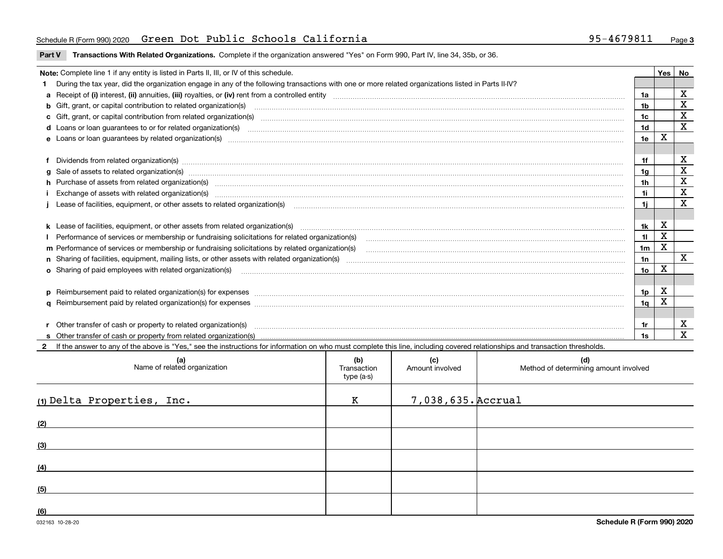#### Schedule R(Form 990) 2020 **Green Dot Public Schools California** 95-4679811 Page

**Part V** T**ransactions With Related Organizations.** Complete if the organization answered "Yes" on Form 990, Part IV, line 34, 35b, or 36.

| Note: Complete line 1 if any entity is listed in Parts II, III, or IV of this schedule.         |                                                                                                                                                                                                                                |                |   |                  |  |  |  |
|-------------------------------------------------------------------------------------------------|--------------------------------------------------------------------------------------------------------------------------------------------------------------------------------------------------------------------------------|----------------|---|------------------|--|--|--|
|                                                                                                 | 1 During the tax year, did the organization engage in any of the following transactions with one or more related organizations listed in Parts II-IV?                                                                          |                |   |                  |  |  |  |
|                                                                                                 |                                                                                                                                                                                                                                | 1a             |   | X                |  |  |  |
|                                                                                                 | b Gift, grant, or capital contribution to related organization(s) manufaction contribution of the contribution to related organization(s) manufaction contribution to related organization(s)                                  | 1b             |   | X                |  |  |  |
|                                                                                                 |                                                                                                                                                                                                                                | 1c             |   | X<br>$\mathbf X$ |  |  |  |
|                                                                                                 |                                                                                                                                                                                                                                |                |   |                  |  |  |  |
|                                                                                                 |                                                                                                                                                                                                                                |                |   |                  |  |  |  |
|                                                                                                 |                                                                                                                                                                                                                                |                |   |                  |  |  |  |
|                                                                                                 | f Dividends from related organization(s) manufactured contains and contained a series of the contact of the contact of the contact of the contact of the contact of the contact of the contact of the contact of the contact o | 1f             |   | х                |  |  |  |
|                                                                                                 |                                                                                                                                                                                                                                | 1a             |   | X                |  |  |  |
|                                                                                                 | h Purchase of assets from related organization(s) manufactured content to content the content of the content of the content of the content of the content of the content of the content of the content of the content of the c | 1 <sub>h</sub> |   | X                |  |  |  |
|                                                                                                 | i Exchange of assets with related organization(s) manufactured content to the content of the content of the content of the content of the content of the content of the content of the content of the content of the content o |                |   |                  |  |  |  |
|                                                                                                 |                                                                                                                                                                                                                                | 1i.            |   | X                |  |  |  |
|                                                                                                 |                                                                                                                                                                                                                                |                |   |                  |  |  |  |
|                                                                                                 |                                                                                                                                                                                                                                | 1k             | X |                  |  |  |  |
|                                                                                                 |                                                                                                                                                                                                                                | 11             | X |                  |  |  |  |
| m Performance of services or membership or fundraising solicitations by related organization(s) |                                                                                                                                                                                                                                |                |   |                  |  |  |  |
|                                                                                                 |                                                                                                                                                                                                                                | 1n             |   | $\mathbf{x}$     |  |  |  |
|                                                                                                 | <b>o</b> Sharing of paid employees with related organization(s)                                                                                                                                                                | 10             | X |                  |  |  |  |
|                                                                                                 |                                                                                                                                                                                                                                |                |   |                  |  |  |  |
|                                                                                                 | p Reimbursement paid to related organization(s) for expenses [1111] and manufacture manufacture manufacture manufacture manufacture manufacture manufacture manufacture manufacture manufacture manufacture manufacture manufa | 1p             | X |                  |  |  |  |
|                                                                                                 |                                                                                                                                                                                                                                | 1q             | X |                  |  |  |  |
|                                                                                                 |                                                                                                                                                                                                                                |                |   |                  |  |  |  |
|                                                                                                 | r Other transfer of cash or property to related organization(s)                                                                                                                                                                | 1r             |   | X                |  |  |  |
|                                                                                                 |                                                                                                                                                                                                                                | 1s             |   | X                |  |  |  |
|                                                                                                 | 2 If the answer to any of the above is "Yes," see the instructions for information on who must complete this line, including covered relationships and transaction thresholds.                                                 |                |   |                  |  |  |  |

| (a)<br>Name of related organization | (b)<br>Transaction<br>type (a-s) | (c)<br>Amount involved | (d)<br>Method of determining amount involved |
|-------------------------------------|----------------------------------|------------------------|----------------------------------------------|
| (1) Delta Properties, Inc.          | K                                | 7,038,635. Accrual     |                                              |
| (2)                                 |                                  |                        |                                              |
| (3)                                 |                                  |                        |                                              |
| (4)                                 |                                  |                        |                                              |
| (5)                                 |                                  |                        |                                              |
| (6)                                 |                                  |                        |                                              |

 $\overline{\phantom{a}}$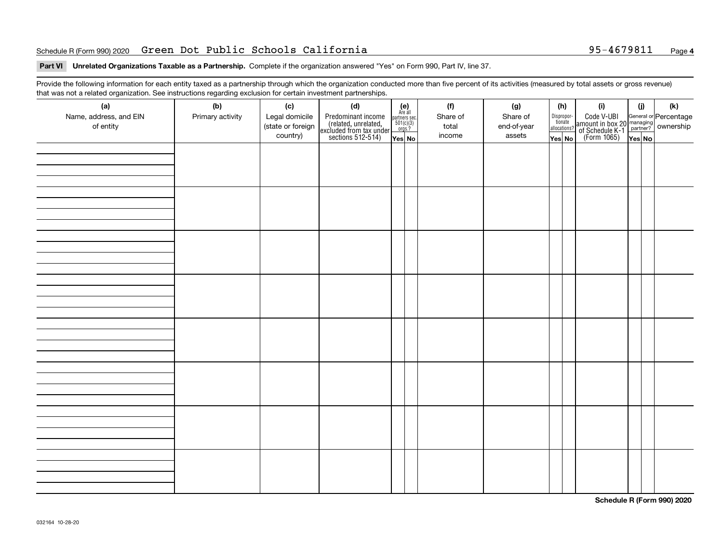#### Schedule R(Form 990) 2020 **Green Dot Public Schools California** 95-4679811 Page

#### **Part VI Unrelated Organizations Taxable as a Partnership. Complete if the organization answered "Yes" on Form 990, Part IV, line 37.**

Provide the following information for each entity taxed as a partnership through which the organization conducted more than five percent of its activities (measured by total assets or gross revenue) that was not a related organization. See instructions regarding exclusion for certain investment partnerships.

| that was not a related organization. Occ instructions regarding exclusion for certain investment partnerships.<br>(a) | (b)              | (c)                                             | (d)                                                                                        |                                                               | (f)                         | (g)                               |                  | (h)                                   | (i)                                                                                          | (i) | (k) |
|-----------------------------------------------------------------------------------------------------------------------|------------------|-------------------------------------------------|--------------------------------------------------------------------------------------------|---------------------------------------------------------------|-----------------------------|-----------------------------------|------------------|---------------------------------------|----------------------------------------------------------------------------------------------|-----|-----|
| Name, address, and EIN<br>of entity                                                                                   | Primary activity | Legal domicile<br>(state or foreign<br>country) | Predominant income<br>(related, unrelated,<br>excluded from tax under<br>sections 512-514) | (e)<br>Are all<br>partners sec.<br>$\frac{501(c)(3)}{0rgs.?}$ | Share of<br>total<br>income | Share of<br>end-of-year<br>assets |                  | Dispropor-<br>tionate<br>allocations? | Code V-UBI<br>amount in box 20 managing<br>of Schedule K-1 partner?<br>(Form 1065)<br>ves No |     |     |
|                                                                                                                       |                  |                                                 |                                                                                            | Yes No                                                        |                             |                                   | $\sqrt{Y}$ es No |                                       |                                                                                              |     |     |
|                                                                                                                       |                  |                                                 |                                                                                            |                                                               |                             |                                   |                  |                                       |                                                                                              |     |     |
|                                                                                                                       |                  |                                                 |                                                                                            |                                                               |                             |                                   |                  |                                       |                                                                                              |     |     |
|                                                                                                                       |                  |                                                 |                                                                                            |                                                               |                             |                                   |                  |                                       |                                                                                              |     |     |
|                                                                                                                       |                  |                                                 |                                                                                            |                                                               |                             |                                   |                  |                                       |                                                                                              |     |     |
|                                                                                                                       |                  |                                                 |                                                                                            |                                                               |                             |                                   |                  |                                       |                                                                                              |     |     |
|                                                                                                                       |                  |                                                 |                                                                                            |                                                               |                             |                                   |                  |                                       |                                                                                              |     |     |
|                                                                                                                       |                  |                                                 |                                                                                            |                                                               |                             |                                   |                  |                                       |                                                                                              |     |     |
|                                                                                                                       |                  |                                                 |                                                                                            |                                                               |                             |                                   |                  |                                       |                                                                                              |     |     |
|                                                                                                                       |                  |                                                 |                                                                                            |                                                               |                             |                                   |                  |                                       |                                                                                              |     |     |
|                                                                                                                       |                  |                                                 |                                                                                            |                                                               |                             |                                   |                  |                                       |                                                                                              |     |     |
|                                                                                                                       |                  |                                                 |                                                                                            |                                                               |                             |                                   |                  |                                       |                                                                                              |     |     |
|                                                                                                                       |                  |                                                 |                                                                                            |                                                               |                             |                                   |                  |                                       |                                                                                              |     |     |
|                                                                                                                       |                  |                                                 |                                                                                            |                                                               |                             |                                   |                  |                                       |                                                                                              |     |     |
|                                                                                                                       |                  |                                                 |                                                                                            |                                                               |                             |                                   |                  |                                       |                                                                                              |     |     |
|                                                                                                                       |                  |                                                 |                                                                                            |                                                               |                             |                                   |                  |                                       |                                                                                              |     |     |
|                                                                                                                       |                  |                                                 |                                                                                            |                                                               |                             |                                   |                  |                                       |                                                                                              |     |     |
|                                                                                                                       |                  |                                                 |                                                                                            |                                                               |                             |                                   |                  |                                       |                                                                                              |     |     |
|                                                                                                                       |                  |                                                 |                                                                                            |                                                               |                             |                                   |                  |                                       |                                                                                              |     |     |
|                                                                                                                       |                  |                                                 |                                                                                            |                                                               |                             |                                   |                  |                                       |                                                                                              |     |     |
|                                                                                                                       |                  |                                                 |                                                                                            |                                                               |                             |                                   |                  |                                       |                                                                                              |     |     |
|                                                                                                                       |                  |                                                 |                                                                                            |                                                               |                             |                                   |                  |                                       |                                                                                              |     |     |
|                                                                                                                       |                  |                                                 |                                                                                            |                                                               |                             |                                   |                  |                                       |                                                                                              |     |     |
|                                                                                                                       |                  |                                                 |                                                                                            |                                                               |                             |                                   |                  |                                       |                                                                                              |     |     |
|                                                                                                                       |                  |                                                 |                                                                                            |                                                               |                             |                                   |                  |                                       |                                                                                              |     |     |
|                                                                                                                       |                  |                                                 |                                                                                            |                                                               |                             |                                   |                  |                                       |                                                                                              |     |     |
|                                                                                                                       |                  |                                                 |                                                                                            |                                                               |                             |                                   |                  |                                       |                                                                                              |     |     |
|                                                                                                                       |                  |                                                 |                                                                                            |                                                               |                             |                                   |                  |                                       |                                                                                              |     |     |
|                                                                                                                       |                  |                                                 |                                                                                            |                                                               |                             |                                   |                  |                                       |                                                                                              |     |     |
|                                                                                                                       |                  |                                                 |                                                                                            |                                                               |                             |                                   |                  |                                       |                                                                                              |     |     |
|                                                                                                                       |                  |                                                 |                                                                                            |                                                               |                             |                                   |                  |                                       |                                                                                              |     |     |
|                                                                                                                       |                  |                                                 |                                                                                            |                                                               |                             |                                   |                  |                                       |                                                                                              |     |     |
|                                                                                                                       |                  |                                                 |                                                                                            |                                                               |                             |                                   |                  |                                       |                                                                                              |     |     |
|                                                                                                                       |                  |                                                 |                                                                                            |                                                               |                             |                                   |                  |                                       |                                                                                              |     |     |

**Schedule R (Form 990) 2020**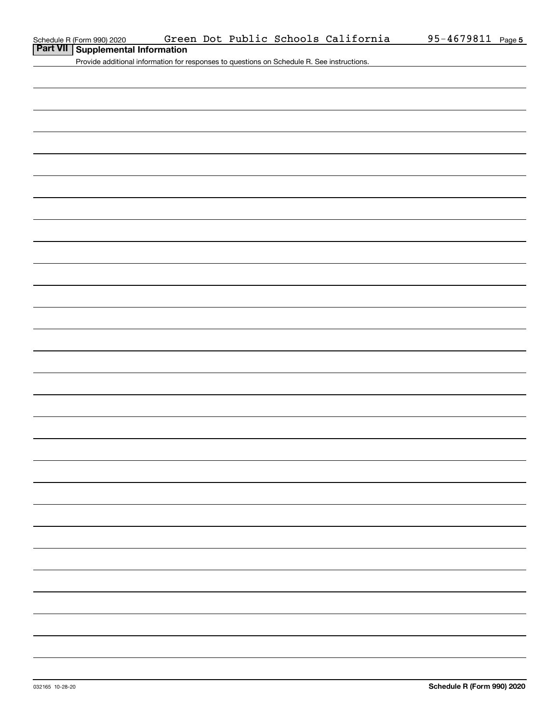### **Part VII Supplemental Information**

Provide additional information for responses to questions on Schedule R. See instructions.